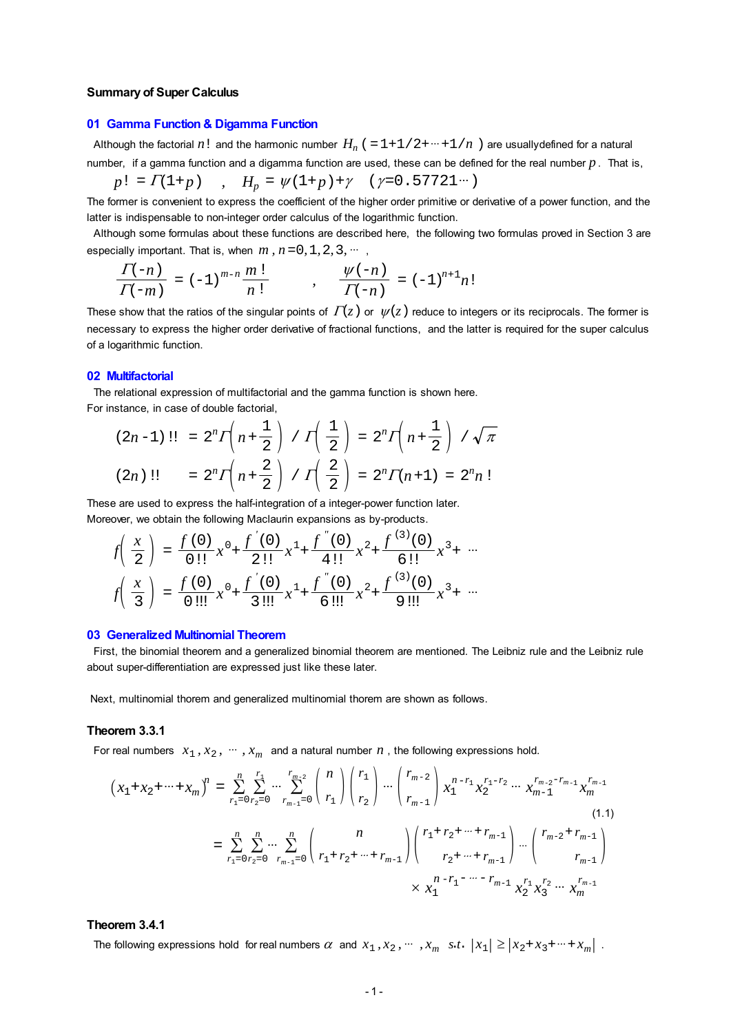#### **Summary of Super Calculus**

#### **01 Gamma Function & Digamma Function**

Although the factorial  $n!$  and the harmonic number  $H_n$  ( $=1+1/2+\cdots+1/n$ ) are usuallydefined for a natural number, if a gamma function and a digamma function are used, these can be defined for the real number *p*. That is,

$$
p! = \Gamma(1+p) \qquad , \quad H_p = \psi(1+p) + \gamma \quad (\gamma=0.57721 \cdots)
$$

The former is convenient to express the coefficient of the higher order primitive or derivative of a power function, and the latter is indispensable to non-integer order calculus of the logarithmic function.

 Although some formulas about these functions are described here, the following two formulas proved in Section 3 are especially important. That is, when  $m$ ,  $n = 0, 1, 2, 3, \cdots$ 

$$
\frac{\Gamma(-n)}{\Gamma(-m)} = (-1)^{m-n} \frac{m!}{n!} \qquad , \qquad \frac{\psi(-n)}{\Gamma(-n)} = (-1)^{n+1} n!
$$

These show that the ratios of the singular points of  $\Gamma(z)$  or  $\psi(z)$  reduce to integers or its reciprocals. The former is necessary to express the higher order derivative of fractional functions, and the latter is required for the super calculus of a logarithmic function.

#### **02 Multifactorial**

 The relational expression of multifactorial and the gamma function is shown here. For instance, in case of double factorial,

$$
(2n-1)!! = 2^{n} \Gamma\left(n + \frac{1}{2}\right) / \Gamma\left(\frac{1}{2}\right) = 2^{n} \Gamma\left(n + \frac{1}{2}\right) / \sqrt{\pi}
$$
  

$$
(2n)!! = 2^{n} \Gamma\left(n + \frac{2}{2}\right) / \Gamma\left(\frac{2}{2}\right) = 2^{n} \Gamma(n + 1) = 2^{n} n!
$$

These are used to express the half-integration of a integer-power function later. Moreover, we obtain the following Maclaurin expansions as by-products.

$$
f\left(\frac{x}{2}\right) = \frac{f(0)}{0!}x^{0} + \frac{f'(0)}{2!}x^{1} + \frac{f''(0)}{4!}x^{2} + \frac{f^{(3)}(0)}{6!}x^{3} + \cdots
$$

$$
f\left(\frac{x}{3}\right) = \frac{f(0)}{0!}x^{0} + \frac{f'(0)}{3!}x^{1} + \frac{f''(0)}{6!}x^{2} + \frac{f^{(3)}(0)}{9!}x^{3} + \cdots
$$

#### **03 Generalized Multinomial Theorem**

 First, the binomial theorem and a generalized binomial theorem are mentioned. The Leibniz rule and the Leibniz rule about super-differentiation are expressed just like these later.

Next, multinomial thorem and generalized multinomial thorem are shown as follows.

#### **Theorem 3.3.1**

For real numbers  $x_1, x_2, \dots, x_m$  and a natural number *n*, the following expressions hold.

$$
\left(x_{1}+x_{2}+\cdots+x_{m}\right)^{n} = \sum_{r_{1}=0}^{n} \sum_{r_{2}=0}^{r_{1}} \cdots \sum_{r_{m-1}=0}^{r_{m-2}} \binom{n}{r_{1}} \binom{r_{1}}{r_{2}} \cdots \binom{r_{m-2}}{r_{m-1}} x_{1}^{n-r_{1}} x_{2}^{r_{1}-r_{2}} \cdots x_{m-1}^{r_{m-2}-r_{m-1}} x_{m}^{r_{m-1}}
$$
\n
$$
= \sum_{r_{1}=0}^{n} \sum_{r_{2}=0}^{n} \cdots \sum_{r_{m-1}=0}^{n} \binom{n}{r_{1}+r_{2}+\cdots+r_{m-1}} \binom{r_{1}+r_{2}+\cdots+r_{m-1}}{r_{2}+\cdots+r_{m-1}} \cdots \binom{r_{m-2}+r_{m-1}}{r_{m-1}}
$$
\n
$$
\times x_{1}^{n-r_{1}-\cdots-r_{m-1}} x_{2}^{r_{1}} x_{3}^{r_{2}} \cdots x_{m}^{r_{m-1}}
$$
\n(1.1)

#### **Theorem 3.4.1**

The following expressions hold for real numbers  $\alpha$  and  $x_1, x_2, \dots, x_m$  *s.t.*  $|x_1| \ge |x_2 + x_3 + \dots + x_m|$ .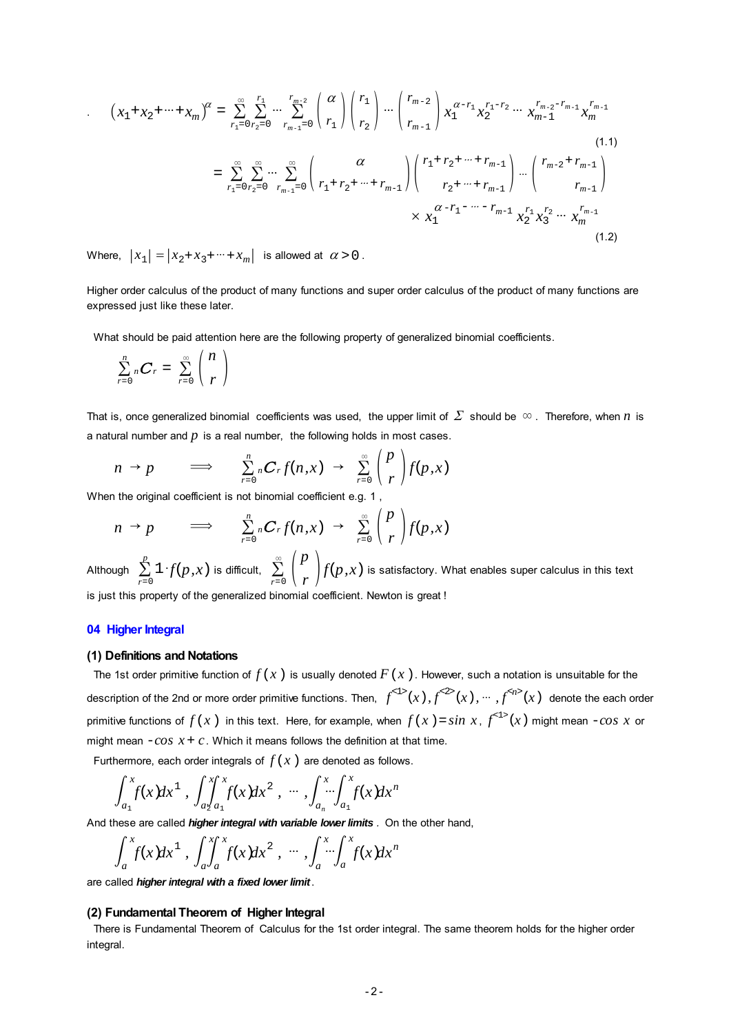<span id="page-1-0"></span>
$$
(1.1)
$$
  
\n
$$
\begin{aligned}\n&= \sum_{r_1=0}^{\infty} \sum_{r_2=0}^{r_1} \cdots \sum_{r_{m-1}=0}^{r_{m-2}} \binom{\alpha}{r_1} \binom{r_1}{r_2} \cdots \binom{r_{m-2}}{r_{m-1}} x_1^{\alpha-r_1} x_2^{r_1-r_2} \cdots x_{m-1}^{r_{m-2}-r_{m-1}} x_m^{r_{m-1}} \\
&= \sum_{r_1=0}^{\infty} \sum_{r_2=0}^{\infty} \cdots \sum_{r_{m-1}=0}^{\infty} \binom{\alpha}{r_1+r_2+\cdots+r_{m-1}} \binom{r_1+r_2+\cdots+r_{m-1}}{r_2+\cdots+r_{m-1}} \cdots \binom{r_{m-2}+r_{m-1}}{r_{m-1}} \\
&\times x_1^{\alpha-r_1-\cdots-r_{m-1}} x_2^{r_1} x_3^{r_2} \cdots x_m^{r_{m-1}}\n\end{aligned}
$$
\n(1.2)

Where,  $|x_1| = |x_2 + x_3 + \cdots + x_m|$  is allowed at  $\alpha > 0$ .

Higher order calculus of the product of many functions and super order calculus of the product of many functions are expressed just like these later.

What should be paid attention here are the following property of generalized binomial coefficients.

$$
\sum_{r=0}^n {}_nC_r = \sum_{r=0}^\infty \binom{n}{r}
$$

That is, once generalized binomial coefficients was used, the upper limit of  $\Sigma$  should be  $\infty$ . Therefore, when *n* is a natural number and *p* is a real number, the following holds in most cases.

$$
n \to p \qquad \Longrightarrow \qquad \sum_{r=0}^{n} {}_{n}C_{r}f(n,x) \to \sum_{r=0}^{\infty} \binom{p}{r} f(p,x)
$$

When the original coefficient is not binomial coefficient e.g. 1 ,

$$
n \to p \qquad \Longrightarrow \qquad \sum_{r=0}^{n} {}_{n}C_{r} f(n,x) \to \sum_{r=0}^{\infty} {p \choose r} f(p,x)
$$

 $\begin{array}{c} \text{Although} \quad \sum\limits_{r=0}^p \mathbbm{1} {\cdot} f(p,x) \text{ is difficult}, \quad \sum\limits_{r=0}^\infty \, \left( \frac{p}{r} \right) \end{array}$  $f(p,x)$  is satisfactory. What enables super calculus in this text is just this property of the generalized binomial coefficient. Newton is great !

#### **04 Higher Integral**

#### **(1) Definitions and Notations**

The 1st order primitive function of  $f(x)$  is usually denoted  $F(x)$ . However, such a notation is unsuitable for the description of the 2nd or more order primitive functions. Then,  $f^{<1>}(x)$ ,  $f^{<2>}(x)$ ,  $\cdots$  ,  $f^{< n>}(x)$  denote the each order primitive functions of  $f(x)$  in this text. Here, for example, when  $f(x)$  =  $sin\ x$ ,  $f^{< 1>}(x)$  might mean  $-cos\ x$  or might mean  $-cos x + c$ . Which it means follows the definition at that time.

Furthermore, each order integrals of  $f(x)$  are denoted as follows.

$$
\int_{a_1}^{x} f(x) dx^1, \int_{a_2}^{x} \int_{a_1}^{x} f(x) dx^2, \cdots, \int_{a_n}^{x} \int_{a_1}^{x} f(x) dx^n
$$

And these are called *higher integral with variable lower limits .* On the other hand,

$$
\int_a^x f(x) dx^1, \int_a^x \int_a^x f(x) dx^2, \cdots, \int_a^x \int_a^x f(x) dx^n
$$

are called *higher integral with a fixed lower limit*.

#### **(2) Fundamental Theorem of Higher Integral**

 There is Fundamental Theorem of Calculus for the 1st order integral. The same theorem holds for the higher order integral.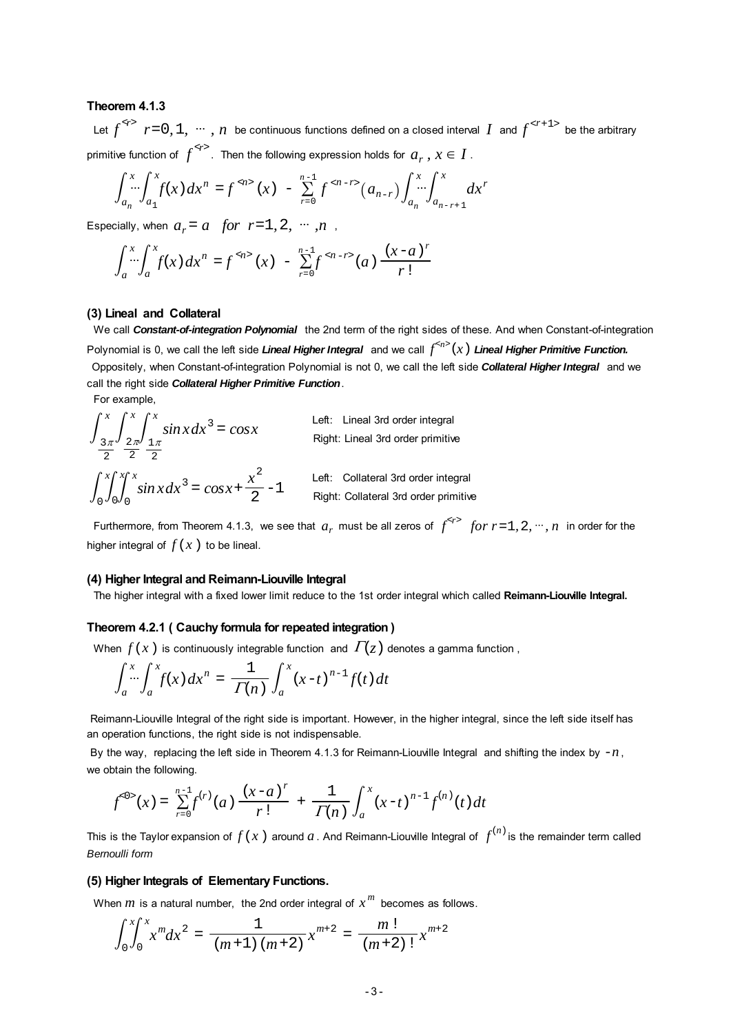### **Theorem 4.1.3**

Let  $f^{27}$   $r=0, 1, \cdots, n$  be continuous functions defined on a closed interval *I* and  $f^{27+1>}$  be the arbitrary primitive function of  $\int^{*r*>}$ . Then the following expression holds for  $a_r$  ,  $x \in I$  .

$$
\int_{a_n}^{x} \int_{a_1}^{x} f(x) dx^{n} = f^{(n)}(x) - \sum_{r=0}^{n-1} f^{(n-r)}(a_{n-r}) \int_{a_n}^{x} \int_{a_{n-r+1}}^{x} dx^{r}
$$

Especially, when  $a_r = a$  for  $r = 1, 2, \dots, n$ ,

$$
\int_{a}^{x} \int_{a}^{x} f(x) dx^{n} = f^{\alpha/2} (x) - \sum_{r=0}^{n-1} f^{\alpha/2} (a) \frac{(x-a)^{r}}{r!}
$$

#### **(3) Lineal and Collateral**

 We call *Constant-of-integration Polynomial* the 2nd term of the right sides of these. And when Constant-of-integration Polynomial is 0, we call the left side *Lineal Higher Integral* and we call  $f^{\le n>}(\bar x)$  *Lineal Higher Primitive Function.* Oppositely, when Constant-of-integration Polynomial is not 0, we call the left side *Collateral Higher Integral* and we call the right side *Collateral Higher Primitive Function*.

For example,

$$
\int_{\frac{3\pi}{2}}^{x} \int_{\frac{2\pi}{2}}^{x} \int_{\frac{1\pi}{2}}^{x} \sin x \, dx^3 = \cos x
$$
\nLeft: Linear 3rd order integral  
\nRight: Linear 3rd order primitive  
\nLeft: Collateral 3rd order infinite  
\nLeft: Collateral 3rd order integral  
\nRight: Collateral 3rd order primitive

Furthermore, from Theorem 4.1.3, we see that  $a_r$  must be all zeros of  $f^{< r>}$  *for r* = 1, 2,  $\cdots$ , *n* in order for the higher integral of  $f(x)$  to be lineal.

#### **(4) Higher Integral and Reimann-Liouville Integral**

The higher integral with a fixed lower limit reduce to the 1st order integral which called **Reimann-Liouville Integral.**

### **Theorem 4.2.1 ( Cauchy formula for repeated integration )**

When  $f(x)$  is continuously integrable function and  $\Gamma(z)$  denotes a gamma function,

$$
\int_a^x \int_a^x f(x) dx^n = \frac{1}{\Gamma(n)} \int_a^x (x-t)^{n-1} f(t) dt
$$

 Reimann-Liouville Integral of the right side is important. However, in the higher integral, since the left side itself has an operation functions, the right side is not indispensable.

By the way, replacing the left side in Theorem 4.1.3 for Reimann-Liouville Integral and shifting the index by  $-n$ , we obtain the following.

$$
f^{0>}(x) = \sum_{r=0}^{n-1} f^{(r)}(a) \frac{(x-a)^r}{r!} + \frac{1}{\Gamma(n)} \int_a^x (x-t)^{n-1} f^{(n)}(t) dt
$$

This is the Taylor expansion of  $f(x)$  around  $a$  . And Reimann-Liouville Integral of  $\int^{(n)}$  is the remainder term called *Bernoulli form*

### **(5) Higher Integrals of Elementary Functions.**

When  $m$  is a natural number, the 2nd order integral of  $x^m$  becomes as follows.

$$
\int_0^x \int_0^x x^m dx^2 = \frac{1}{(m+1)(m+2)} x^{m+2} = \frac{m!}{(m+2)!} x^{m+2}
$$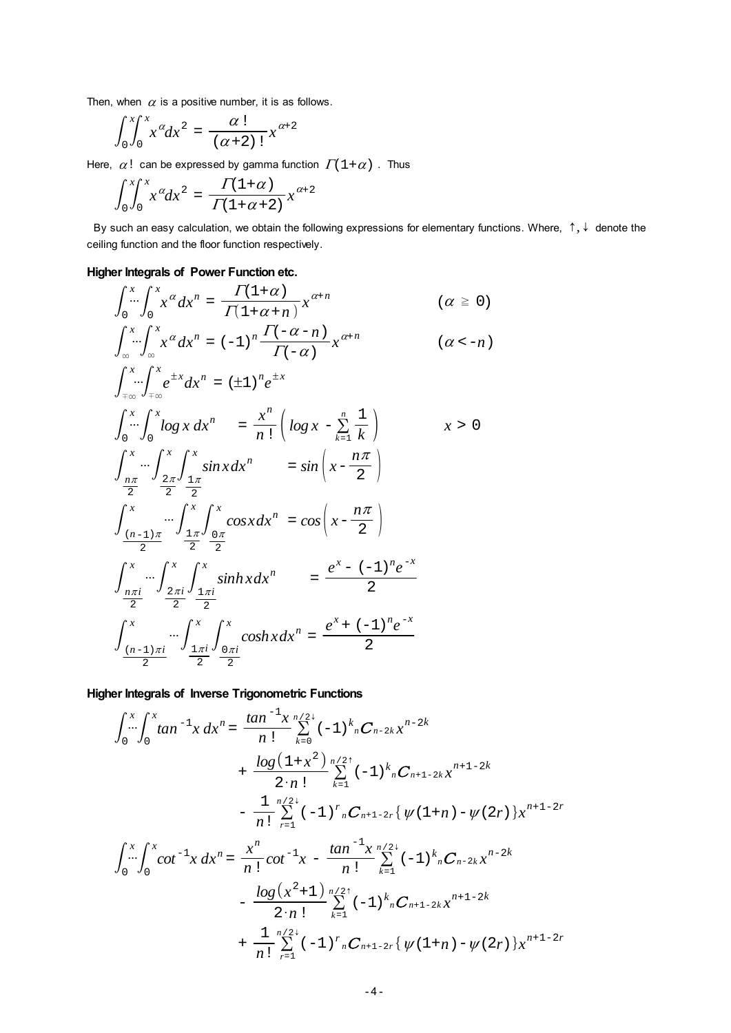Then, when  $\alpha$  is a positive number, it is as follows.

$$
\int_0^x \int_0^x x^{\alpha} dx^2 = \frac{\alpha!}{(\alpha+2)!} x^{\alpha+2}
$$

Here,  $\alpha!$  can be expressed by gamma function  $\Gamma(1+\alpha)$ . Thus

$$
\int_0^x \int_0^x x^{\alpha} dx^2 = \frac{\Gamma(1+\alpha)}{\Gamma(1+\alpha+2)} x^{\alpha+2}
$$

By such an easy calculation, we obtain the following expressions for elementary functions. Where,  $\uparrow, \downarrow$  denote the ceiling function and the floor function respectively.

### **Higher Integrals of Power Function etc.**

$$
\int_{0}^{x} \int_{0}^{x} x^{\alpha} dx^{n} = \frac{\Gamma(1+\alpha)}{\Gamma(1+\alpha+n)} x^{\alpha+n} \qquad (\alpha \geq 0)
$$
  

$$
\int_{\infty}^{x} \int_{-\infty}^{x} x^{\alpha} dx^{n} = (-1)^{n} \frac{\Gamma(-\alpha-n)}{\Gamma(-\alpha)} x^{\alpha+n} \qquad (\alpha < -n)
$$
  

$$
\int_{+\infty}^{x} \int_{+\infty}^{x} e^{\pm x} dx^{n} = (\pm 1)^{n} e^{\pm x}
$$
  

$$
\int_{0}^{x} \int_{0}^{x} \int_{0}^{x} \log x dx^{n} = \frac{x^{n}}{n!} \left( \log x - \sum_{k=1}^{n} \frac{1}{k} \right) \qquad x > 0
$$
  

$$
\int_{\frac{n\pi}{2}}^{x} \int_{\frac{2\pi}{2}}^{x} \int_{\frac{1\pi}{2}}^{x} \sin x dx^{n} = \sin \left( x - \frac{n\pi}{2} \right)
$$
  

$$
\int_{\frac{(n-1)\pi}{2}}^{x} \int_{\frac{1\pi}{2}}^{x} \int_{\frac{0\pi}{2}}^{x} \cos x dx^{n} = \cos \left( x - \frac{n\pi}{2} \right)
$$
  

$$
\int_{\frac{n\pi i}{2}}^{x} \int_{\frac{2\pi i}{2}}^{x} \int_{\frac{1\pi i}{2}}^{x} \sinh x dx^{n} = \frac{e^{x} - (-1)^{n} e^{-x}}{2}
$$
  

$$
\int_{\frac{(n-1)\pi i}{2}}^{x} \int_{\frac{1\pi i}{2}}^{x} \int_{\frac{0\pi i}{2}}^{x} \cosh x dx^{n} = \frac{e^{x} + (-1)^{n} e^{-x}}{2}
$$

**Higher Integrals of Inverse Trigonometric Functions**

$$
\int_{0}^{x} \int_{0}^{x} \tan^{-1}x \, dx^{n} = \frac{\tan^{-1}x}{n!} \sum_{k=0}^{n/2+} (-1)^{k} {}_{n}C_{n-2k}x^{n-2k}
$$
  
+ 
$$
\frac{\log(1+x^{2})}{2 \cdot n!} \sum_{k=1}^{n/2+} (-1)^{k} {}_{n}C_{n+1-2k}x^{n+1-2k}
$$
  
- 
$$
\frac{1}{n!} \sum_{r=1}^{n/2+} (-1)^{r} {}_{n}C_{n+1-2r} \{ \psi(1+n) - \psi(2r) \} x^{n+1-2r}
$$
  

$$
\int_{0}^{x} \int_{0}^{x} \cot^{-1}x \, dx^{n} = \frac{x^{n}}{n!} \cot^{-1}x - \frac{\tan^{-1}x}{n!} \sum_{k=1}^{n/2+} (-1)^{k} {}_{n}C_{n-2k}x^{n-2k}
$$
  
- 
$$
\frac{\log(x^{2}+1)}{2 \cdot n!} \sum_{k=1}^{n/2+} (-1)^{k} {}_{n}C_{n+1-2k}x^{n+1-2k}
$$
  
+ 
$$
\frac{1}{n!} \sum_{r=1}^{n/2+} (-1)^{r} {}_{n}C_{n+1-2r} \{ \psi(1+n) - \psi(2r) \} x^{n+1-2r}
$$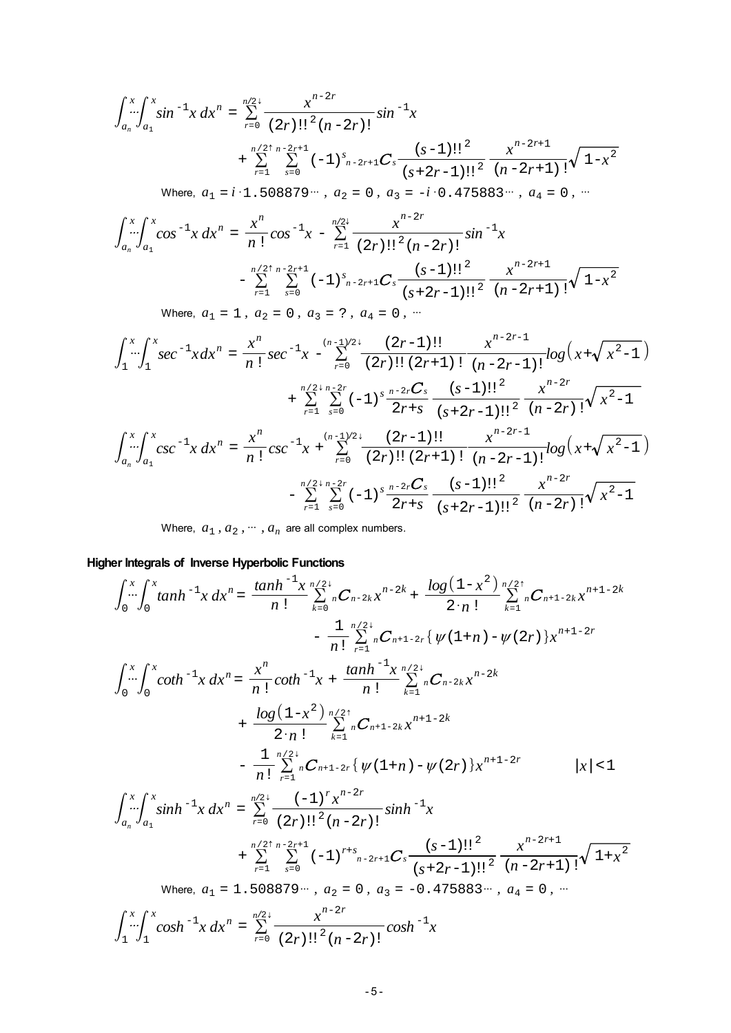$$
\int_{a_n}^{x} \int_{a_1}^{x} \sin^{-1} x \, dx^n = \sum_{r=0}^{n/2} \frac{x^{n-2r}}{(2r)!!^2 (n-2r)!} \sin^{-1} x \n+ \sum_{r=1}^{n/2} \sum_{s=0}^{n-2r+1} (-1)^s_{n-2r+1} C_s \frac{(s-1)!!^2}{(s+2r-1)!!^2} \frac{x^{n-2r+1}}{(n-2r+1)!} \sqrt{1-x^2} \n\text{Where, } a_1 = i \cdot 1.508879 \cdots, a_2 = 0, a_3 = -i \cdot 0.475883 \cdots, a_4 = 0, \cdots \n\int_{a_n}^{x} \int_{a_1}^{x} \cos^{-1} x \, dx^n = \frac{x^n}{n!} \cos^{-1} x - \sum_{r=1}^{n/2} \frac{x^{n-2r}}{(2r)!!^2 (n-2r)!} \sin^{-1} x \n- \sum_{r=1}^{n/2} \sum_{s=0}^{n-2r+1} (-1)^s_{n-2r+1} C_s \frac{(s-1)!!^2}{(s+2r-1)!!^2} \frac{x^{n-2r+1}}{(n-2r+1)!} \sqrt{1-x^2}
$$

 $(n - 2r + 1)!$ Where,  $a_1 = 1$ ,  $a_2 = 0$ ,  $a_3 = ?$ ,  $a_4 = 0$ , …

$$
\int_{1}^{x} \int_{1}^{x} \sec^{-1} x \, dx^{n} = \frac{x^{n}}{n!} \sec^{-1} x - \sum_{r=0}^{(n-1)/2+} \frac{(2r-1)!!}{(2r)!!} \frac{x^{n-2r-1}}{(n-2r-1)!} \log\left(x + \sqrt{x^{2}-1}\right)
$$
  
+ 
$$
\sum_{r=1}^{n/2+n-2r} \sum_{s=0}^{n-2r} (-1)^{s} \frac{x^{n-2r}}{2r+s} \frac{(s-1)!!^{2}}{(s+2r-1)!!^{2}} \frac{x^{n-2r}}{(n-2r)!} \sqrt{x^{2}-1}
$$
  

$$
\int_{a_{n}}^{x} \int_{a_{1}}^{x} \csc^{-1} x \, dx^{n} = \frac{x^{n}}{n!} \csc^{-1} x + \sum_{r=0}^{(n-1)/2+} \frac{(2r-1)!!}{(2r)!!} \frac{x^{n-2r-1}}{(n-2r-1)!} \log\left(x + \sqrt{x^{2}-1}\right)
$$
  
- 
$$
\sum_{r=1}^{n/2+n-2r} \sum_{s=0}^{n-2r} (-1)^{s} \frac{x^{n-2r}}{2r+s} \frac{(s-1)!!^{2}}{(s+2r-1)!!^{2}} \frac{x^{n-2r}}{(n-2r)!} \sqrt{x^{2}-1}
$$

Where,  $a_1$ ,  $a_2$ ,  $\dots$ ,  $a_n$  are all complex numbers.

**Higher Integrals of Inverse Hyperbolic Functions**

$$
\int_{0}^{x} \int_{0}^{x} \tanh^{-1}x \, dx^{n} = \frac{\tanh^{-1}x}{n!} \sum_{k=0}^{n/2+} {}_{n}C_{n-2k}x^{n-2k} + \frac{\log(1-x^{2})}{2 \cdot n!} \sum_{k=1}^{n/2+} {}_{n}C_{n+1-2k}x^{n+1-2k} \n- \frac{1}{n!} \sum_{r=1}^{n/2+} {}_{n}C_{n+1-2r} \{ \psi(1+n) - \psi(2r) \} x^{n+1-2r} \n\int_{0}^{x} \int_{0}^{x} \coth^{-1}x \, dx^{n} = \frac{x^{n}}{n!} \coth^{-1}x + \frac{\tanh^{-1}x}{n!} \sum_{k=1}^{n/2+} {}_{n}C_{n-2k}x^{n-2k} \n+ \frac{\log(1-x^{2})}{2 \cdot n!} \sum_{k=1}^{n/2+} {}_{n}C_{n+1-2k}x^{n+1-2k} \n- \frac{1}{n!} \sum_{r=1}^{n/2+} {}_{n}C_{n+1-2r} \{ \psi(1+n) - \psi(2r) \} x^{n+1-2r} \qquad |x| < 1 \n\int_{a_{n}}^{x} \int_{a_{1}}^{x} \sinh^{-1}x \, dx^{n} = \sum_{r=0}^{n/2+} \frac{(-1)^{r}x^{n-2r}}{(2r)!!^{2}(n-2r)!} \sinh^{-1}x \n+ \sum_{r=1}^{n/2+n} \sum_{s=0}^{n-2r+1} (-1)^{r+s} {}_{n-2r+1}C_{s} \frac{(s-1)!!^{2}}{(s+2r-1)!!^{2}} \frac{x^{n-2r+1}}{(n-2r+1)!} \sqrt{1+x^{2}} \n\text{Where, } a_{1} = 1.508879 \cdots, a_{2} = 0, a_{3} = -0.475883 \cdots, a_{4} = 0, \cdots \n\int_{1}^{x} \int_{1}^{x} \cosh^{-1}x \, dx^{n} = \sum_{r=0}^{n/2+} \frac{x^{n-2r}}{(2r)!!^{2}(n-2r)!} \cosh^{-1}x
$$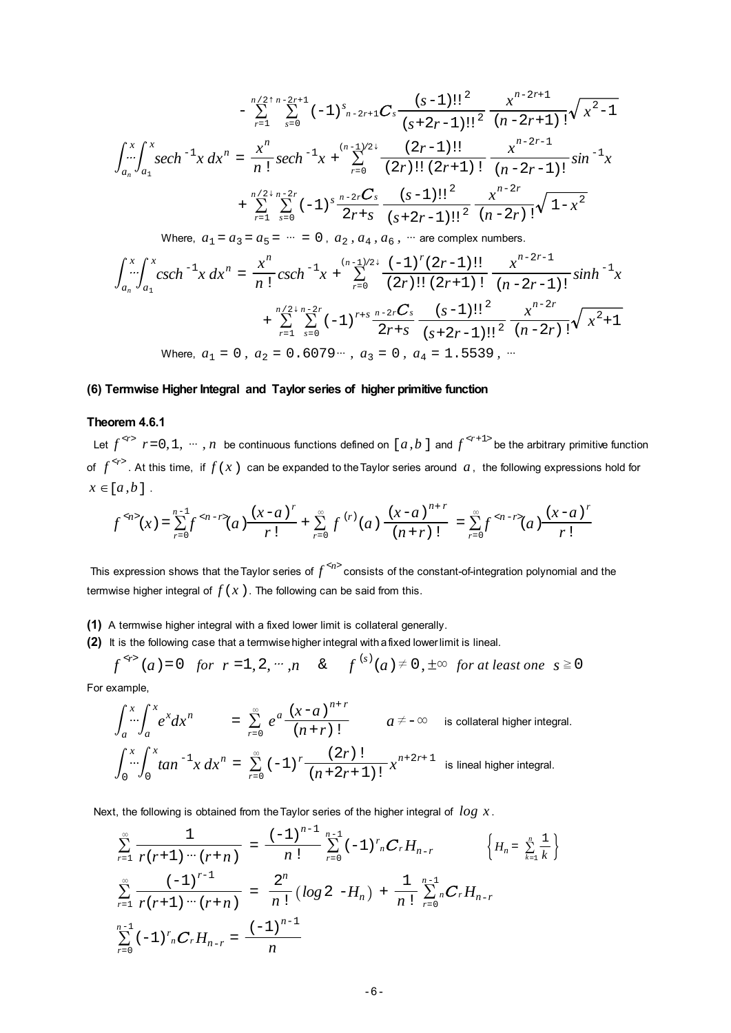$$
-\sum_{r=1}^{n/2+n-2r+1} \sum_{s=0}^{2r+1} (-1)^s {}_{n-2r+1} C_s \frac{(s-1)!!^2}{(s+2r-1)!!^2} \frac{x^{n-2r+1}}{(n-2r+1)!} \sqrt{x^2-1}
$$

$$
\int_{a_n}^x \int_{a_1}^x sech^{-1} x \, dx^n = \frac{x^n}{n!} sech^{-1} x + \sum_{r=0}^{(n-1)/2+1} \frac{(2r-1)!!}{(2r)!! (2r+1)!} \frac{x^{n-2r-1}}{(n-2r-1)!} sin^{-1} x
$$

$$
+\sum_{r=1}^{n/2+n-2r} \sum_{s=0}^{2r} (-1)^s \frac{n-2rC_s}{2r+s} \frac{(s-1)!!^2}{(s+2r-1)!!^2} \frac{x^{n-2r}}{(n-2r)!} \sqrt{1-x^2}
$$

Where,  $a_1 = a_3 = a_5 = \cdots = 0$ ,  $a_2, a_4, a_6$ ,  $\cdots$  are complex numbers.

$$
\int_{a_n}^{x} \int_{a_1}^{x} \csc h^{-1} x \, dx^n = \frac{x^n}{n!} \csch^{-1} x + \sum_{r=0}^{(n-1)/2+} \frac{(-1)^r (2r-1)!!}{(2r)!! (2r+1)!} \frac{x^{n-2r-1}}{(n-2r-1)!} \sin h^{-1} x
$$
  
+ 
$$
\sum_{r=1}^{n/2+n-2r} \sum_{s=0}^{n-2r} (-1)^{r+s} \frac{n-2rC_s}{2r+s} \frac{(s-1)!!^2}{(s+2r-1)!!^2} \frac{x^{n-2r}}{(n-2r)!} \sqrt{x^2+1}
$$
  
Where,  $a_1 = 0$ ,  $a_2 = 0.6079 \cdots$ ,  $a_3 = 0$ ,  $a_4 = 1.5539$ , ...

#### **(6) Termwise Higher Integral and Taylor series of higher primitive function**

#### **Theorem 4.6.1**

Let  $f^{<sub>r</sub>}$   $r=0, 1, \cdots, n$  be continuous functions defined on [*a, b* ] and  $f^{<sub>r+1</sub>}$  be the arbitrary primitive function of  $f^{<sub>r></sub>$ . At this time, if  $f(x)$  can be expanded to the Taylor series around  $a$ , the following expressions hold for  $x \in [a,b]$ .

$$
f^{\alpha/2}(x) = \sum_{r=0}^{n-1} f^{\alpha/2} (a) \frac{(x-a)^r}{r!} + \sum_{r=0}^{\infty} f^{(r)}(a) \frac{(x-a)^{n+r}}{(n+r)!} = \sum_{r=0}^{\infty} f^{\alpha/2} (a) \frac{(x-a)^r}{r!}
$$

This expression shows that the Taylor series of  $f^{\text{ap}}$  consists of the constant-of-integration polynomial and the termwise higher integral of  $f(x)$ . The following can be said from this.

- **(1)** A termwise higher integral with a fixed lower limit is collateral generally.
- **(2)** It is the following case that a termwise higher integral with a fixed lower limit is lineal.

 $f^{(s)}(a) = 0$  *for*  $r = 1, 2, \dots, n$  &  $f^{(s)}(a) \neq 0, \pm \infty$  *for at least one*  $s \ge 0$ For example,

$$
\int_{a}^{x} \int_{a}^{x} e^{x} dx^{n} = \sum_{r=0}^{\infty} e^{a} \frac{(x-a)^{n+r}}{(n+r)!} \qquad a \neq -\infty \quad \text{is collateral higher integral.}
$$
  

$$
\int_{0}^{x} \int_{0}^{x} \tan^{-1} x \, dx^{n} = \sum_{r=0}^{\infty} (-1)^{r} \frac{(2r)!}{(n+2r+1)!} x^{n+2r+1} \quad \text{is linear higher integral.}
$$

Next, the following is obtained from the Taylor series of the higher integral of *log x* .

$$
\sum_{r=1}^{\infty} \frac{1}{r(r+1)\cdots(r+n)} = \frac{(-1)^{n-1}}{n!} \sum_{r=0}^{n-1} (-1)^{r} {}_{n}C_{r}H_{n-r} \qquad \left\{H_{n} = \sum_{k=1}^{n} \frac{1}{k}\right\}
$$
\n
$$
\sum_{r=1}^{\infty} \frac{(-1)^{r-1}}{r(r+1)\cdots(r+n)} = \frac{2^{n}}{n!} \left(\log 2 - H_{n}\right) + \frac{1}{n!} \sum_{r=0}^{n-1} {}_{n}C_{r}H_{n-r}
$$
\n
$$
\sum_{r=0}^{n-1} (-1)^{r} {}_{n}C_{r}H_{n-r} = \frac{(-1)^{n-1}}{n}
$$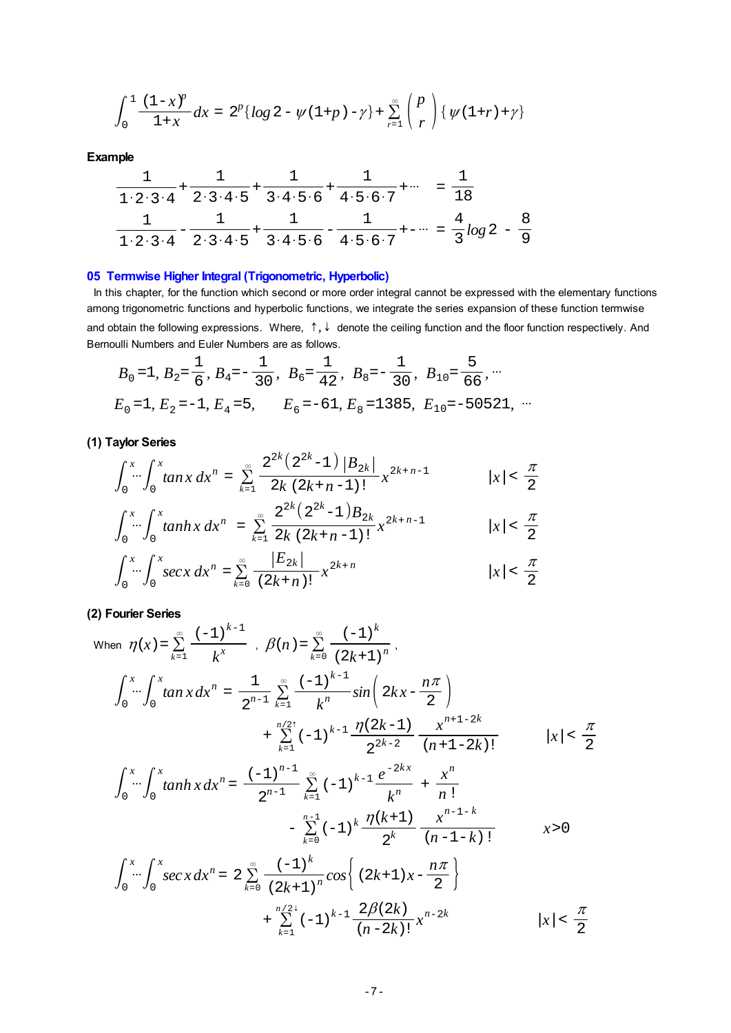<span id="page-6-0"></span>
$$
\int_0^1 \frac{(1-x)^p}{1+x} dx = 2^p \{ \log 2 - \psi(1+p) - \gamma \} + \sum_{r=1}^\infty {p \choose r} \{ \psi(1+r) + \gamma \}
$$

**Example**

$$
\frac{1}{1 \cdot 2 \cdot 3 \cdot 4} + \frac{1}{2 \cdot 3 \cdot 4 \cdot 5} + \frac{1}{3 \cdot 4 \cdot 5 \cdot 6} + \frac{1}{4 \cdot 5 \cdot 6 \cdot 7} + \cdots = \frac{1}{18}
$$
  

$$
\frac{1}{1 \cdot 2 \cdot 3 \cdot 4} - \frac{1}{2 \cdot 3 \cdot 4 \cdot 5} + \frac{1}{3 \cdot 4 \cdot 5 \cdot 6} - \frac{1}{4 \cdot 5 \cdot 6 \cdot 7} + \cdots = \frac{4}{3} \log 2 - \frac{8}{9}
$$

# **05 Termwise Higher Integral (Trigonometric, Hyperbolic)**

In this chapter, for the function which second or more order integral cannot be expressed with the elementary functions among trigonometric functions and hyperbolic functions, we integrate the series expansion of these function termwise and obtain the following expressions. Where,  $\uparrow$ ,  $\downarrow$  denote the ceiling function and the floor function respectively. And Bernoulli Numbers and Euler Numbers are as follows.

$$
B_0 = 1
$$
,  $B_2 = \frac{1}{6}$ ,  $B_4 = -\frac{1}{30}$ ,  $B_6 = \frac{1}{42}$ ,  $B_8 = -\frac{1}{30}$ ,  $B_{10} = \frac{5}{66}$ , ...  
\n $E_0 = 1$ ,  $E_2 = -1$ ,  $E_4 = 5$ ,  $E_6 = -61$ ,  $E_8 = 1385$ ,  $E_{10} = -50521$ , ...

**(1) Taylor Series**

$$
\int_0^x \int_0^x \tan x \, dx^n = \sum_{k=1}^\infty \frac{2^{2k} (2^{2k} - 1) |B_{2k}|}{2k (2k + n - 1)!} x^{2k + n - 1} \qquad |x| < \frac{\pi}{2}
$$
\n
$$
\int_0^x \int_0^x \tan nx \, dx^n = \sum_{k=1}^\infty \frac{2^{2k} (2^{2k} - 1) B_{2k}}{2k (2k + n - 1)!} x^{2k + n - 1} \qquad |x| < \frac{\pi}{2}
$$
\n
$$
\int_0^x \int_0^x \sec x \, dx^n = \sum_{k=0}^\infty \frac{|E_{2k}|}{(2k + n)!} x^{2k + n} \qquad |x| < \frac{\pi}{2}
$$

**(2) Fourier Series**

When 
$$
\eta(x) = \sum_{k=1}^{\infty} \frac{(-1)^{k-1}}{k^x}
$$
,  $\beta(n) = \sum_{k=0}^{\infty} \frac{(-1)^k}{(2k+1)^n}$ ,  
\n
$$
\int_0^x \int_0^x \tan x \, dx^n = \frac{1}{2^{n-1}} \sum_{k=1}^{\infty} \frac{(-1)^{k-1}}{k^n} \sin \left( 2kx - \frac{n\pi}{2} \right)
$$
\n
$$
+ \sum_{k=1}^{n/2} (-1)^{k-1} \frac{\eta(2k-1)}{2^{2k-2}} \frac{x^{n+1-2k}}{(n+1-2k)!} \qquad |x| < \frac{\pi}{2}
$$
\n
$$
\int_0^x \int_0^x \tanh x \, dx^n = \frac{(-1)^{n-1}}{2^{n-1}} \sum_{k=1}^{\infty} (-1)^{k-1} \frac{e^{-2kx}}{k^n} + \frac{x^n}{n!}
$$
\n
$$
- \sum_{k=0}^{n-1} (-1)^k \frac{\eta(k+1)}{2^k} \frac{x^{n-1-k}}{(n-1-k)!} \qquad x > 0
$$
\n
$$
\int_0^x \int_0^x \sec x \, dx^n = 2 \sum_{k=0}^{\infty} \frac{(-1)^k}{2^k} \cos \left( (2k+1) x - \frac{n\pi}{2} \right)
$$

$$
\int_0^x \cdots \int_0^x \sec x \, dx^n = 2 \sum_{k=0}^\infty \frac{(-1)^k}{(2k+1)^n} \cos \left\{ (2k+1)x - \frac{n\pi}{2} \right\}
$$
  
+ 
$$
\sum_{k=1}^{n/2+} (-1)^{k-1} \frac{2\beta(2k)}{(n-2k)!} x^{n-2k} \qquad |x| < \frac{\pi}{2}
$$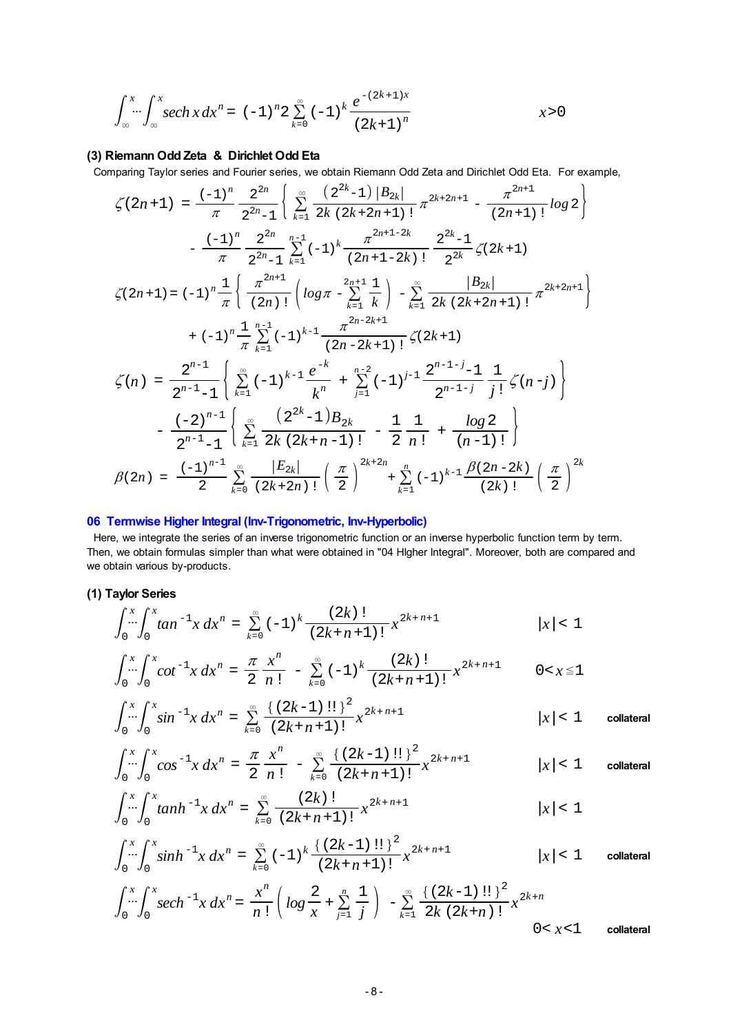<span id="page-7-0"></span>
$$
\int_{-\infty}^{x} \cdots \int_{-\infty}^{x} sech x \, dx^{n} = (-1)^{n} 2 \sum_{k=0}^{\infty} (-1)^{k} \frac{e^{-(2k+1)x}}{(2k+1)^{n}} \qquad x > 0
$$

# **(3) Riemann Odd Zeta & Dirichlet Odd Eta**

Comparing Taylor series and Fourier series, we obtain Riemann Odd Zeta and Dirichlet Odd Eta. For example,

$$
\zeta(2n+1) = \frac{(-1)^n}{\pi} \frac{2^{2n}}{2^{2n}-1} \left\{ \sum_{k=1}^{\infty} \frac{(2^{2k}-1) |B_{2k}|}{2k (2k+2n+1)!} \pi^{2k+2n+1} - \frac{\pi^{2n+1}}{(2n+1)!} \log 2 \right\}
$$

$$
- \frac{(-1)^n}{\pi} \frac{2^{2n}}{2^{2n}-1} \sum_{k=1}^{n-1} (-1)^k \frac{\pi^{2n+1-2k}}{(2n+1-2k)!} \frac{2^{2k}-1}{2^{2k}} \zeta(2k+1)
$$

$$
\zeta(2n+1) = (-1)^n \frac{1}{\pi} \left\{ \frac{\pi^{2n+1}}{(2n)!} \left( \log \pi - \sum_{k=1}^{2n+1} \frac{1}{k} \right) - \sum_{k=1}^{\infty} \frac{|B_{2k}|}{2k (2k+2n+1)!} \pi^{2k+2n+1} \right\}
$$

$$
+ (-1)^n \frac{1}{\pi} \sum_{k=1}^{n-1} (-1)^{k-1} \frac{\pi^{2n-2k+1}}{(2n-2k+1)!} \zeta(2k+1)
$$

$$
\zeta(n) = \frac{2^{n-1}}{2^{n-1}-1} \left\{ \sum_{k=1}^{\infty} (-1)^{k-1} \frac{e^{-k}}{k^n} + \sum_{j=1}^{n-2} (-1)^{j-1} \frac{2^{n-1-j}-1}{2^{n-1-j}} \frac{1}{j!} \zeta(n-j) \right\}
$$

$$
- \frac{(-2)^{n-1}}{2^{n-1}-1} \left\{ \sum_{k=1}^{\infty} \frac{(2^{2k}-1)B_{2k}}{2k (2k+n-1)!} - \frac{1}{2} \frac{1}{n!} + \frac{\log 2}{(n-1)!} \right\}
$$

$$
\beta(2n) = \frac{(-1)^{n-1}}{2} \sum_{k=0}^{\infty} \frac{|E_{2k}|}{(2k+2n)!} \left( \frac{\pi}{2} \right)^{2k+2n} + \sum_{k=1}^{n} (-1)^{k-1} \frac{\beta(2n-2k)}{(2k)!} \left( \frac{\
$$

# **06 Termwise Higher Integral (Inv-Trigonometric, Inv-Hyperbolic)**

 Here, we integrate the series of an inverse trigonometric function or an inverse hyperbolic function term by term. Then, we obtain formulas simpler than what were obtained in "04 HIgher Integral". Moreover, both are compared and we obtain various by-products.

### **(1) Taylor Series**

$$
\int_0^x \int_0^x \tan^{-1} x \, dx^n = \sum_{k=0}^\infty (-1)^k \frac{(2k)!}{(2k+n+1)!} x^{2k+n+1} \qquad |x| < 1
$$

$$
\int_0^x \int_0^x \cot^{-1} x \, dx^n = \frac{\pi}{2} \frac{x^n}{n!} - \sum_{k=0}^\infty (-1)^k \frac{(2k)!}{(2k+n+1)!} x^{2k+n+1} \qquad 0 < x \le 1
$$

$$
\int_0^x \int_0^x \sin^{-1} x \, dx^n = \sum_{k=0}^\infty \frac{\{(2k-1)!!\}^2}{(2k+n+1)!} x^{2k+n+1} \qquad |x| < 1 \qquad \text{collateral}
$$

$$
\int_0^x \int_0^x \cos^{-1} x \, dx^n = \frac{\pi}{2} \frac{x^n}{n!} - \sum_{k=0}^\infty \frac{\{(2k-1)!!\}^2}{(2k+n+1)!} x^{2k+n+1} \qquad |x| < 1 \qquad \text{collateral}
$$

$$
\int_0^x \int_0^x \tanh^{-1} x \, dx^n = \sum_{k=0}^\infty \frac{(2k)!}{(2k+n+1)!} x^{2k+n+1} \qquad |x| < 1
$$

$$
\int_0^x \int_0^x \sinh^{-1} x \, dx^n = \sum_{k=0}^\infty (-1)^k \frac{\{(2k-1)!!\}^2}{(2k+n+1)!} x^{2k+n+1} \qquad |x| < 1 \qquad \text{collateral}
$$

$$
\int_0^x \int_0^x \sec h^{-1} x \, dx^n = \frac{x^n}{n!} \left( \log \frac{2}{x} + \sum_{j=1}^n \frac{1}{j} \right) - \sum_{k=1}^\infty \frac{\left\{ (2k-1)!! \right\}^2}{2k (2k+n)!} x^{2k+n}
$$
\n
$$
0 < x < 1
$$
\ncolateral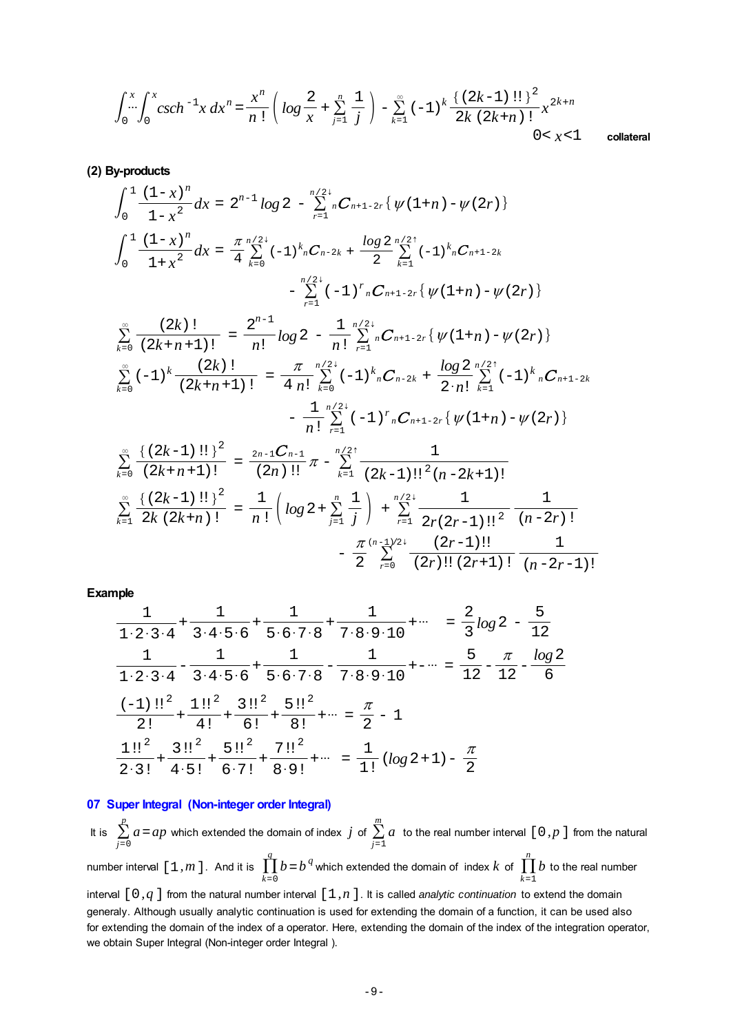$$
\int_0^x \int_0^x \csc h^{-1} x \, dx^n = \frac{x^n}{n!} \left( \log \frac{2}{x} + \sum_{j=1}^n \frac{1}{j} \right) - \sum_{k=1}^\infty (-1)^k \frac{\left\{ (2k-1)!! \right\}^2}{2k (2k+n)!} x^{2k+n}
$$
\n
$$
0 < x < 1
$$
\ncollateral

**(2) By-products**

$$
\int_{0}^{1} \frac{(1-x)^{n}}{1-x^{2}} dx = 2^{n-1} \log 2 - \sum_{r=1}^{n/2} {}_{n}C_{n+1-2r} \{ \psi(1+n) - \psi(2r) \}
$$
  

$$
\int_{0}^{1} \frac{(1-x)^{n}}{1+x^{2}} dx = \frac{\pi}{4} \sum_{k=0}^{n/2} (-1)^{k} {}_{n}C_{n-2k} + \frac{\log 2}{2} \sum_{k=1}^{n/2} (-1)^{k} {}_{n}C_{n+1-2k}
$$
  

$$
- \sum_{r=1}^{n/2} (-1)^{r} {}_{n}C_{n+1-2r} \{ \psi(1+n) - \psi(2r) \}
$$

$$
\sum_{k=0}^{\infty} \frac{(2k)!}{(2k+n+1)!} = \frac{2^{n-1}}{n!} log 2 - \frac{1}{n!} \sum_{r=1}^{n/2+} {}_{n}C_{n+1-2r} \{ \psi(1+n) - \psi(2r) \}
$$
\n
$$
\sum_{k=0}^{\infty} (-1)^{k} \frac{(2k)!}{(2k+n+1)!} = \frac{\pi}{4 n!} \sum_{k=0}^{n/2+} (-1)^{k} {}_{n}C_{n-2k} + \frac{log 2}{2 \cdot n!} \sum_{k=1}^{n/2+} (-1)^{k} {}_{n}C_{n+1-2k}
$$
\n
$$
- \frac{1}{n!} \sum_{r=1}^{n/2+} (-1)^{r} {}_{n}C_{n+1-2r} \{ \psi(1+n) - \psi(2r) \}
$$

$$
\sum_{k=0}^{\infty} \frac{\{(2k-1)!!\}^2}{(2k+n+1)!} = \frac{2n-1C_{n-1}}{(2n)!!} \pi - \sum_{k=1}^{n/2} \frac{1}{(2k-1)!!^2 (n-2k+1)!}
$$
\n
$$
\sum_{k=1}^{\infty} \frac{\{(2k-1)!!\}^2}{2k (2k+n)!} = \frac{1}{n!} \left(\log 2 + \sum_{j=1}^{n} \frac{1}{j}\right) + \sum_{r=1}^{n/2} \frac{1}{2r (2r-1)!!^2} \frac{1}{(n-2r)!}
$$
\n
$$
- \frac{\pi}{2} \sum_{r=0}^{(n-1)/2} \frac{(2r-1)!!}{(2r)!! (2r+1)!} \frac{1}{(n-2r-1)!}
$$

**Example**

$$
\frac{1}{1 \cdot 2 \cdot 3 \cdot 4} + \frac{1}{3 \cdot 4 \cdot 5 \cdot 6} + \frac{1}{5 \cdot 6 \cdot 7 \cdot 8} + \frac{1}{7 \cdot 8 \cdot 9 \cdot 10} + \cdots = \frac{2}{3} \log 2 - \frac{5}{12}
$$
  

$$
\frac{1}{1 \cdot 2 \cdot 3 \cdot 4} - \frac{1}{3 \cdot 4 \cdot 5 \cdot 6} + \frac{1}{5 \cdot 6 \cdot 7 \cdot 8} - \frac{1}{7 \cdot 8 \cdot 9 \cdot 10} + \cdots = \frac{5}{12} - \frac{\pi}{12} - \frac{\log 2}{6}
$$
  

$$
\frac{(-1) \cdot 1^2}{2!} + \frac{1 \cdot 1^2}{4!} + \frac{3 \cdot 1^2}{6!} + \frac{5 \cdot 1^2}{8!} + \cdots = \frac{\pi}{2} - 1
$$
  

$$
\frac{1 \cdot 1^2}{2 \cdot 3!} + \frac{3 \cdot 1^2}{4 \cdot 5!} + \frac{5 \cdot 1^2}{6 \cdot 7!} + \frac{7 \cdot 1^2}{8 \cdot 9!} + \cdots = \frac{1}{1!} (\log 2 + 1) - \frac{\pi}{2}
$$

# **07 Super Integral (Non-integer order Integral)**

It is  $\sum_{j=0}^{p}$  $\sum\limits_{j=0}^{p} a = ap$  which extended the domain of index  $\displaystyle j$  of  $\sum\limits_{j=1}^{m}$  $\sum\limits_{i=1}^{m}a_i$  to the real number interval [ 0*, p* ] from the natural number interval  $[1, m]$ . And it is  $\prod_{k=0}^{q}$  $\prod_{k=0}^{q} b = b^{\vert q \vert}$  which extended the domain of  $\ln \log k$  of  $\prod_{k=1}^{n}$  $\prod^n b$  to the real number interval [0*,q*] from the natural number interval [1*,n*]. It is called *analytic continuation* to extend the domain generaly. Although usually analytic continuation is used for extending the domain of a function, it can be used also for extending the domain of the index of a operator. Here, extending the domain of the index of the integration operator, we obtain Super Integral (Non-integer order Integral ).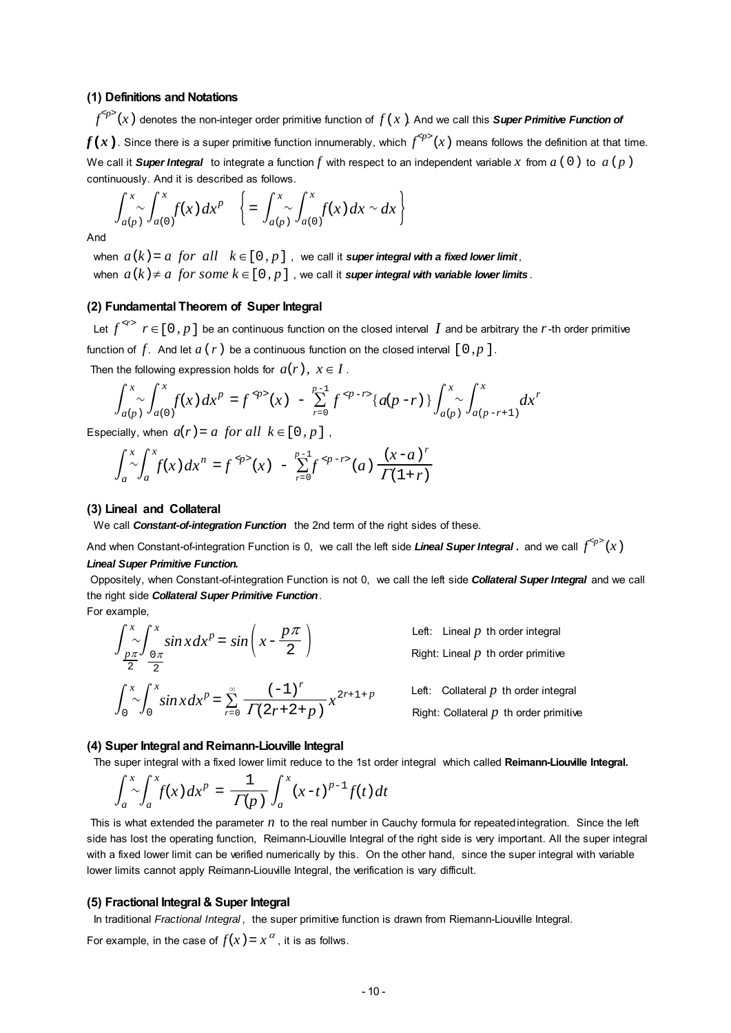#### **(1) Definitions and Notations**

 $f^{}$  (x) denotes the non-integer order primitive function of  $f(x)$ . And we call this **Super Primitive Function of** 

 $f(x)$  . Since there is a super primitive function innumerably, which  $f^{\simeq p}(x)$  means follows the definition at that time. We call it **Super Integral** to integrate a function  $f$  with respect to an independent variable  $x$  from  $a$  (0) to  $a$  ( $p$ ) continuously. And it is described as follows.

$$
\int_{a(p)}^{x} \int_{a(0)}^{x} f(x) dx^{p} \quad \left\{ = \int_{a(p)}^{x} \int_{a(0)}^{x} f(x) dx \sim dx \right\}
$$

And

when  $a(k) = a$  for all  $k \in [0, p]$ , we call it **super integral with a fixed lower limit**,

when  $a(k) \neq a$  for some  $k \in [0, p]$ , we call it **super integral with variable lower limits**.

### **(2) Fundamental Theorem of Super Integral**

Let  $f^{< r>}$   $r \in [0, p]$  be an continuous function on the closed interval *I* and be arbitrary the *r*-th order primitive function of  $f$ . And let  $a(r)$  be a continuous function on the closed interval  $[0, p]$ .

Then the following expression holds for  $a(r)$ ,  $x \in I$ .

$$
\int_{a(p)}^{x} \int_{a(0)}^{x} f(x) dx^{p} = f^{op}(x) - \sum_{r=0}^{p-1} f^{op-r} \{a(p-r)\} \int_{a(p)}^{x} \int_{a(p-r+1)}^{x} dx^{r}
$$

Especially, when  $a(r) = a$  for all  $k \in [0, p]$ ,

$$
\int_{a}^{x} \int_{a}^{x} f(x) dx^{n} = f^{op}(x) - \sum_{r=0}^{p-1} f^{op-r}(a) \frac{(x-a)^{r}}{\Gamma(1+r)}
$$

#### **(3) Lineal and Collateral**

We call *Constant-of-integration Function* the 2nd term of the right sides of these.

And when Constant-of-integration Function is 0, we call the left side *Lineal Super Integral .* and we call  $f^{}(x)$ 

#### *Lineal Super Primitive Function.*

 Oppositely, when Constant-of-integration Function is not 0, we call the left side *Collateral Super Integral* and we call the right side *Collateral Super Primitive Function*.

For example,

$$
\int_{\frac{p\pi}{2}}^{x} \int_{\frac{0\pi}{2}}^{x} \sin x \, dx^p = \sin\left(x - \frac{p\pi}{2}\right)
$$
\n
$$
\int_{0}^{x} \int_{0}^{x} \sin x \, dx^p = \sum_{r=0}^{\infty} \frac{\left(-1\right)^r}{\Gamma(2r+2+p)} x^{2r+1+p}
$$

Left: Lineal  $p$  th order integral Right: Lineal *p* th order primitive

Left: Collateral  $p$  th order integral Right: Collateral *p* th order primitive

#### **(4) Super Integral and Reimann-Liouville Integral**

The super integral with a fixed lower limit reduce to the 1st order integral which called **Reimann-Liouville Integral.**

$$
\int_a^x \int_a^x f(x) dx^p = \frac{1}{\Gamma(p)} \int_a^x (x-t)^{p-1} f(t) dt
$$

 This is what extended the parameter *n* to the real number in Cauchy formula for repeated integration. Since the left side has lost the operating function, Reimann-Liouville Integral of the right side is very important. All the super integral with a fixed lower limit can be verified numerically by this. On the other hand, since the super integral with variable lower limits cannot apply Reimann-Liouville Integral, the verification is vary difficult.

#### **(5) Fractional Integral & Super Integral**

In traditional *Fractional Integral* , the super primitive function is drawn from Riemann-Liouville Integral.

For example, in the case of  $f(x) = x^{\alpha}$ , it is as follws.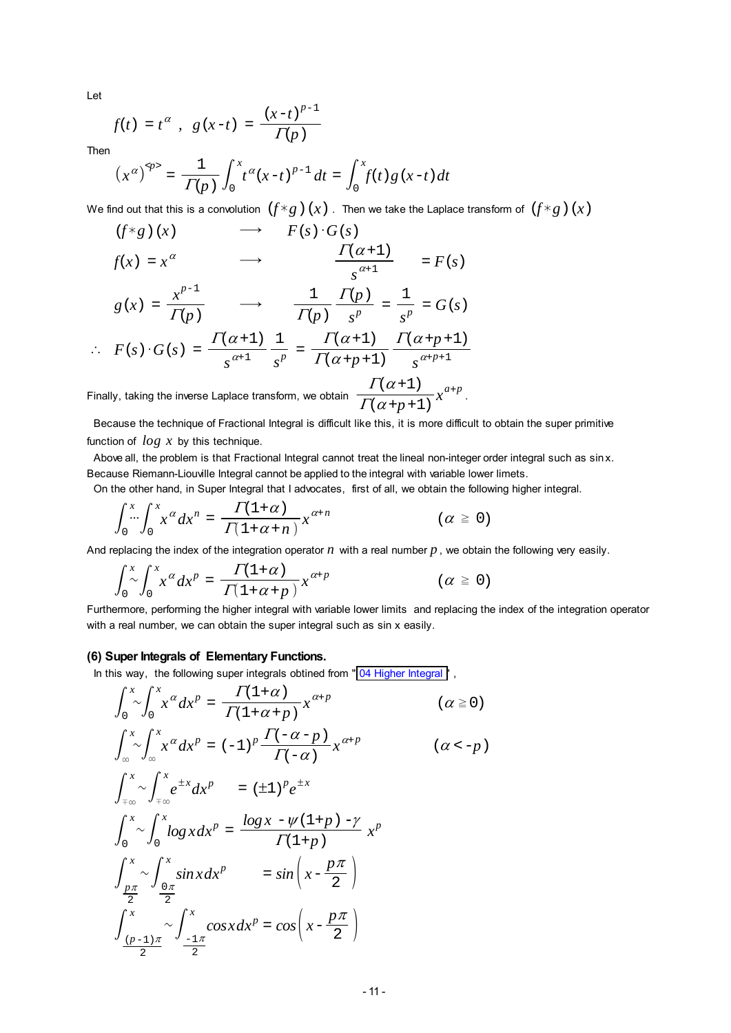Let

$$
f(t) = t^{\alpha}
$$
,  $g(x-t) = \frac{(x-t)^{p-1}}{\Gamma(p)}$ 

Then

$$
(x^{\alpha})^{\varphi} = \frac{1}{\Gamma(p)} \int_0^x t^{\alpha} (x-t)^{p-1} dt = \int_0^x f(t) g(x-t) dt
$$

We find out that this is a convolution  $(f * g)(x)$ . Then we take the Laplace transform of  $(f * g)(x)$ 

$$
(f*g)(x) \longrightarrow F(s) \cdot G(s)
$$
  

$$
f(x) = x^{\alpha} \longrightarrow \frac{\Gamma(\alpha+1)}{s^{\alpha+1}} = F(s)
$$

$$
g(x) = \frac{x^{p-1}}{\Gamma(p)} \qquad \longrightarrow \qquad \frac{1}{\Gamma(p)} \frac{\Gamma(p)}{s^p} = \frac{1}{s^p} = G(s)
$$

$$
\therefore F(s) \cdot G(s) = \frac{\Gamma(\alpha+1)}{s^{\alpha+1}} \frac{1}{s^p} = \frac{\Gamma(\alpha+1)}{\Gamma(\alpha+p+1)} \frac{\Gamma(\alpha+p+1)}{s^{\alpha+p+1}}
$$

Finally, taking the inverse Laplace transform, we obtain  $\sqrt{\frac{\varGamma(\alpha+p+1)}{}}$  $\Gamma(\alpha+1)$  $x^{a+p}$ .

 Because the technique of Fractional Integral is difficult like this, it is more difficult to obtain the super primitive function of *log x* by this technique.

 Above all, the problem is that Fractional Integral cannot treat the lineal non-integer order integral such as sin x. Because Riemann-Liouville Integral cannot be applied to the integral with variable lower limets.

On the other hand, in Super Integral that I advocates, first of all, we obtain the following higher integral.

$$
\int_0^x \int_0^x x^{\alpha} dx^n = \frac{\Gamma(1+\alpha)}{\Gamma(1+\alpha+n)} x^{\alpha+n} \qquad (\alpha \ge 0)
$$

And replacing the index of the integration operator  $n$  with a real number  $p$ , we obtain the following very easily.

$$
\int_0^x \int_0^x x^{\alpha} dx^p = \frac{\Gamma(1+\alpha)}{\Gamma(1+\alpha+p)} x^{\alpha+p} \qquad (\alpha \ge 0)
$$

Furthermore, performing the higher integral with variable lower limits and replacing the index of the integration operator with a real number, we can obtain the super integral such as sin x easily.

#### **(6) Super Integrals of Elementary Functions.**

In this way, the following super integrals obtined from " [04 Higher Integral "](#page-1-0),

$$
\int_{0}^{x} \int_{0}^{x} x^{\alpha} dx^{p} = \frac{\Gamma(1+\alpha)}{\Gamma(1+\alpha+p)} x^{\alpha+p}
$$
 ( $\alpha \ge 0$ )  

$$
\int_{\infty}^{x} \int_{0}^{x} x^{\alpha} dx^{p} = (-1)^{p} \frac{\Gamma(-\alpha-p)}{\Gamma(-\alpha)} x^{\alpha+p}
$$
 ( $\alpha < -p$ )  

$$
\int_{\pi\infty}^{x} \int_{\pi\infty}^{x} e^{\pm x} dx^{p} = (\pm 1)^{p} e^{\pm x}
$$
  

$$
\int_{0}^{x} \int_{0}^{x} \int_{0}^{x} \log x dx^{p} = \frac{\log x - \psi(1+p) - \gamma}{\Gamma(1+p)} x^{p}
$$
  

$$
\int_{\frac{p\pi}{2}}^{x} \int_{\frac{0\pi}{2}}^{x} \sin x dx^{p} = \sin \left( x - \frac{p\pi}{2} \right)
$$
  

$$
\int_{\frac{(p-1)\pi}{2}}^{x} \int_{\frac{-1\pi}{2}}^{x} \cos x dx^{p} = \cos \left( x - \frac{p\pi}{2} \right)
$$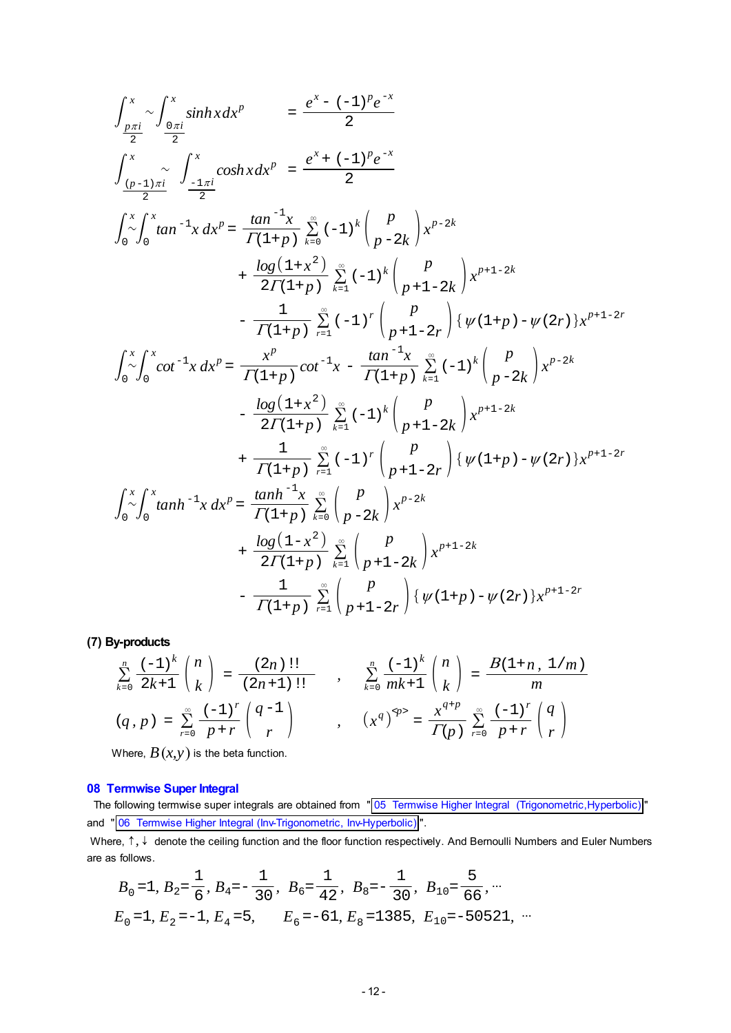$$
\int_{\frac{p\pi i}{2}}^{x} \int_{\frac{0\pi i}{2}}^{x} \sinh x dx^{p} = \frac{e^{x} - (-1)^{p}e^{-x}}{2}
$$
\n
$$
\int_{\frac{(p-1)\pi i}{2}}^{x} \int_{\frac{-1\pi i}{2}}^{x} \cosh x dx^{p} = \frac{e^{x} + (-1)^{p}e^{-x}}{2}
$$
\n
$$
\int_{0}^{x} \int_{0}^{x} \tan^{-1} x dx^{p} = \frac{\tan^{-1} x}{\Gamma(1+p)} \sum_{k=0}^{\infty} (-1)^{k} {p \choose p-2k} x^{p-2k}
$$
\n
$$
+ \frac{\log(1+x^{2})}{2\Gamma(1+p)} \sum_{k=1}^{\infty} (-1)^{k} {p \choose p+1-2k} x^{p+1-2k}
$$
\n
$$
- \frac{1}{\Gamma(1+p)} \sum_{r=1}^{\infty} (-1)^{r} {p \choose p+1-2r} \{ \psi(1+p) - \psi(2r) \} x^{p+1-2r}
$$
\n
$$
\int_{0}^{x} \int_{0}^{x} \cot^{-1} x dx^{p} = \frac{x^{p}}{\Gamma(1+p)} \cot^{-1} x - \frac{\tan^{-1} x}{\Gamma(1+p)} \sum_{k=1}^{\infty} (-1)^{k} {p \choose p-2k} x^{p-2k}
$$
\n
$$
- \frac{\log(1+x^{2})}{2\Gamma(1+p)} \sum_{k=1}^{\infty} (-1)^{k} {p \choose p+1-2k} x^{p+1-2k}
$$
\n
$$
+ \frac{1}{\Gamma(1+p)} \sum_{r=1}^{\infty} (-1)^{r} {p \choose p+1-2r} \{ \psi(1+p) - \psi(2r) \} x^{p+1-2r}
$$
\n
$$
\int_{0}^{x} \int_{0}^{x} \tanh^{-1} x dx^{p} = \frac{\tanh^{-1} x}{\Gamma(1+p)} \sum_{k=0}^{\infty} {p \choose p-2k} x^{p-2k}
$$
\n
$$
+ \frac{\log(1-x^{2})}{2\Gamma(1+p)} \sum_{k=1}^{\infty} {p \choose p+1-2k} x^{p+1-2k}
$$
\n
$$
- \frac{1}{
$$

**(7) By-products**

$$
\sum_{k=0}^{n} \frac{(-1)^{k}}{2k+1} {n \choose k} = \frac{(2n)!!}{(2n+1)!!} , \quad \sum_{k=0}^{n} \frac{(-1)^{k}}{mk+1} {n \choose k} = \frac{B(1+n, 1/m)}{m}
$$
  
(q, p) =  $\sum_{r=0}^{\infty} \frac{(-1)^{r}}{p+r} {q-1 \choose r} , \quad (x^{q})^{\varphi} = \frac{x^{q+p}}{\Gamma(p)} \sum_{r=0}^{\infty} \frac{(-1)^{r}}{p+r} {q \choose r}$ 

Where,  $B(x, y)$  is the beta function.

### **08 Termwise Super Integral**

The following termwise super integrals are obtained from " 05 Termwise Higher Integral (Trigonometric, Hyperbolic) " and " [06 Termwise Higher Integral \(Inv-Trigonometric, Inv-Hyperbolic\)](#page-7-0) ".

Where,  $\uparrow$ ,  $\downarrow$  denote the ceiling function and the floor function respectively. And Bernoulli Numbers and Euler Numbers are as follows.

$$
B_0 = 1
$$
,  $B_2 = \frac{1}{6}$ ,  $B_4 = -\frac{1}{30}$ ,  $B_6 = \frac{1}{42}$ ,  $B_8 = -\frac{1}{30}$ ,  $B_{10} = \frac{5}{66}$ , ...  
\n $E_0 = 1$ ,  $E_2 = -1$ ,  $E_4 = 5$ ,  $E_6 = -61$ ,  $E_8 = 1385$ ,  $E_{10} = -50521$ , ...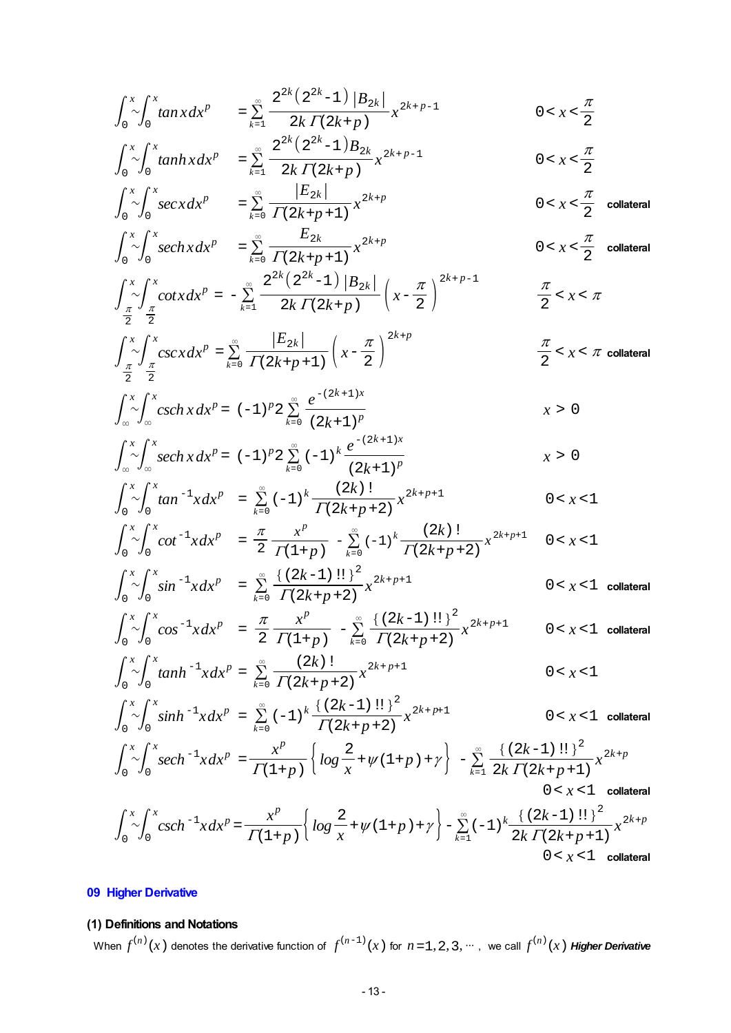$$
\int_{0}^{x} \int_{0}^{x} \tan x dx^{p} = \sum_{k=1}^{\infty} \frac{2^{2k} (2^{2k} - 1) |B_{2k}|}{2k \Gamma(2k+p)} x^{2k+p-1}
$$
\n
$$
0 < x < \frac{\pi}{2}
$$
\n
$$
\int_{0}^{x} \int_{0}^{x} \tan h x dx^{p} = \sum_{k=1}^{\infty} \frac{2^{2k} (2^{2k} - 1) B_{2k}}{2k \Gamma(2k+p)} x^{2k+p-1}
$$
\n
$$
0 < x < \frac{\pi}{2}
$$
\n
$$
\int_{0}^{x} \int_{0}^{x} \sec x dx^{p} = \sum_{k=0}^{\infty} \frac{|E_{2k}|}{\Gamma(2k+p+1)} x^{2k+p}
$$
\n
$$
0 < x < \frac{\pi}{2}
$$
 collateral\n
$$
\int_{0}^{x} \int_{0}^{x} \sec h x dx^{p} = \sum_{k=0}^{\infty} \frac{E_{2k}}{\Gamma(2k+p+1)} x^{2k+p}
$$
\n
$$
0 < x < \frac{\pi}{2}
$$
 collateral\n
$$
\int_{\frac{\pi}{2}}^{x} \int_{\frac{\pi}{2}}^{x} \cot x dx^{p} = -\sum_{k=1}^{\infty} \frac{2^{2k} (2^{2k} - 1) |B_{2k}|}{2k \Gamma(2k+p)} (x - \frac{\pi}{2})^{2k+p-1}
$$
\n
$$
\int_{\frac{\pi}{2}}^{x} \int_{\frac{\pi}{2}}^{x} \csc x dx^{p} = \sum_{k=0}^{\infty} \frac{|E_{2k}|}{\Gamma(2k+p+1)} (x - \frac{\pi}{2})^{2k+p}
$$
\n
$$
\frac{\pi}{2} < x < \pi
$$
 collateral

$$
\int_{\infty}^{x} \int_{\infty}^{x} csch x dx^{p} = (-1)^{p} 2 \sum_{k=0}^{\infty} \frac{e^{-(2k+1)x}}{(2k+1)^{p}} \qquad x > 0
$$

$$
\int_{-\infty}^{x} \int_{-\infty}^{x} sech x \, dx^{p} = (-1)^{p} 2 \sum_{k=0}^{\infty} (-1)^{k} \frac{e^{-(2k+1)x}}{(2k+1)^{p}} \qquad x > 0
$$

$$
\int_0^x \int_0^x \tan^{-1} x dx^p = \sum_{k=0}^\infty (-1)^k \frac{(2k)!}{\Gamma(2k+p+2)} x^{2k+p+1} \qquad 0 < x < 1
$$

$$
\int_0^x \int_0^x \cot^{-1} x \, dx^p = \frac{\pi}{2} \frac{x^p}{\Gamma(1+p)} - \sum_{k=0}^\infty (-1)^k \frac{(2k)!}{\Gamma(2k+p+2)} x^{2k+p+1} \quad 0 < x < 1
$$

$$
\int_0^x \int_0^x \sin^{-1} x \, dx^p = \sum_{k=0}^\infty \frac{\left\{ (2k-1)!! \right\}^2}{\Gamma(2k+p+2)} x^{2k+p+1}
$$
 0 < x < 1 **collateral**

$$
\int_0^x \int_0^x \cos^{-1} x \, dx^p = \frac{\pi}{2} \frac{x^p}{\Gamma(1+p)} - \sum_{k=0}^\infty \frac{\{(2k-1)!!\}^2}{\Gamma(2k+p+2)} x^{2k+p+1} \qquad 0 < x < 1 \quad \text{collateral}
$$

$$
\int_0^x \int_0^x \tanh^{-1}x \, dx^p = \sum_{k=0}^\infty \frac{(2k)!}{\Gamma(2k+p+2)} x^{2k+p+1} \qquad 0 < x < 1
$$

$$
\int_0^x \int_0^x \sinh^{-1} x \, dx^p = \sum_{k=0}^\infty (-1)^k \frac{\{(2k-1)!!\}^2}{\Gamma(2k+p+2)} x^{2k+p+1}
$$
 0 < x < 1 **collateral**

$$
\int_0^x \int_0^x \sec^{-1}x \, dx = \frac{x^p}{\Gamma(1+p)} \left\{ \log \frac{2}{x} + \psi(1+p) + \gamma \right\} - \sum_{k=1}^\infty \frac{\{(2k-1)!!\}^2}{2k \Gamma(2k+p+1)} x^{2k+p}
$$
\n
$$
0 < x < 1 \quad \text{collateral}
$$

$$
\int_0^x \int_0^x \csc h^{-1} x dx^p = \frac{x^p}{\Gamma(1+p)} \left\{ \log \frac{2}{x} + \psi(1+p) + \gamma \right\} - \sum_{k=1}^\infty (-1)^k \frac{\left\{ (2k-1)!! \right\}^2}{2k \Gamma(2k+p+1)} x^{2k+p}
$$
  
0 < x < 1 **collateral**

# **09 Higher Derivative**

# **(1) Definitions and Notations**

When  $f^{(n)}(x)$  denotes the derivative function of  $f^{(n-1)}(x)$  for  $n=1, 2, 3, \dots$ , we call  $f^{(n)}(x)$  **Higher Derivative**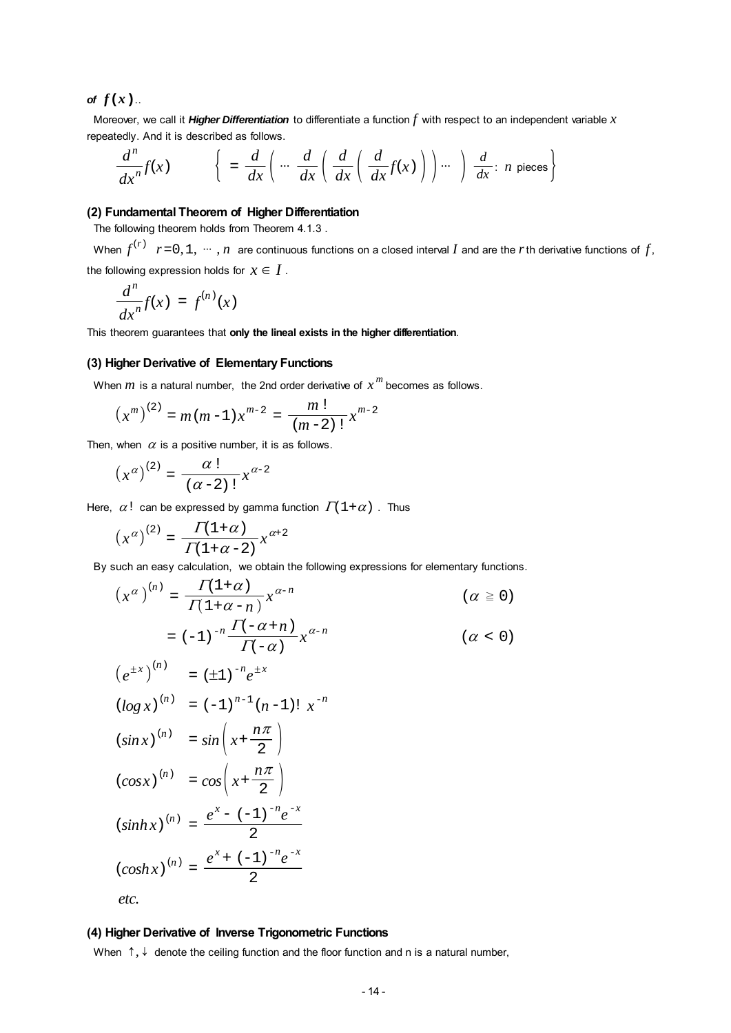### <span id="page-13-0"></span>*of*  $f(x)$ ..

 Moreover, we call it *Higher Differentiation* to differentiate a function *f* with respect to an independent variable *x* repeatedly. And it is described as follows.

$$
\frac{d^n}{dx^n}f(x) \qquad \left\{ \begin{array}{c} = \frac{d}{dx}\left(\begin{array}{c} \cdots \end{array}\frac{d}{dx}\left(\frac{d}{dx}\left(\frac{d}{dx}f(x)\right)\right)\cdots \right) \frac{d}{dx} : n \text{ pieces} \end{array} \right\}
$$

#### **(2) Fundamental Theorem of Higher Differentiation**

The following theorem holds from Theorem 4.1.3 .

When  $f^{(r)}$   $r = 0, 1, \cdots, n$  are continuous functions on a closed interval *I* and are the *r* th derivative functions of  $f$ , the following expression holds for  $x \in I$ .

$$
\frac{d^n}{dx^n}f(x) = f^{(n)}(x)
$$

This theorem guarantees that **only the lineal exists in the higher differentiation**.

#### **(3) Higher Derivative of Elementary Functions**

When *m* is a natural number, the 2nd order derivative of *x <sup>m</sup>* becomes as follows.

$$
\left(x^{m}\right)^{(2)} = m(m-1)x^{m-2} = \frac{m!}{(m-2)!}x^{m-2}
$$

Then, when  $\alpha$  is a positive number, it is as follows.

$$
\left(x^\alpha\right)^{(2)}=\frac{\alpha\,!}{(\alpha\!-\!2)\,!}x^{\alpha\!-\!2}
$$

Here,  $\alpha!$  can be expressed by gamma function  $\Gamma(1+\alpha)$ . Thus

$$
(x^{\alpha})^{(2)} = \frac{\Gamma(1+\alpha)}{\Gamma(1+\alpha-2)} x^{\alpha+2}
$$

By such an easy calculation, we obtain the following expressions for elementary functions.

$$
\left(x^{\alpha}\right)^{(n)} = \frac{\Gamma(1+\alpha)}{\Gamma(1+\alpha-n)} x^{\alpha-n} \qquad (\alpha \ge 0)
$$

$$
= (-1)^{-n} \frac{\Gamma(-\alpha+n)}{\Gamma(-\alpha)} x^{\alpha-n} \qquad (\alpha < 0)
$$

$$
(e^{\pm x})^{(n)} = (\pm 1)^{-n} e^{\pm x}
$$
  
\n
$$
(\log x)^{(n)} = (-1)^{n-1} (n-1)! x^{-n}
$$
  
\n
$$
(\sin x)^{(n)} = \sin \left(x + \frac{n\pi}{2}\right)
$$
  
\n
$$
(\cos x)^{(n)} = \cos \left(x + \frac{n\pi}{2}\right)
$$
  
\n
$$
(\sinh x)^{(n)} = \frac{e^{x} - (-1)^{-n} e^{-x}}{2}
$$
  
\n
$$
(\cosh x)^{(n)} = \frac{e^{x} + (-1)^{-n} e^{-x}}{2}
$$

*etc.*

#### **(4) Higher Derivative of Inverse Trigonometric Functions**

When  $\uparrow, \downarrow$  denote the ceiling function and the floor function and n is a natural number,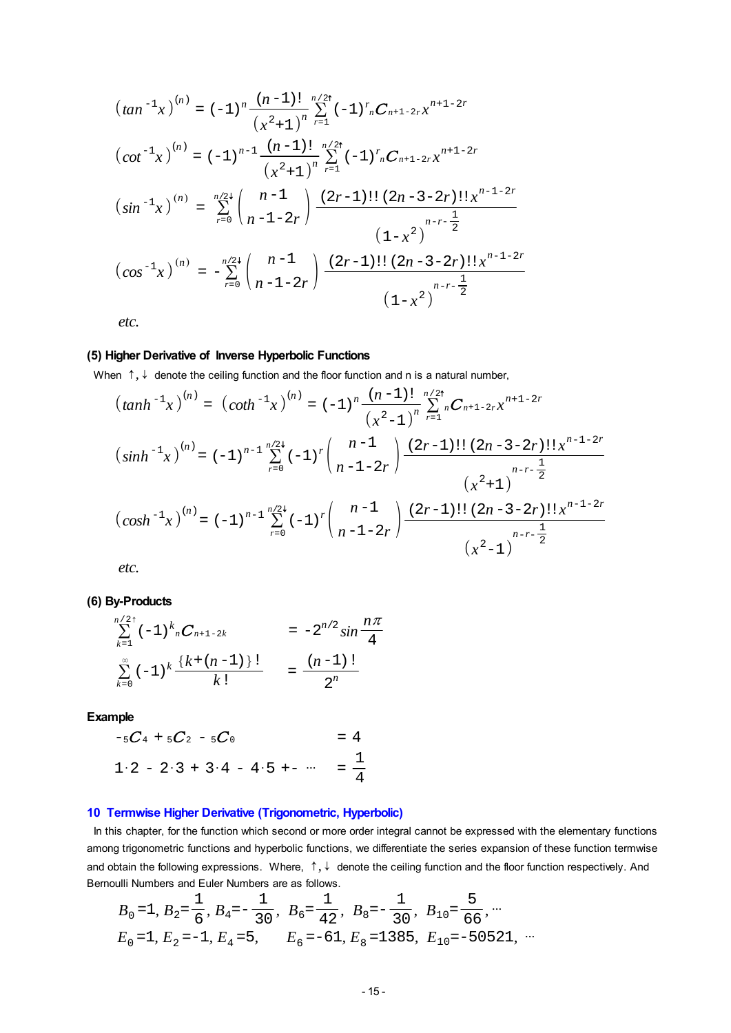<span id="page-14-0"></span>
$$
(tan^{-1}x)^{(n)} = (-1)^{n} \frac{(n-1)!}{(x^{2}+1)^{n}} \sum_{r=1}^{n/2!} (-1)^{r} {}_{n}C_{n+1-2r}x^{n+1-2r}
$$
  
\n
$$
(cot^{-1}x)^{(n)} = (-1)^{n-1} \frac{(n-1)!}{(x^{2}+1)^{n}} \sum_{r=1}^{n/2!} (-1)^{r} {}_{n}C_{n+1-2r}x^{n+1-2r}
$$
  
\n
$$
(sin^{-1}x)^{(n)} = \sum_{r=0}^{n/2} {n-1 \choose n-1-2r} \frac{(2r-1)!! (2n-3-2r)!! x^{n-1-2r}}{(1-x^{2})^{n-r-\frac{1}{2}}}
$$
  
\n
$$
(cos^{-1}x)^{(n)} = -\sum_{r=0}^{n/2} {n-1 \choose n-1-2r} \frac{(2r-1)!! (2n-3-2r)!! x^{n-1-2r}}{(1-x^{2})^{n-r-\frac{1}{2}}}
$$

*etc.*

### **(5) Higher Derivative of Inverse Hyperbolic Functions**

When  $\uparrow$ ,  $\downarrow$  denote the ceiling function and the floor function and n is a natural number,

$$
(tanh^{-1}x)^{(n)} = (coth^{-1}x)^{(n)} = (-1)^n \frac{(n-1)!}{(x^2-1)^n} \sum_{r=1}^{n/24} C_{n+1-2r} x^{n+1-2r}
$$
  

$$
(sinh^{-1}x)^{(n)} = (-1)^{n-1} \sum_{r=0}^{n/24} (-1)^r {n-1 \choose n-1-2r} \frac{(2r-1)!! (2n-3-2r)!! x^{n-1-2r}}{(x^2+1)}
$$
  

$$
(cosh^{-1}x)^{(n)} = (-1)^{n-1} \sum_{r=0}^{n/24} (-1)^r {n-1 \choose n-1-2r} \frac{(2r-1)!! (2n-3-2r)!! x^{n-1-2r}}{(x^2-1)}
$$
  

$$
(x^2-1)^{n-r-\frac{1}{2}}
$$

*etc.*

**(6) By-Products**

$$
\sum_{k=1}^{n/2^+} (-1)^k {}_nC_{n+1-2k} = -2^{n/2} \sin \frac{n\pi}{4}
$$
  

$$
\sum_{k=0}^{\infty} (-1)^k \frac{\{k + (n-1)\} \}!}{k!} = \frac{(n-1)!}{2^n}
$$

**Example**

$$
-5C_4 + 5C_2 - 5C_0 = 4
$$
  
1·2 - 2·3 + 3·4 - 4·5 + - ... =  $\frac{1}{4}$ 

#### **10 Termwise Higher Derivative (Trigonometric, Hyperbolic)**

In this chapter, for the function which second or more order integral cannot be expressed with the elementary functions among trigonometric functions and hyperbolic functions, we differentiate the series expansion of these function termwise and obtain the following expressions. Where, ↑, ↓ denote the ceiling function and the floor function respectively. And Bernoulli Numbers and Euler Numbers are as follows.

$$
B_0 = 1
$$
,  $B_2 = \frac{1}{6}$ ,  $B_4 = -\frac{1}{30}$ ,  $B_6 = \frac{1}{42}$ ,  $B_8 = -\frac{1}{30}$ ,  $B_{10} = \frac{5}{66}$ , ...  
\n $E_0 = 1$ ,  $E_2 = -1$ ,  $E_4 = 5$ ,  $E_6 = -61$ ,  $E_8 = 1385$ ,  $E_{10} = -50521$ , ...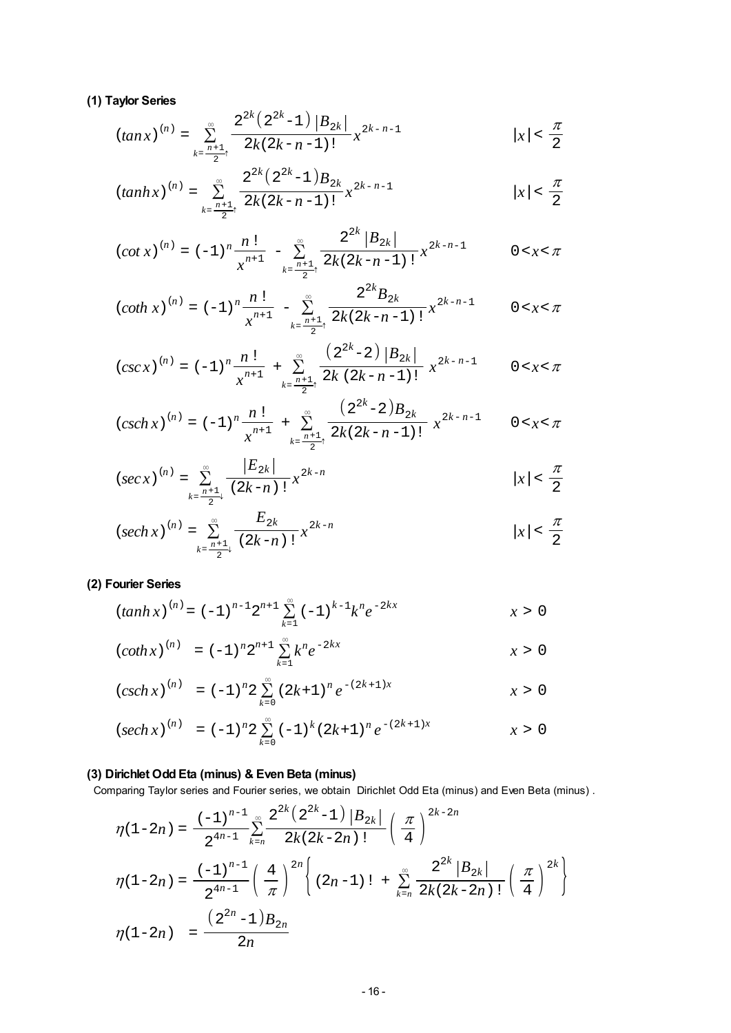### **(1) Taylor Series**

$$
(tan x)^{(n)} = \sum_{k=\frac{n+1}{2}^+}^{\infty} \frac{2^{2k} (2^{2k}-1) |B_{2k}|}{2k(2k-n-1)!} x^{2k-n-1}
$$
  $|x| < \frac{\pi}{2}$ 

$$
(tanh x)^{(n)} = \sum_{k=\frac{n+1}{2}^-}^{\infty} \frac{2^{2k} (2^{2k}-1)B_{2k}}{2k(2k-n-1)!} x^{2k-n-1}
$$
  $|x| < \frac{\pi}{2}$ 

$$
(cot x)^{(n)} = (-1)^n \frac{n!}{x^{n+1}} - \sum_{k=\frac{n+1}{2}^n}^{\infty} \frac{2^{2k} |B_{2k}|}{2k(2k-n-1)!} x^{2k-n-1}
$$
 0 < x < \pi

$$
(\coth x)^{(n)} = (-1)^n \frac{n!}{x^{n+1}} - \sum_{k=\frac{n+1}{2}^+}^{\infty} \frac{2^{2k} B_{2k}}{2k(2k-n-1)!} x^{2k-n-1} \qquad 0 < x < \pi
$$

$$
(csc x)^{(n)} = (-1)^n \frac{n!}{x^{n+1}} + \sum_{k=\frac{n+1}{2}^n}^{\infty} \frac{\left(2^{2k} - 2\right) |B_{2k}|}{2k (2k - n - 1)!} x^{2k - n - 1} \qquad 0 < x < \pi
$$

$$
(csch x)^{(n)} = (-1)^n \frac{n!}{x^{n+1}} + \sum_{k=\frac{n+1}{2}^+}^{\infty} \frac{(2^{2k}-2)B_{2k}}{2k(2k-n-1)!} x^{2k-n-1} \qquad 0 < x < \pi
$$

$$
(sec x)^{(n)} = \sum_{k=\frac{n+1}{2}+1}^{\infty} \frac{|E_{2k}|}{(2k-n)!} x^{2k-n}
$$
  $|x| < \frac{\pi}{2}$ 

$$
(sech x)^{(n)} = \sum_{k=\frac{n+1}{2} \atop k=\frac{n+1}{2}}^{\infty} \frac{E_{2k}}{(2k-n)!} x^{2k-n}
$$
  $|x| < \frac{\pi}{2}$ 

# **(2) Fourier Series**

$$
(tanh x)^{(n)} = (-1)^{n-1} 2^{n+1} \sum_{k=1}^{\infty} (-1)^{k-1} k^{n} e^{-2kx}
$$
 x > 0

$$
(\coth x)^{(n)} = (-1)^n 2^{n+1} \sum_{k=1}^{\infty} k^n e^{-2kx}
$$
  $x > 0$ 

$$
(csch x)^{(n)} = (-1)^n 2 \sum_{k=0}^{\infty} (2k+1)^n e^{-(2k+1)x}
$$
  $x > 0$ 

$$
(sech\,x)^{(n)} = (-1)^n 2 \sum_{k=0}^{\infty} (-1)^k (2k+1)^n e^{-(2k+1)x}
$$
  $x > 0$ 

# **(3) Dirichlet Odd Eta (minus) & Even Beta (minus)**

Comparing Taylor series and Fourier series, we obtain Dirichlet Odd Eta (minus) and Even Beta (minus) .

$$
\begin{split} \eta(1-2n) &= \frac{(-1)^{n-1}}{2^{4n-1}} \sum_{k=n}^{\infty} \frac{2^{2k} \left(2^{2k}-1\right) \left|B_{2k}\right|}{2k(2k-2n)!} \left(\frac{\pi}{4}\right)^{2k-2n} \\ \eta(1-2n) &= \frac{(-1)^{n-1}}{2^{4n-1}} \left(\frac{4}{\pi}\right)^{2n} \left\{(2n-1)! + \sum_{k=n}^{\infty} \frac{2^{2k} \left|B_{2k}\right|}{2k(2k-2n)!} \left(\frac{\pi}{4}\right)^{2k}\right\} \\ \eta(1-2n) &= \frac{\left(2^{2n}-1\right) B_{2n}}{2n} \end{split}
$$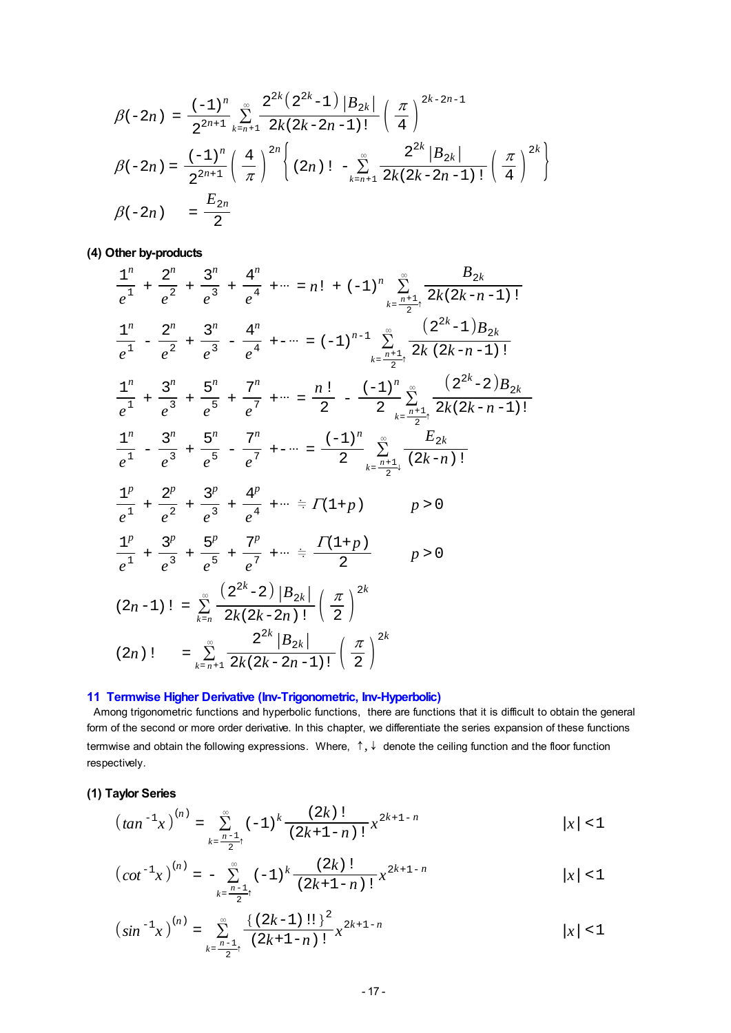<span id="page-16-0"></span>
$$
\beta(-2n) = \frac{(-1)^n}{2^{2n+1}} \sum_{k=n+1}^{\infty} \frac{2^{2k} (2^{2k}-1) |B_{2k}|}{2k(2k-2n-1)!} \left(\frac{\pi}{4}\right)^{2k-2n-1}
$$
  

$$
\beta(-2n) = \frac{(-1)^n}{2^{2n+1}} \left(\frac{4}{\pi}\right)^{2n} \left\{(2n)! - \sum_{k=n+1}^{\infty} \frac{2^{2k} |B_{2k}|}{2k(2k-2n-1)!} \left(\frac{\pi}{4}\right)^{2k}\right\}
$$
  

$$
\beta(-2n) = \frac{E_{2n}}{2}
$$

# **(4) Other by-products**

$$
\frac{1^n}{e^1} + \frac{2^n}{e^2} + \frac{3^n}{e^3} + \frac{4^n}{e^4} + \cdots = n! + (-1)^n \sum_{k=\frac{n+1}{2}+}^{\infty} \frac{B_{2k}}{2k(2k-n-1)!}
$$
\n
$$
\frac{1^n}{e^1} - \frac{2^n}{e^2} + \frac{3^n}{e^3} - \frac{4^n}{e^4} + \cdots = (-1)^{n-1} \sum_{k=\frac{n+1}{2}+}^{\infty} \frac{(2^{2k}-1)B_{2k}}{2k(2k-n-1)!}
$$
\n
$$
\frac{1^n}{e^1} + \frac{3^n}{e^3} + \frac{5^n}{e^5} + \frac{7^n}{e^7} + \cdots = \frac{n!}{2} - \frac{(-1)^n}{2} \sum_{k=\frac{n+1}{2}+}^{\infty} \frac{(2^{2k}-2)B_{2k}}{2k(2k-n-1)!}
$$
\n
$$
\frac{1^n}{e^1} - \frac{3^n}{e^3} + \frac{5^n}{e^5} - \frac{7^n}{e^7} + \cdots = \frac{(-1)^n}{2} \sum_{k=\frac{n+1}{2}+}^{\infty} \frac{E_{2k}}{(2k-n)!}
$$
\n
$$
\frac{1^p}{e^1} + \frac{2^p}{e^2} + \frac{3^p}{e^3} + \frac{4^p}{e^4} + \cdots \approx \Gamma(1+p) \qquad p > 0
$$
\n
$$
\frac{1^p}{e^1} + \frac{3^p}{e^3} + \frac{5^p}{e^5} + \frac{7^p}{e^7} + \cdots \approx \frac{\Gamma(1+p)}{2} \qquad p > 0
$$
\n
$$
(2n-1)! = \sum_{k=n}^{\infty} \frac{(2^{2k}-2) |B_{2k}|}{2k(2k-2n)!} \left(\frac{\pi}{2}\right)^{2k}
$$
\n
$$
(2n)! = \sum_{k=n+1}^{\infty} \frac{2^{2k} |B_{2k}|}{2k(2k-2n-1)!} \left(\frac{\pi}{2}\right)^{2k}
$$

# **11 Termwise Higher Derivative (Inv-Trigonometric, Inv-Hyperbolic)**

 Among trigonometric functions and hyperbolic functions, there are functions that it is difficult to obtain the general form of the second or more order derivative. In this chapter, we differentiate the series expansion of these functions termwise and obtain the following expressions. Where,  $\uparrow$ ,  $\downarrow$  denote the ceiling function and the floor function respectively.

# **(1) Taylor Series**

$$
\left(\tan^{-1}x\right)^{(n)} = \sum_{k=\frac{n-1}{2}^+}^{\infty} (-1)^k \frac{(2k)!}{(2k+1-n)!} x^{2k+1-n} \qquad |x| < 1
$$

$$
\left(\cot^{-1}x\right)^{(n)} = -\sum_{k=\frac{n-1}{2}^+}^{\infty} (-1)^k \frac{(2k)!}{(2k+1-n)!} x^{2k+1-n}
$$
 |x| < 1

$$
\left(\sin^{-1}x\right)^{(n)} = \sum_{k=\frac{n-1}{2}+}^{\infty} \frac{\left\{\left(2k-1\right)!!\right\}^2}{\left(2k+1-n\right)!} x^{2k+1-n} \qquad |x| < 1
$$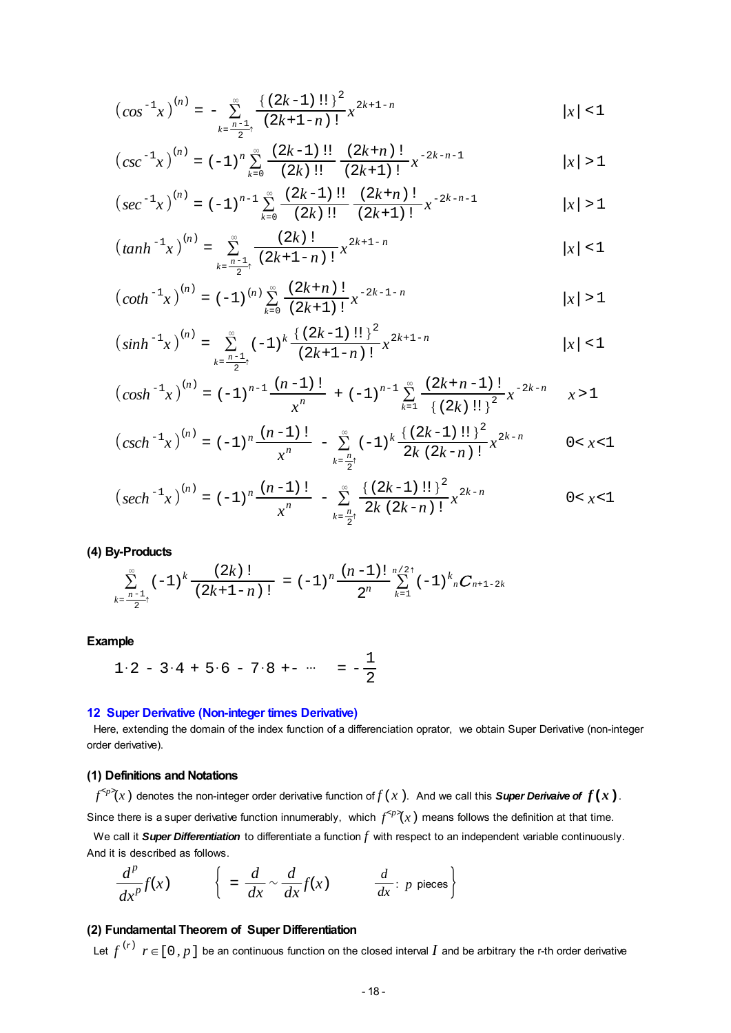$$
\left(\cos^{-1}x\right)^{(n)} = -\sum_{k=\frac{n-1}{2}+}^{\infty} \frac{\left\{\left(2k-1\right)!\right\}^2}{\left(2k+1-n\right)!} x^{2k+1-n} \qquad |x| < 1
$$

$$
\left(csc^{-1}x\right)^{(n)} = (-1)^n \sum_{k=0}^{\infty} \frac{(2k-1)!!}{(2k)!!} \frac{(2k+n)!}{(2k+1)!} x^{-2k-n-1} \qquad |x| > 1
$$

$$
\left( \sec^{-1} x \right)^{(n)} = \left( -1 \right)^{n-1} \sum_{k=0}^{\infty} \frac{(2k-1) \text{ } \text{!!}}{(2k) \text{ } \text{!!}} \frac{(2k+n) \text{ } \text{!}}{(2k+1) \text{ } \text{!}} x^{-2k-n-1} \qquad |x| > 1
$$

$$
\left(\tanh^{-1}x\right)^{(n)} = \sum_{k=\frac{n-1}{2}^+}^{\infty} \frac{(2k)!}{(2k+1-n)!} x^{2k+1-n} \qquad |x| < 1
$$

$$
\left(\coth^{-1}x\right)^{(n)} = (-1)^{(n)} \sum_{k=0}^{\infty} \frac{(2k+n)!}{(2k+1)!} x^{-2k-1-n} \qquad |x| > 1
$$

$$
\left(\sinh^{-1}x\right)^{(n)} = \sum_{k=\frac{n-1}{2}^+}^{\infty} (-1)^k \frac{\left\{\left(2k-1\right)!\right\}^2}{\left(2k+1-n\right)!} x^{2k+1-n} \qquad |x| < 1
$$

$$
\left(\cosh^{-1}x\right)^{(n)} = (-1)^{n-1}\frac{(n-1)!}{x^n} + (-1)^{n-1}\sum_{k=1}^{\infty} \frac{(2k+n-1)!}{\left\{(2k)!!\right\}^2} x^{-2k-n} \qquad x > 1
$$

$$
\left(\operatorname{csch}^{-1}x\right)^{(n)} = (-1)^n \frac{(n-1)!}{x^n} - \sum_{k=\frac{n}{2}^+}^{\infty} (-1)^k \frac{\left\{(2k-1)!!\right\}^2}{2k(2k-n)!} x^{2k-n} \qquad 0 < x < 1
$$

$$
\left(\operatorname{sech}^{-1}x\right)^{(n)} = (-1)^n \frac{(n-1)!}{x^n} - \sum_{k=\frac{n}{2}^+}^{\infty} \frac{\left\{\left(2k-1\right)!!\right\}^2}{2k\left(2k-n\right)!} x^{2k-n} \qquad 0 < x < 1
$$

### **(4) By-Products**

$$
\sum_{k=\frac{n-1}{2}^+}^{\infty} (-1)^k \frac{(2k)!}{(2k+1-n)!} = (-1)^n \frac{(n-1)!}{2^n} \sum_{k=1}^{n/2} (-1)^k {}_{n}C_{n+1-2k}
$$

### **Example**

$$
1 \cdot 2 - 3 \cdot 4 + 5 \cdot 6 - 7 \cdot 8 + \cdots = -\frac{1}{2}
$$

#### **12 Super Derivative (Non-integer times Derivative)**

 Here, extending the domain of the index function of a differenciation oprator, we obtain Super Derivative (non-integer order derivative).

### **(1) Definitions and Notations**

 $f^{}(x)$  denotes the non-integer order derivative function of  $f(x)$ . And we call this **Super Derivaive of**  $f(x)$ .

Since there is a super derivative function innumerably, which  $f^{ means follows the definition at that time.$ 

 We call it *Super Differentiation* to differentiate a function *f* with respect to an independent variable continuously. And it is described as follows.

$$
\frac{d^p}{dx^p}f(x) \qquad \left\{ \begin{array}{l} = \frac{d}{dx} \sim \frac{d}{dx}f(x) \qquad \frac{d}{dx} \colon p \text{ pieces} \end{array} \right\}
$$

# **(2) Fundamental Theorem of Super Differentiation**

Let  $f^{(r)}$   $r \in [0, p]$  be an continuous function on the closed interval  $I$  and be arbitrary the r-th order derivative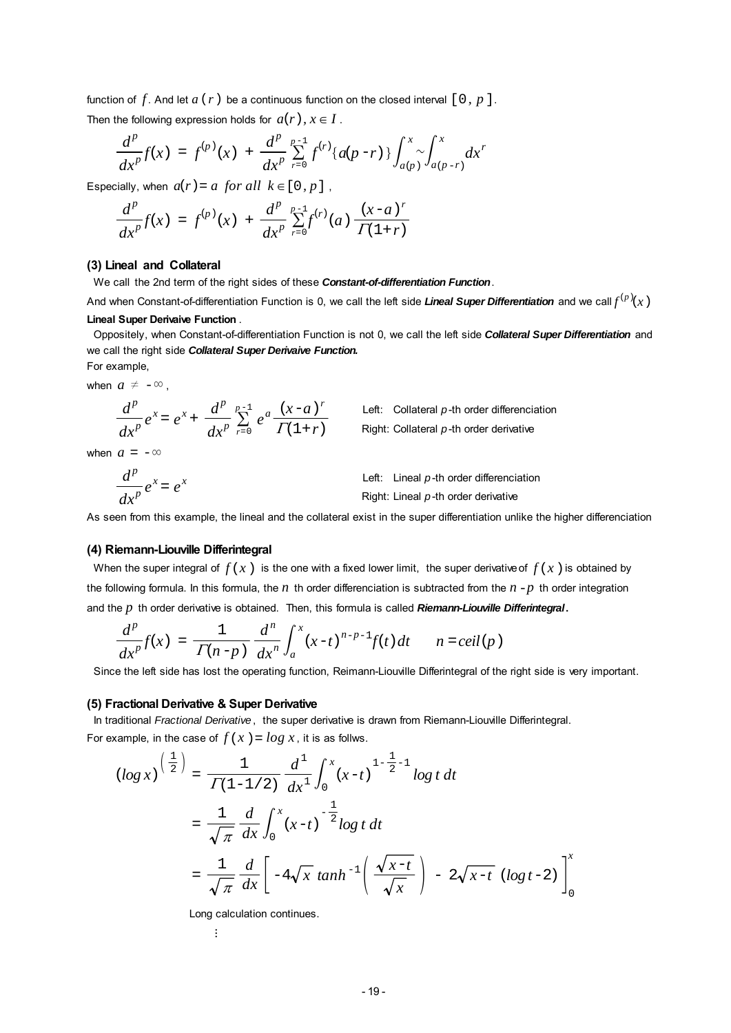function of  $f$ . And let  $a(r)$  be a continuous function on the closed interval  $[0, p]$ .

Then the following expression holds for  $a(r)$ ,  $x \in I$ .

$$
\frac{d^p}{dx^p}f(x) = f^{(p)}(x) + \frac{d^p}{dx^p} \sum_{r=0}^{p-1} f^{(r)}\{a(p-r)\}\int_{a(p)}^x \int_{a(p-r)}^x dx^r
$$

Especially, when  $a(r) = a$  for all  $k \in [0, p]$ ,

$$
\frac{d^p}{dx^p}f(x) = f^{(p)}(x) + \frac{d^p}{dx^p} \sum_{r=0}^{p-1} f^{(r)}(a) \frac{(x-a)^r}{\Gamma(1+r)}
$$

#### **(3) Lineal and Collateral**

We call the 2nd term of the right sides of these *Constant-of-differentiation Function*.

And when Constant-of-differentiation Function is 0, we call the left side *Lineal Super Differentiation* and we call $f^{(p)}(x^{})$ **Lineal Super Derivaive Function** .

 Oppositely, when Constant-of-differentiation Function is not 0, we call the left side *Collateral Super Differentiation* and we call the right side *Collateral Super Derivaive Function.* For example,

> Left: Collateral  $p$ -th order differenciation Right: Collateral *p*-th order derivative

when  $a \neq -\infty$ ,

$$
\frac{d^p}{dx^p}e^x = e^x + \frac{d^p}{dx^p} \sum_{r=0}^{p-1} e^a \frac{(x-a)^r}{\Gamma(1+r)}
$$

when  $a = -\infty$ 

$$
\frac{d^p}{dx^p}e^x = e^x
$$
Left: Linear *p*-th order differentiation  
Right: Linear *p*-th order derivative

As seen from this example, the lineal and the collateral exist in the super differentiation unlike the higher differenciation

#### **(4) Riemann-Liouville Differintegral**

When the super integral of  $f(x)$  is the one with a fixed lower limit, the super derivative of  $f(x)$  is obtained by the following formula. In this formula, the  $n$  th order differenciation is subtracted from the  $n-p$  th order integration and the *p* th order derivative is obtained. Then, this formula is called *Riemann-Liouville Differintegral***.**

$$
\frac{d^p}{dx^p}f(x)\ =\ \frac{1}{\varGamma(n-p)}\ \frac{d^n}{dx^n}\int_a^x(x-t)^{n-p-1}f(t)\,dt\qquad n=ceil\,(p\,)
$$

Since the left side has lost the operating function, Reimann-Liouville Differintegral of the right side is very important.

#### **(5) Fractional Derivative & Super Derivative**

 In traditional *Fractional Derivative*, the super derivative is drawn from Riemann-Liouville Differintegral. For example, in the case of  $f(x) = log x$ , it is as follws.

$$
\begin{split} \left(\log x\right)^{\left(\frac{1}{2}\right)} &= \frac{1}{\Gamma(1-1/2)} \frac{d^1}{dx^1} \int_0^x (x-t)^{1-\frac{1}{2}-1} \log t \, dt \\ &= \frac{1}{\sqrt{\pi}} \frac{d}{dx} \int_0^x (x-t)^{-\frac{1}{2}} \log t \, dt \\ &= \frac{1}{\sqrt{\pi}} \frac{d}{dx} \left[ -4\sqrt{x} \, \tanh^{-1}\left(\frac{\sqrt{x-t}}{\sqrt{x}}\right) - 2\sqrt{x-t} \, \left(\log t - 2\right) \right]_0^x \end{split}
$$

Long calculation continues.

 $\vdots$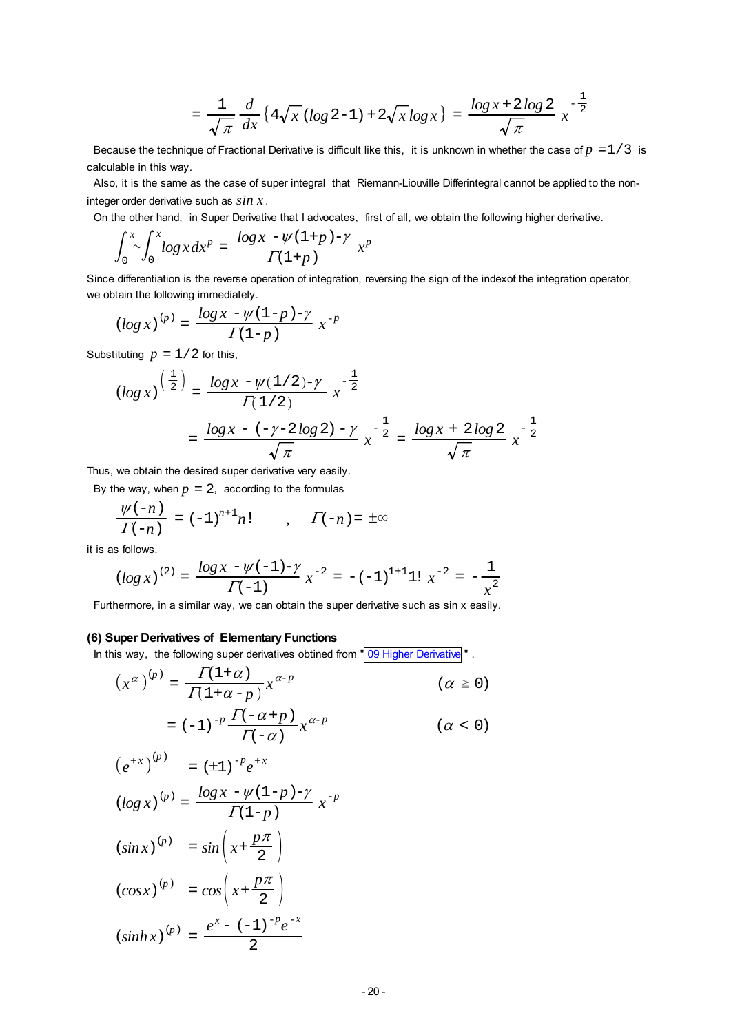$$
= \frac{1}{\sqrt{\pi}} \frac{d}{dx} \left\{ 4\sqrt{x} (\log 2 - 1) + 2\sqrt{x} \log x \right\} = \frac{\log x + 2 \log 2}{\sqrt{\pi}} x^{-\frac{1}{2}}
$$

Because the technique of Fractional Derivative is difficult like this, it is unknown in whether the case of  $p = 1/3$  is calculable in this way.

 Also, it is the same as the case of super integral that Riemann-Liouville Differintegral cannot be applied to the noninteger order derivative such as *sin x* .

On the other hand, in Super Derivative that I advocates, first of all, we obtain the following higher derivative.

$$
\int_0^x \int_0^x \log x dx^p = \frac{\log x - \psi(1+p) - \gamma}{\Gamma(1+p)} x^p
$$

Since differentiation is the reverse operation of integration, reversing the sign of the indexof the integration operator, we obtain the following immediately.

$$
\left( \log x \right)^{(p)} = \frac{\log x - \psi(1-p) - \gamma}{\Gamma(1-p)} \; x^{-p}
$$

Substituting  $p = 1/2$  for this,

$$
\begin{aligned} \left(\log x\right)^{\left(\frac{1}{2}\right)} &= \frac{\log x - \psi(1/2) - \gamma}{\Gamma(1/2)} x^{-\frac{1}{2}}\\ &= \frac{\log x - \left(-\gamma - 2\log 2\right) - \gamma}{\sqrt{\pi}} x^{-\frac{1}{2}} = \frac{\log x + 2\log 2}{\sqrt{\pi}} x^{-\frac{1}{2}} \end{aligned}
$$

Thus, we obtain the desired super derivative very easily.

By the way, when  $p = 2$ , according to the formulas

$$
\frac{\psi(-n)}{\Gamma(-n)} = (-1)^{n+1}n! \qquad , \qquad \Gamma(-n) = \pm \infty
$$

it is as follows.

$$
(\log x)^{(2)} = \frac{\log x - \psi(-1) - \gamma}{\Gamma(-1)} x^{-2} = -(-1)^{1+1} 1! \ x^{-2} = -\frac{1}{x^2}
$$

Furthermore, in a similar way, we can obtain the super derivative such as sin x easily.

#### **(6) Super Derivatives of Elementary Functions**

In this way, the following super derivatives obtined from " [09 Higher Derivative](#page-13-0) ".

$$
\left(x^{\alpha}\right)^{(p)} = \frac{\Gamma(1+\alpha)}{\Gamma(1+\alpha-p)} x^{\alpha-p}
$$
\n
$$
= (-1)^{-p} \frac{\Gamma(-\alpha+p)}{\Gamma(-\alpha)} x^{\alpha-p}
$$
\n
$$
\left(\alpha \ge 0\right)
$$
\n
$$
\left(\alpha < 0\right)
$$

$$
(e^{\pm x})^{(p)} = (\pm 1)^{-p} e^{\pm x}
$$
  
\n
$$
(log x)^{(p)} = \frac{log x - \psi(1-p) - \gamma}{\Gamma(1-p)} x^{-p}
$$
  
\n
$$
(sin x)^{(p)} = sin\left(x + \frac{p\pi}{2}\right)
$$
  
\n
$$
(cos x)^{(p)} = cos\left(x + \frac{p\pi}{2}\right)
$$
  
\n
$$
(sinh x)^{(p)} = \frac{e^{x} - (-1)^{-p}e^{-x}}{2}
$$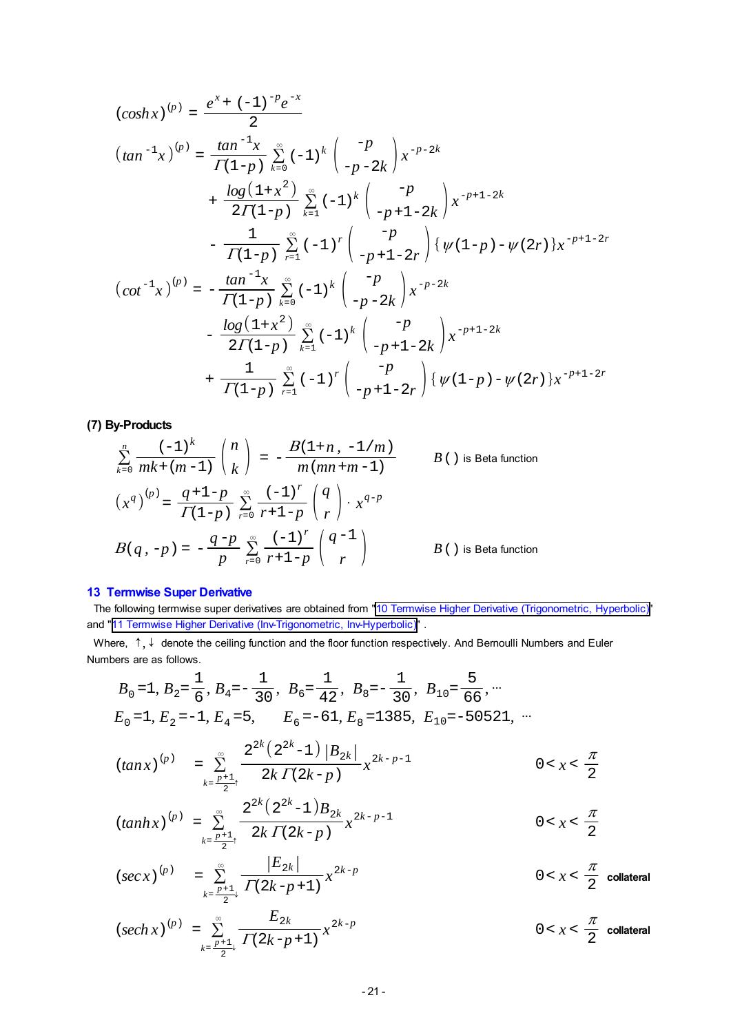$$
(cosh x)^{(p)} = \frac{e^{x} + (-1)^{-p}e^{-x}}{2}
$$
  
\n
$$
(tan^{-1}x)^{(p)} = \frac{tan^{-1}x}{\Gamma(1-p)} \sum_{k=0}^{\infty} (-1)^{k} \begin{pmatrix} -p \\ -p-2k \end{pmatrix} x^{-p-2k}
$$
  
\n
$$
+ \frac{log(1+x^{2})}{2\Gamma(1-p)} \sum_{k=1}^{\infty} (-1)^{k} \begin{pmatrix} -p \\ -p+1-2k \end{pmatrix} x^{-p+1-2k}
$$
  
\n
$$
- \frac{1}{\Gamma(1-p)} \sum_{r=1}^{\infty} (-1)^{r} \begin{pmatrix} -p \\ -p+1-2r \end{pmatrix} \{ \psi(1-p) - \psi(2r) \} x^{-p+1-2r}
$$
  
\n
$$
(cot^{-1}x)^{(p)} = -\frac{tan^{-1}x}{\Gamma(1-p)} \sum_{k=0}^{\infty} (-1)^{k} \begin{pmatrix} -p \\ -p-2k \end{pmatrix} x^{-p-2k}
$$
  
\n
$$
- \frac{log(1+x^{2})}{2\Gamma(1-p)} \sum_{k=1}^{\infty} (-1)^{k} \begin{pmatrix} -p \\ -p+1-2k \end{pmatrix} x^{-p+1-2k}
$$
  
\n
$$
+ \frac{1}{\Gamma(1-p)} \sum_{r=1}^{\infty} (-1)^{r} \begin{pmatrix} -p \\ -p+1-2r \end{pmatrix} \{ \psi(1-p) - \psi(2r) \} x^{-p+1-2r}
$$

**(7) By-Products**

$$
\sum_{k=0}^{n} \frac{(-1)^k}{mk + (m-1)} {n \choose k} = -\frac{B(1+n, -1/m)}{m(mn+m-1)}
$$
  
\n
$$
(x^q)^{(p)} = \frac{q+1-p}{\Gamma(1-p)} \sum_{r=0}^{\infty} \frac{(-1)^r}{r+1-p} {q \choose r} \cdot x^{q-p}
$$
  
\n
$$
B(q, -p) = -\frac{q-p}{p} \sum_{r=0}^{\infty} \frac{(-1)^r}{r+1-p} {q-1 \choose r}
$$
  
\n
$$
B()
$$
 is Beta function

### **13 Termwise Super Derivative**

 The following termwise super derivatives are obtained from ["10 Termwise Higher Derivative \(Trigonometric,](#page-14-0) Hyperbolic)" and "[11 Termwise Higher Derivative \(Inv-Trigonometric, Inv-Hyperbolic\)"](#page-16-0) .

Where,  $\uparrow, \downarrow$  denote the ceiling function and the floor function respectively. And Bernoulli Numbers and Euler Numbers are as follows.

$$
B_0 = 1, B_2 = \frac{1}{6}, B_4 = -\frac{1}{30}, B_6 = \frac{1}{42}, B_8 = -\frac{1}{30}, B_{10} = \frac{5}{66}, \dots
$$
  
\n
$$
E_0 = 1, E_2 = -1, E_4 = 5, E_6 = -61, E_8 = 1385, E_{10} = -50521, \dots
$$

$$
(tan x)^{(p)} = \sum_{k=\frac{p+1}{2}^+}^{\infty} \frac{2^{2k} (2^{2k}-1) |B_{2k}|}{2k \Gamma(2k-p)} x^{2k-p-1}
$$
 0 < x  $\frac{\pi}{2}$ 

$$
(tanh x)^{(p)} = \sum_{k=\frac{p+1}{2}^+}^{\infty} \frac{2^{2k} (2^{2k}-1) B_{2k}}{2k \Gamma(2k-p)} x^{2k-p-1}
$$
 0 < x  $\frac{\pi}{2}$ 

$$
(\sec x)^{(p)} = \sum_{k=\frac{p+1}{2}}^{\infty} \frac{|E_{2k}|}{\Gamma(2k-p+1)} x^{2k-p}
$$
 0 < x  $\frac{\pi}{2}$  collateral

$$
(sech x)^{(p)} = \sum_{k=\frac{p+1}{2}}^{\infty} \frac{E_{2k}}{\Gamma(2k-p+1)} x^{2k-p}
$$
 0 < x  $\frac{\pi}{2}$  collateral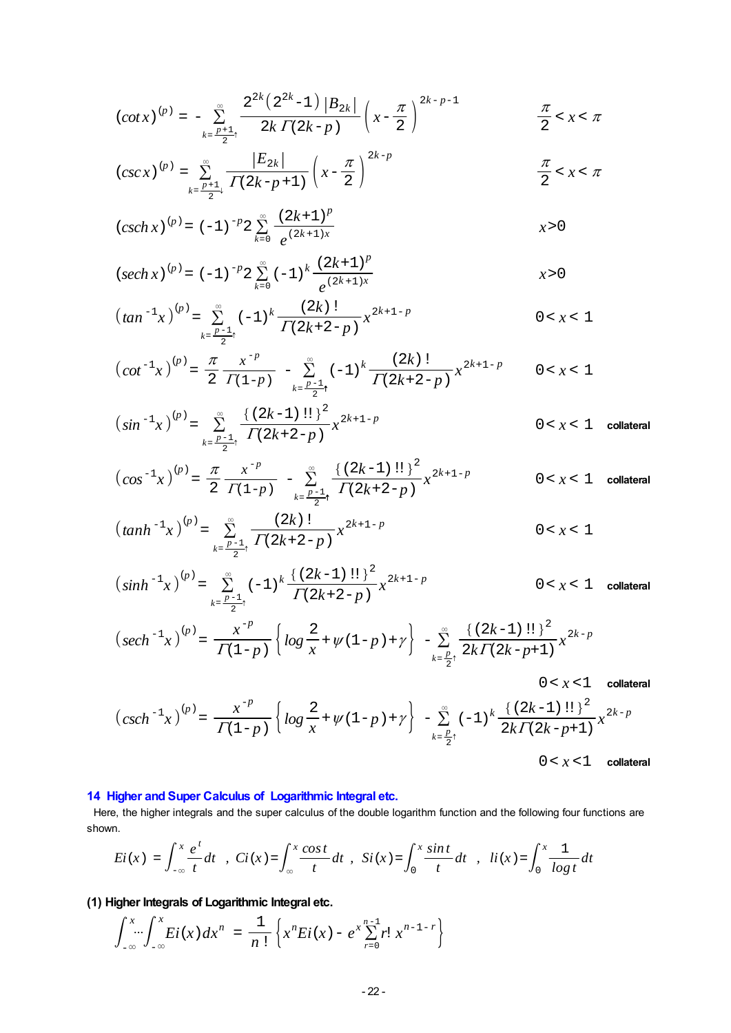$$
\left( \cot x \right)^{(p)} = - \sum_{k=\frac{p+1}{2}^+}^{\infty} \frac{2^{2k} \left( 2^{2k} - 1 \right) \left| B_{2k} \right| }{2k \, \Gamma(2k-p)} \left( x - \frac{\pi}{2} \right)^{2k-p-1} \hspace{2cm} \frac{\pi}{2} < x < \pi
$$

$$
(csc x)^{(p)} = \sum_{k=\frac{p+1}{2}+1}^{\infty} \frac{|E_{2k}|}{\Gamma(2k-p+1)} \left(x - \frac{\pi}{2}\right)^{2k-p} \qquad \qquad \frac{\pi}{2} < x < \pi
$$

$$
(csch x)^{(p)} = (-1)^{-p} 2 \sum_{k=0}^{\infty} \frac{(2k+1)^p}{e^{(2k+1)x}}
$$

$$
(sech\,x)^{(p)} = (-1)^{-p} 2 \sum_{k=0}^{\infty} (-1)^k \frac{(2k+1)^p}{e^{(2k+1)x}}
$$

$$
\left(\tan^{-1}x\right)^{(p)} = \sum_{k=\frac{p-1}{2}^+}^{\infty} (-1)^k \frac{(2k)!}{\Gamma(2k+2-p)} x^{2k+1-p} \qquad 0 < x < 1
$$

$$
\left(\cot^{-1}x\right)^{(p)} = \frac{\pi}{2} \frac{x^{-p}}{\Gamma(1-p)} - \sum_{k=\frac{p-1}{2}+}^{\infty} (-1)^k \frac{(2k)!}{\Gamma(2k+2-p)} x^{2k+1-p} \qquad 0 < x < 1
$$

$$
\left(\sin^{-1}x\right)^{(p)} = \sum_{k=\frac{p-1}{2}^+}^{\infty} \frac{\left\{\left(2k-1\right)!!\right\}^2}{\Gamma(2k+2-p)} x^{2k+1-p}
$$
 0 < x < 1 **collateral**

$$
\left(\cos^{-1}x\right)^{(p)} = \frac{\pi}{2} \frac{x^{-p}}{\Gamma(1-p)} - \sum_{k=\frac{p-1}{2}+}^{\infty} \frac{\left\{\left(2k-1\right)!!\right\}^2}{\Gamma(2k+2-p)} x^{2k+1-p}
$$
 0 < x < 1 **collateral**

$$
\left(\tanh^{-1}x\right)^{(p)} = \sum_{k=\frac{p-1}{2}^+}^{\infty} \frac{(2k)!}{\Gamma(2k+2-p)} x^{2k+1-p} \qquad \qquad 0 < x < 1
$$

$$
\left(\sinh^{-1}x\right)^{(p)} = \sum_{k=\frac{p-1}{2}\uparrow}^{\infty} (-1)^k \frac{\left\{\left(2k-1\right)!\right\}^2}{\Gamma(2k+2-p)} x^{2k+1-p} \qquad 0 < x < 1 \quad \text{collateral}
$$

$$
\left(sech^{-1}x\right)^{(p)}=\frac{x^{-p}}{\Gamma(1-p)}\left\{ \log\frac{2}{x}+\psi(1-p)+\gamma\right\} \right. \\ \left. -\sum_{k=\frac{p}{2}^+}^{\infty}\frac{\left\{ \left(2k-1\right)!!\right\}^2}{2k\Gamma(2k-p+1)}x^{2k-p} \right.
$$

 $0 < x < 1$  collateral

$$
\left(\operatorname{csch}^{-1}x\right)^{(p)} = \frac{x^{-p}}{\Gamma(1-p)} \left\{ \log \frac{2}{x} + \psi(1-p) + \gamma \right\} - \sum_{k=\frac{p}{2}^+}^{\infty} (-1)^k \frac{\left\{ (2k-1)!! \right\}^2}{2k \Gamma(2k-p+1)} x^{2k-p}
$$
  
0 < x < 1 **collateral**

# **14 Higher and Super Calculus of Logarithmic Integral etc.**

 Here, the higher integrals and the super calculus of the double logarithm function and the following four functions are shown.

$$
Ei(x) = \int_{-\infty}^{x} \frac{e^{t}}{t} dt
$$
,  $Ci(x) = \int_{\infty}^{x} \frac{\cos t}{t} dt$ ,  $Si(x) = \int_{0}^{x} \frac{\sin t}{t} dt$ ,  $li(x) = \int_{0}^{x} \frac{1}{\log t} dt$ 

# **(1) Higher Integrals of Logarithmic Integral etc.**

$$
\int_{-\infty}^{x} \int_{-\infty}^{x} Ei(x) dx^{n} = \frac{1}{n!} \left\{ x^{n} Ei(x) - e^{x} \sum_{r=0}^{n-1} r! x^{n-1-r} \right\}
$$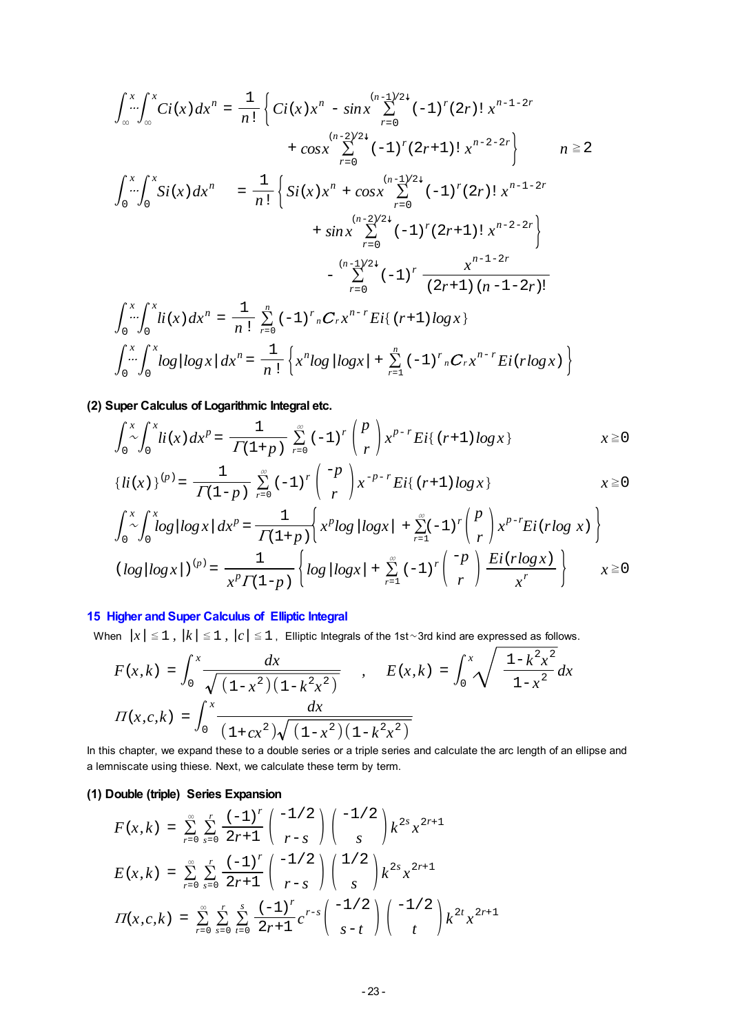$$
\int_{\infty}^{x} \int_{\infty}^{x} Ci(x) dx^{n} = \frac{1}{n!} \left\{ Ci(x) x^{n} - \sin x \sum_{r=0}^{(n-1)/24} (-1)^{r} (2r) \, x^{n-1-2r} \right. \\
\left. + \cos x \sum_{r=0}^{(n-2)/24} (-1)^{r} (2r+1) \, x^{n-2-2r} \right\} \qquad n \ge 2
$$
\n
$$
\int_{0}^{x} \int_{0}^{x} Si(x) dx^{n} = \frac{1}{n!} \left\{ Si(x) x^{n} + \cos x \sum_{r=0}^{(n-1)/24} (-1)^{r} (2r) \, x^{n-1-2r} \right. \\
\left. + \sin x \sum_{r=0}^{(n-2)/24} (-1)^{r} (2r+1) \, x^{n-2-2r} \right\}
$$
\n
$$
- \sum_{r=0}^{(n-1)/24} (-1)^{r} \frac{x^{n-1-2r}}{(2r+1) (n-1-2r)!}
$$
\n
$$
\int_{0}^{x} \int_{0}^{x} li(x) dx^{n} = \frac{1}{n!} \sum_{r=0}^{n} (-1)^{r} nC_{r} x^{n-r} Ei\{ (r+1) \log x \}
$$
\n
$$
\int_{0}^{x} \int_{0}^{x} \log |\log x| dx^{n} = \frac{1}{n!} \left\{ x^{n} \log |\log x| + \sum_{r=1}^{n} (-1)^{r} nC_{r} x^{n-r} Ei(r \log x) \right\}
$$

**(2) Super Calculus of Logarithmic Integral etc.**

$$
\int_0^x \int_0^x li(x) dx^p = \frac{1}{\Gamma(1+p)} \sum_{r=0}^\infty (-1)^r \binom{p}{r} x^{p-r} Ei\{ (r+1) \log x \} \qquad x \ge 0
$$

$$
\{li(x)\}^{(p)} = \frac{1}{\Gamma(1-p)} \sum_{r=0}^{\infty} (-1)^r \binom{-p}{r} x^{-p-r} Ei\{ (r+1) \log x \} \qquad x \ge 0
$$

$$
\int_0^x \int_0^x \log|\log x| dx^p = \frac{1}{\Gamma(1+p)} \left\{ x^p \log|\log x| + \sum_{r=1}^\infty (-1)^r \binom{p}{r} x^{p-r} Ei(r \log x) \right\}
$$
  
\n
$$
(\log|\log x|)^{(p)} = \frac{1}{x^p \Gamma(1-p)} \left\{ \log|\log x| + \sum_{r=1}^\infty (-1)^r \binom{-p}{r} \frac{Ei(r \log x)}{x^r} \right\} \qquad x \ge 0
$$

# **15 Higher and Super Calculus of Elliptic Integral**

When  $|x| \leq 1$ ,  $|k| \leq 1$ ,  $|c| \leq 1$ , Elliptic Integrals of the 1st~3rd kind are expressed as follows.

$$
F(x,k) = \int_0^x \frac{dx}{\sqrt{(1-x^2)(1-k^2x^2)}}
$$
,  $E(x,k) = \int_0^x \sqrt{\frac{1-k^2x^2}{1-x^2}} dx$   

$$
H(x,c,k) = \int_0^x \frac{dx}{(1+cx^2)\sqrt{(1-x^2)(1-k^2x^2)}}
$$

In this chapter, we expand these to a double series or a triple series and calculate the arc length of an ellipse and a lemniscate using thiese. Next, we calculate these term by term.

### **(1) Double (triple) Series Expansion**

$$
F(x, k) = \sum_{r=0}^{\infty} \sum_{s=0}^{r} \frac{(-1)^{r}}{2r+1} {-1/2 \choose r-s} {-1/2 \choose s} k^{2s} x^{2r+1}
$$
  
\n
$$
E(x, k) = \sum_{r=0}^{\infty} \sum_{s=0}^{r} \frac{(-1)^{r}}{2r+1} {-1/2 \choose r-s} {1/2 \choose s} k^{2s} x^{2r+1}
$$
  
\n
$$
\Pi(x, c, k) = \sum_{r=0}^{\infty} \sum_{s=0}^{r} \sum_{t=0}^{s} \frac{(-1)^{r}}{2r+1} c^{r-s} {-1/2 \choose s-t} {-1/2 \choose t} k^{2t} x^{2r+1}
$$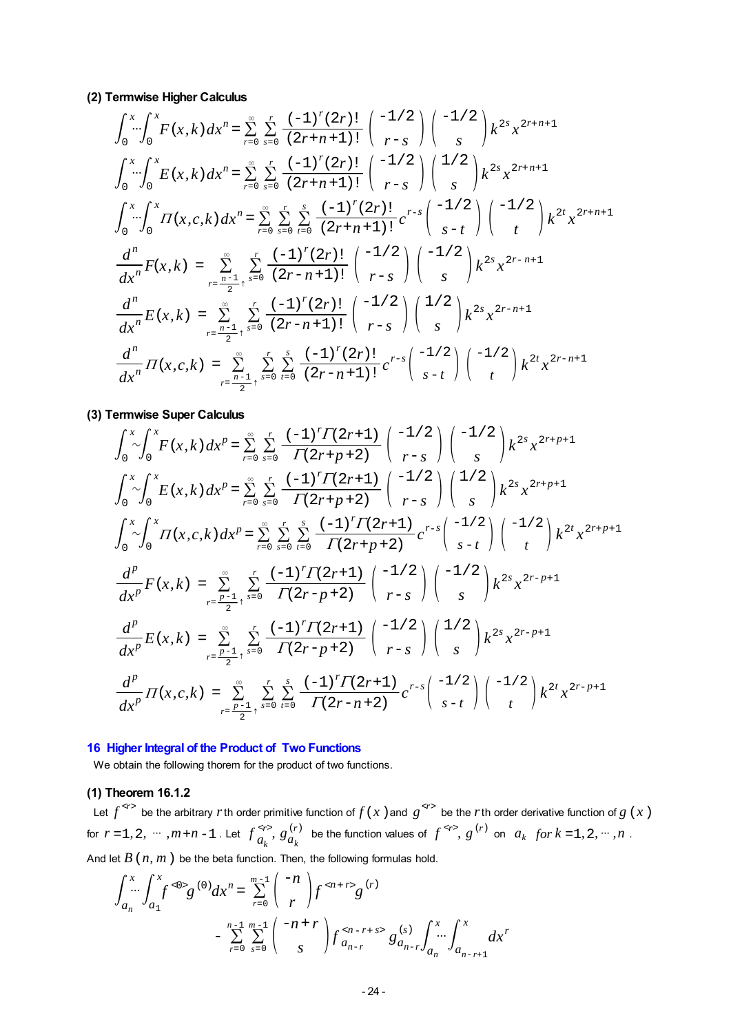**(2) Termwise Higher Calculus**

$$
\int_{0}^{x} \int_{0}^{x} F(x, k) dx^{n} = \sum_{r=0}^{\infty} \sum_{s=0}^{r} \frac{(-1)^{r} (2r)!}{(2r+n+1)!} {\binom{-1/2}{s}} k^{2s} x^{2r+n+1}
$$
  

$$
\int_{0}^{x} \int_{0}^{x} E(x, k) dx^{n} = \sum_{r=0}^{\infty} \sum_{s=0}^{r} \frac{(-1)^{r} (2r)!}{(2r+n+1)!} {\binom{-1/2}{r-s}} k^{2s} x^{2r+n+1}
$$
  

$$
\int_{0}^{x} \int_{0}^{x} H(x, c, k) dx^{n} = \sum_{r=0}^{\infty} \sum_{s=0}^{r} \sum_{t=0}^{s} \frac{(-1)^{r} (2r)!}{(2r+n+1)!} c^{r-s} {\binom{-1/2}{s-t}} {\binom{-1/2}{t}} k^{2t} x^{2r+n+1}
$$
  

$$
\frac{d^{n}}{dx^{n}} F(x, k) = \sum_{r=\frac{n-1}{2}}^{\infty} \sum_{s=0}^{r} \frac{(-1)^{r} (2r)!}{(2r-n+1)!} {\binom{-1/2}{r-s}} {\binom{-1/2}{s}} k^{2s} x^{2r-n+1}
$$
  

$$
\frac{d^{n}}{dx^{n}} E(x, k) = \sum_{r=\frac{n-1}{2}+}^{\infty} \sum_{s=0}^{r} \frac{(-1)^{r} (2r)!}{(2r-n+1)!} {\binom{-1/2}{r-s}} {\binom{1/2}{s}} k^{2s} x^{2r-n+1}
$$
  

$$
\frac{d^{n}}{dx^{n}} \prod(x, c, k) = \sum_{r=\frac{n-1}{2}+}^{\infty} \sum_{s=0}^{r} \sum_{t=0}^{s} \frac{(-1)^{r} (2r)!}{(2r-n+1)!} c^{r-s} {\binom{-1/2}{s-t}} {\binom{-1/2}{t}} k^{2t} x^{2r-n+1}
$$

**(3) Termwise Super Calculus**

$$
\int_{0}^{x} \int_{0}^{x} F(x, k) dx^{p} = \sum_{r=0}^{\infty} \sum_{s=0}^{r} \frac{(-1)^{r} \Gamma(2r+1)}{\Gamma(2r+p+2)} \binom{-1/2}{r-s} \binom{-1/2}{s} k^{2s} x^{2r+p+1}
$$
  

$$
\int_{0}^{x} \int_{0}^{x} E(x, k) dx^{p} = \sum_{r=0}^{\infty} \sum_{s=0}^{r} \frac{(-1)^{r} \Gamma(2r+1)}{\Gamma(2r+p+2)} \binom{-1/2}{r-s} \binom{1/2}{s} k^{2s} x^{2r+p+1}
$$
  

$$
\int_{0}^{x} \int_{0}^{x} \int_{0}^{x} \pi(x, c, k) dx^{p} = \sum_{r=0}^{\infty} \sum_{s=0}^{r} \sum_{t=0}^{s} \frac{(-1)^{r} \Gamma(2r+1)}{\Gamma(2r+p+2)} c^{r-s} \binom{-1/2}{s-t} \binom{-1/2}{t} k^{2t} x^{2r+p+1}
$$
  

$$
\frac{d^{p}}{dx^{p}} F(x, k) = \sum_{r=\frac{p-1}{2}+}^{x} \sum_{s=0}^{r} \frac{(-1)^{r} \Gamma(2r+1)}{\Gamma(2r-p+2)} \binom{-1/2}{r-s} \binom{-1/2}{s} k^{2s} x^{2r-p+1}
$$
  

$$
\frac{d^{p}}{dx^{p}} E(x, k) = \sum_{r=\frac{p-1}{2}+}^{x} \sum_{s=0}^{r} \frac{(-1)^{r} \Gamma(2r+1)}{\Gamma(2r-p+2)} \binom{-1/2}{r-s} \binom{1/2}{s} k^{2s} x^{2r-p+1}
$$
  

$$
\frac{d^{p}}{dx^{p}} \pi(x, c, k) = \sum_{r=\frac{p-1}{2}+}^{x} \sum_{s=0}^{r} \sum_{t=0}^{s} \frac{(-1)^{r} \Gamma(2r+1)}{\Gamma(2r-p+2)} c^{r-s} \binom{-1/2}{s-t} \binom{-1/2}{t} k^{2t} x^{2r-p+1}
$$

#### **16 Higher Integral of the Product of Two Functions**

We obtain the following thorem for the product of two functions.

# **(1) Theorem 16.1.2**

Let  $f^{*r* >}$  be the arbitrary *r*th order primitive function of  $f(x)$  and  $g^{*r* >}$  be the *r*th order derivative function of  $g(x)$ for  $r = 1, 2, \dots, m+n-1$ . Let  $f_{a_k}^{(r)}, g_{a_k}^{(r)}$  be the function values of  $f^{(sr)}, g^{(r)}$  on  $a_k$  for  $k = 1, 2, \dots, n$ . And let  $B(n, m)$  be the beta function. Then, the following formulas hold.

$$
\int_{a_n}^{x} \int_{a_1}^{x} f^{<0>}{g^{(0)}} dx^{n} = \sum_{r=0}^{m-1} {\binom{-n}{r}} f^{} g^{(r)}
$$
  
- 
$$
\sum_{r=0}^{n-1} \sum_{s=0}^{m-1} {\binom{-n+r}{s}} f^{} g^{(s)}_{a_{n-r}} \int_{a_n}^{x} dx^{r}
$$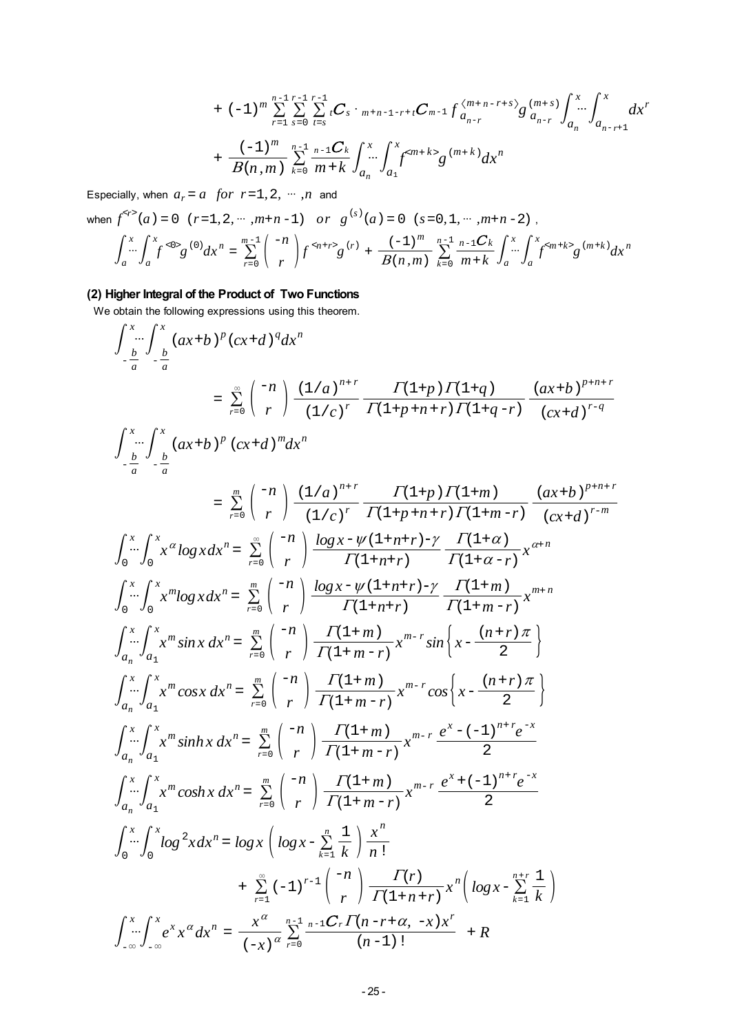$$
+ (-1)^{m} \sum_{r=1}^{n-1} \sum_{s=0}^{r-1} \sum_{t=s}^{r-1} tC_{s} \cdot {}_{m+n-1-r+t}C_{m-1} f \frac{\langle m+n-r+s \rangle}{a_{n-r}} g \frac{(m+s)}{a_{n-r}} \int_{a_{n}}^{x} dx' + \frac{(-1)^{m}}{B(n,m)} \sum_{k=0}^{n-1} \frac{n-1}{m+k} \int_{a_{n}}^{x} \int_{a_{1}}^{x} f^{} g \frac{(m+k)}{m+k} dx^{n}
$$

Especially, when  $a_r = a$  for  $r = 1, 2, \dots, n$  and

when 
$$
f^{}(a) = 0
$$
  $(r=1, 2, \cdots, m+n-1)$  or  $g^{(s)}(a) = 0$   $(s=0, 1, \cdots, m+n-2)$ ,  

$$
\int_{a}^{x} \int_{a}^{x} f^{<0>}(s)g^{(0)}dx = \sum_{r=0}^{m-1} { -n \choose r} f^{
$$

# **(2) Higher Integral of the Product of Two Functions**

We obtain the following expressions using this theorem.

$$
\int_{-\frac{b}{a}}^{x} \int_{-\frac{b}{a}}^{x} (ax+b)^{p} (cx+d)^{q} dx^{n}
$$
\n
$$
= \sum_{r=0}^{\infty} \binom{-n}{r} \frac{(1/a)^{n+r}}{(1/c)^{r}} \frac{\Gamma(1+p)\Gamma(1+q)}{\Gamma(1+p+n+r)\Gamma(1+q-r)} \frac{(ax+b)^{p+n+r}}{(cx+d)^{r-q}}
$$
\n
$$
\int_{-\frac{b}{a}}^{x} \int_{-\frac{b}{a}}^{x} (ax+b)^{p} (cx+d)^{m} dx^{n}
$$
\n
$$
= \sum_{r=0}^{\infty} \binom{-n}{r} \frac{(1/a)^{n+r}}{(1/c)^{r}} \frac{\Gamma(1+p)\Gamma(1+m)}{\Gamma(1+p+n+r)\Gamma(1+m-r)} \frac{(ax+b)^{p+n+r}}{(cx+d)^{r-m}}
$$
\n
$$
\int_{0}^{x} \int_{0}^{x} x^{a} log x dx^{n} = \sum_{r=0}^{\infty} \binom{-n}{r} \frac{log x - \psi(1+n+r) - \gamma}{\Gamma(1+n+r)} \frac{\Gamma(1+\alpha)}{\Gamma(1+\alpha-r)} x^{an}
$$
\n
$$
\int_{0}^{x} \int_{0}^{x} x^{m} log x dx^{n} = \sum_{r=0}^{\infty} \binom{-n}{r} \frac{log x - \psi(1+n+r) - \gamma}{\Gamma(1+n+r)} \frac{\Gamma(1+m)}{\Gamma(1+m-r)} x^{m+n}
$$
\n
$$
\int_{a_{n}}^{x} \int_{a_{n}}^{x} x^{m} sin x dx^{n} = \sum_{r=0}^{\infty} \binom{-n}{r} \frac{\Gamma(1+m)}{\Gamma(1+m-r)} x^{m-r} sin \left\{ x - \frac{(n+r)\pi}{2} \right\}
$$
\n
$$
\int_{a_{n}}^{x} \int_{0}^{x} x^{m} cos x dx^{n} = \sum_{r=0}^{\infty} \binom{-n}{r} \frac{\Gamma(1+m)}{\Gamma(1+m-r)} x^{m-r} cos \left\{ x - \frac{(n+r)\pi}{2} \right\}
$$
\n
$$
\int_{a_{n}}^{x} \int_{a_{n}}^{x} x^{m} sinh x dx^{n} = \sum_{r=0}^{\infty} \binom{-n}{r} \frac{\Gamma(1+m)}{\Gamma(1+m-r)} x^{m-r}
$$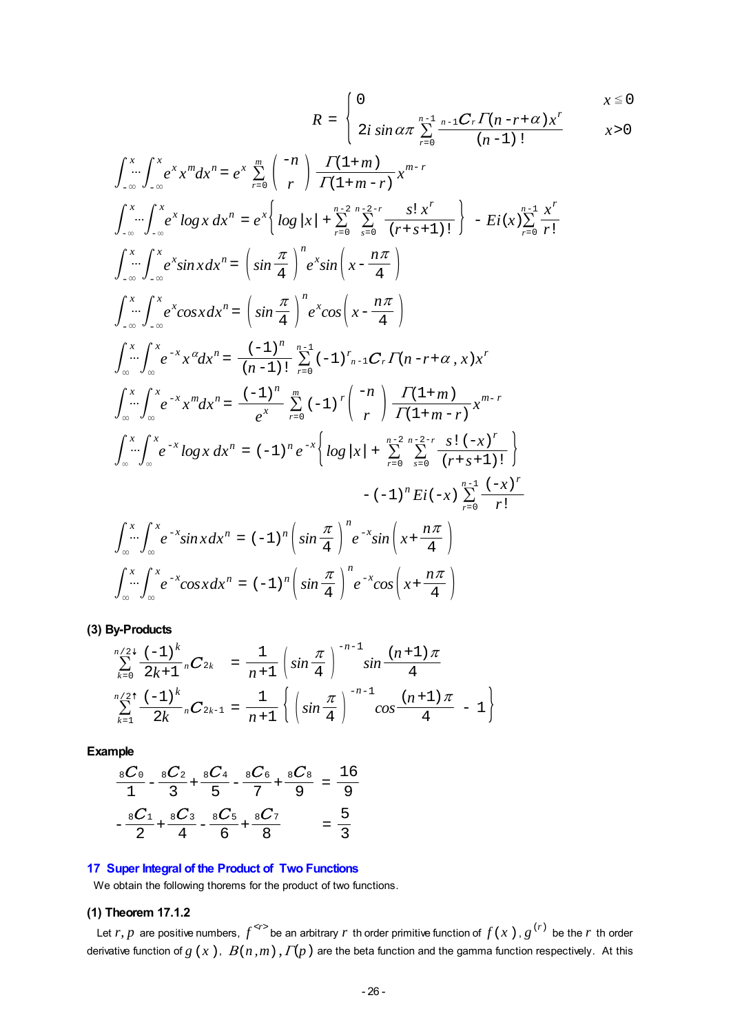$$
R = \begin{cases} 0 & x \le 0 \\ 2i \sin \alpha \pi \sum_{r=0}^{n-1} \frac{n-1}{r-r} C_r \Gamma(n-r+\alpha) x^r & x > 0 \end{cases}
$$

$$
\int_{-\infty}^{x} \int_{-\infty}^{x} e^{x} x^{m} dx^{n} = e^{x} \sum_{r=0}^{m} {n \choose r} \frac{\Gamma(1+m)}{\Gamma(1+m-r)} x^{m-r}
$$
  

$$
\int_{-\infty}^{x} \int_{-\infty}^{x} e^{x} \log x \, dx^{n} = e^{x} \left\{ \log |x| + \sum_{r=0}^{n-2} \sum_{s=0}^{n-2-r} \frac{s! x^{r}}{(r+s+1)!} \right\} - Ei(x) \sum_{r=0}^{n-1} \frac{x^{r}}{r!}
$$
  

$$
\int_{-\infty}^{x} \int_{-\infty}^{x} e^{x} \sin x \, dx^{n} = \left( \sin \frac{\pi}{4} \right)^{n} e^{x} \sin \left( x - \frac{n\pi}{4} \right)
$$
  

$$
\int_{-\infty}^{x} \int_{-\infty}^{x} e^{x} \cos x \, dx^{n} = \left( \sin \frac{\pi}{4} \right)^{n} e^{x} \cos \left( x - \frac{n\pi}{4} \right)
$$
  

$$
\int_{\infty}^{x} \int_{\infty}^{x} e^{-x} x^{a} dx^{n} = \frac{(-1)^{n}}{(n-1)!} \sum_{r=0}^{n-1} (-1)^{r} \log r \log \left( x - \frac{r \pi}{4} \right)
$$
  

$$
\int_{\infty}^{x} \int_{\infty}^{x} e^{-x} x^{m} dx^{n} = \frac{(-1)^{n}}{e^{x}} \sum_{r=0}^{n-1} (-1)^{r} \left( \frac{-n}{r} \right) \frac{\Gamma(1+m)}{\Gamma(1+m-r)} x^{m-r}
$$
  

$$
\int_{\infty}^{x} \int_{\infty}^{x} e^{-x} \log x \, dx^{n} = (-1)^{n} e^{-x} \left\{ \log |x| + \sum_{r=0}^{n-2} \sum_{s=0}^{n-2-r} \frac{s! (-x)^{r}}{(r+s+1)!} \right\}
$$
  

$$
= (-1)^{n} Ei(-x) \sum_{r=0}^{n-1} \frac{(-x)^{r}}{r!}
$$
  

$$
\int_{\infty}^{x} \int_{\infty}^{x} e^{-x} \sin x \, dx^{n
$$

**(3) By-Products**

$$
\sum_{k=0}^{n/2^+} \frac{(-1)^k}{2k+1} {}_{n}C_{2k} = \frac{1}{n+1} \left( \sin \frac{\pi}{4} \right)^{-n-1} \sin \frac{(n+1)\pi}{4}
$$
  

$$
\sum_{k=1}^{n/2^+} \frac{(-1)^k}{2k} {}_{n}C_{2k-1} = \frac{1}{n+1} \left\{ \left( \sin \frac{\pi}{4} \right)^{-n-1} \cos \frac{(n+1)\pi}{4} - 1 \right\}
$$

**Example**

$$
\frac{{}_{8}C_{0}}{{}_{1}}-\frac{{}_{8}C_{2}}{{}_{3}}+\frac{{}_{8}C_{4}}{{}_{5}}-\frac{{}_{8}C_{6}}{{}_{7}}+\frac{{}_{8}C_{8}}{{}_{9}}=\frac{16}{9}
$$

$$
-\frac{{}_{8}C_{1}}{{}_{2}}+\frac{{}_{8}C_{3}}{{}_{4}}-\frac{{}_{8}C_{5}}{{}_{6}}+\frac{{}_{8}C_{7}}{{}_{8}}=\frac{5}{3}
$$

# **17 Super Integral of the Product of Two Functions**

We obtain the following thorems for the product of two functions.

# **(1) Theorem 17.1.2**

Let *r*, *p* are positive numbers,  $f^{*r*}$  be an arbitrary *r* th order primitive function of  $f(x)$ ,  $g^{(r)}$  be the *r* th order derivative function of  $g(x)$ ,  $B(n,m)$ ,  $\Gamma(p)$  are the beta function and the gamma function respectively. At this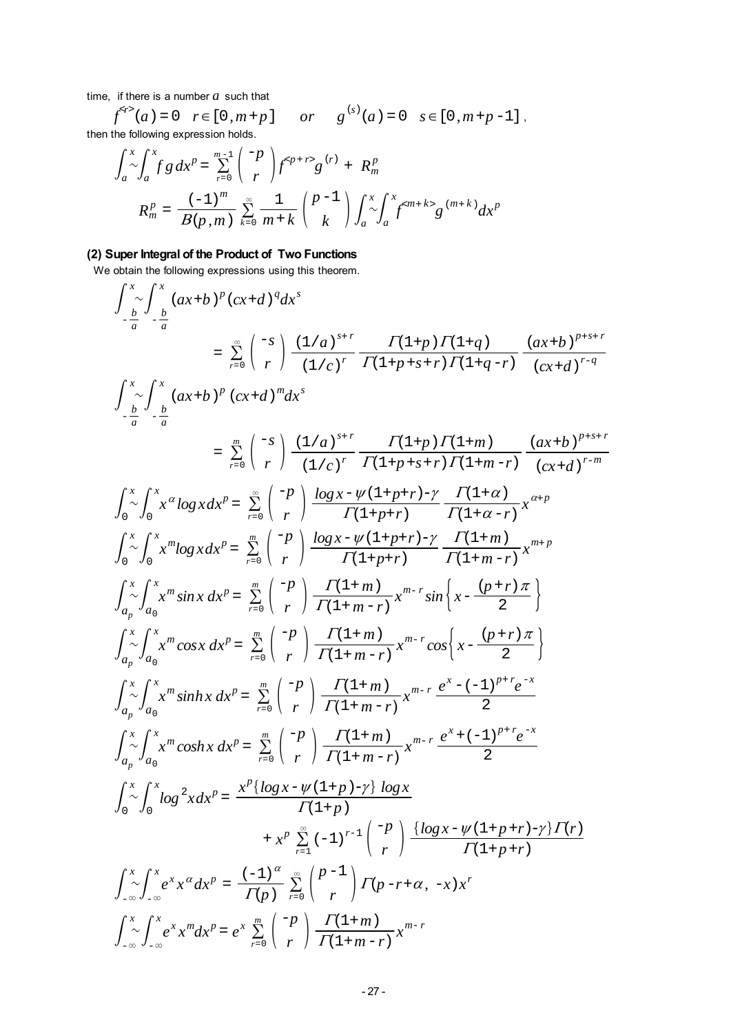time, if there is a number *a* such that

 $f^{s}$ <sup>2</sup>(a) = 0  $r \in [0, m+p]$  or  $g^{(s)}(a) = 0$   $s \in [0, m+p-1]$ , then the following expression holds.

$$
\int_{a}^{x} \int_{a}^{x} f g dx^{p} = \sum_{r=0}^{m-1} {\binom{-p}{r}} f^{} g^{(r)} + R_{m}^{p}
$$
  

$$
R_{m}^{p} = \frac{(-1)^{m}}{B(p,m)} \sum_{k=0}^{\infty} \frac{1}{m+k} {\binom{p-1}{k}} \int_{a}^{x} \int_{a}^{x} f^{} g^{(m+k)} dx^{p}
$$

# **(2) Super Integral of the Product of Two Functions**

We obtain the following expressions using this theorem.

$$
\int_{-\frac{b}{a}}^{x} \int_{-\frac{b}{a}}^{x} (ax+b)^{p} (cx+d)^{q} dx^{s}
$$
\n
$$
= \sum_{r=0}^{\infty} {\binom{-s}{r}} \frac{(1/a)^{s+r}}{(1/c)^{r}} \frac{\Gamma(1+p)\Gamma(1+q)}{\Gamma(1+p+s+r)\Gamma(1+q-r)} \frac{(ax+b)^{p+s+r}}{(cx+d)^{r-q}}
$$
\n
$$
\int_{-\frac{b}{a}}^{x} \int_{-\frac{b}{a}}^{x} (ax+b)^{p} (cx+d)^{m} dx^{s}
$$
\n
$$
= \sum_{r=0}^{\infty} {\binom{-s}{r}} \frac{(1/a)^{s+r}}{(1/c)^{r}} \frac{\Gamma(1+p)\Gamma(1+m)}{\Gamma(1+p+s+r)\Gamma(1+m-r)} \frac{(ax+b)^{p+s+r}}{(cx+d)^{r-m}}
$$
\n
$$
\int_{0}^{x} \int_{0}^{x} x^{a} log x dx^{p} = \sum_{r=0}^{\infty} {\binom{-p}{r}} \frac{log x - \psi(1+p+r)-\gamma}{\Gamma(1+p+r)} \frac{\Gamma(1+\alpha)}{\Gamma(1+\alpha-r)} x^{a+p}
$$
\n
$$
\int_{0}^{x} \int_{0}^{x} x^{m} log x dx^{p} = \sum_{r=0}^{\infty} {\binom{-p}{r}} \frac{log x - \psi(1+p+r)-\gamma}{\Gamma(1+p+r)} \frac{\Gamma(1+m)}{\Gamma(1+m-r)} x^{m+p}
$$
\n
$$
\int_{a_{p}}^{x} \int_{a_{0}}^{x} x^{m} sin x dx^{p} = \sum_{r=0}^{\infty} {\binom{-p}{r}} \frac{\Gamma(1+m)}{\Gamma(1+m-r)} x^{m-r} sin \left\{ x - \frac{(p+r)\pi}{2} \right\}
$$
\n
$$
\int_{a_{p}}^{x} \int_{a_{0}}^{x} x^{m} cos x dx^{p} = \sum_{r=0}^{\infty} {\binom{-p}{r}} \frac{\Gamma(1+m)}{\Gamma(1+m-r)} x^{m-r} cos \left\{ x - \frac{(p+r)\pi}{2} \right\}
$$
\n
$$
\int_{a_{p}}^{x} \int_{a_{0}}^{x} x^{m} sinh x dx^{p} = \sum_{r=0}^{\infty} {\binom{-p}{r}} \frac{\Gamma(1+m)}{\Gamma(1+m-r)} x^{m
$$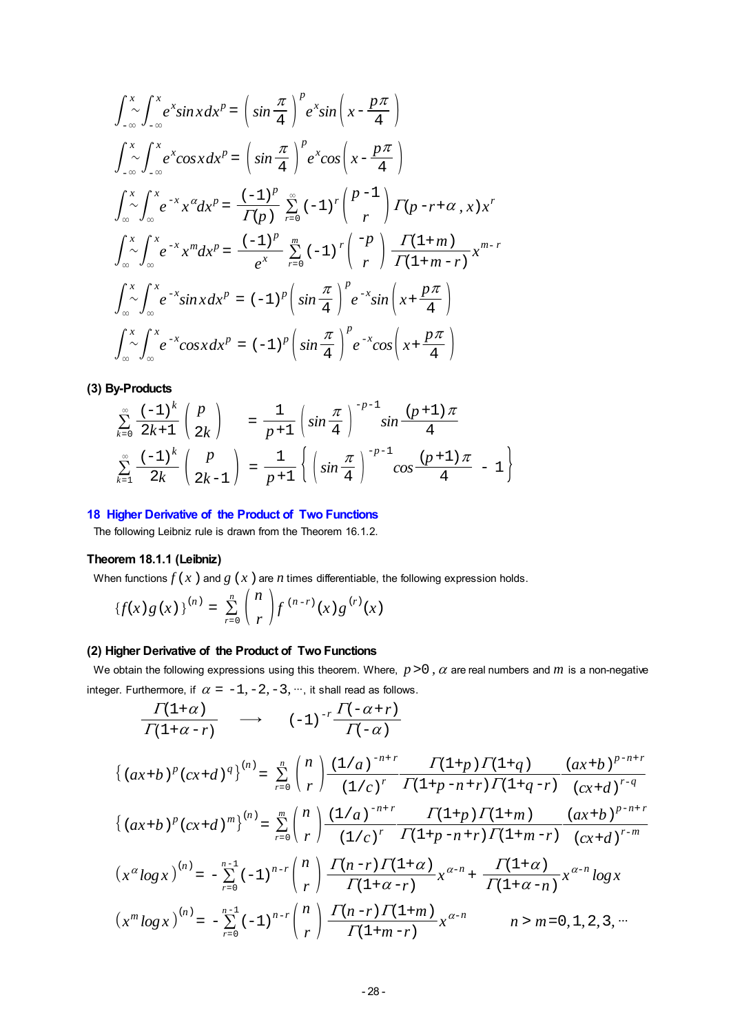$$
\int_{-\infty}^{x} \int_{-\infty}^{x} e^{x} \sin x \, dx^{p} = \left( \sin \frac{\pi}{4} \right)^{p} e^{x} \sin \left( x - \frac{p\pi}{4} \right)
$$
\n
$$
\int_{-\infty}^{x} \int_{-\infty}^{x} e^{x} \cos x \, dx^{p} = \left( \sin \frac{\pi}{4} \right)^{p} e^{x} \cos \left( x - \frac{p\pi}{4} \right)
$$
\n
$$
\int_{-\infty}^{x} \int_{-\infty}^{x} e^{-x} x^{a} \, dx^{p} = \frac{(-1)^{p}}{\Gamma(p)} \sum_{r=0}^{\infty} (-1)^{r} {p-1 \choose r} \Gamma(p-r+\alpha, x) x^{r}
$$
\n
$$
\int_{\infty}^{x} \int_{\infty}^{x} e^{-x} x^{m} \, dx^{p} = \frac{(-1)^{p}}{e^{x}} \sum_{r=0}^{m} (-1)^{r} {p \choose r} \frac{\Gamma(1+m)}{\Gamma(1+m-r)} x^{m-r}
$$
\n
$$
\int_{\infty}^{x} \int_{\infty}^{x} e^{-x} \sin x \, dx^{p} = (-1)^{p} \left( \sin \frac{\pi}{4} \right)^{p} e^{-x} \sin \left( x + \frac{p\pi}{4} \right)
$$
\n
$$
\int_{\infty}^{x} \int_{\infty}^{x} e^{-x} \cos x \, dx^{p} = (-1)^{p} \left( \sin \frac{\pi}{4} \right)^{p} e^{-x} \cos \left( x + \frac{p\pi}{4} \right)
$$

**(3) By-Products**

$$
\sum_{k=0}^{\infty} \frac{(-1)^k}{2k+1} {p \choose 2k} = \frac{1}{p+1} \left( \sin \frac{\pi}{4} \right)^{-p-1} \sin \frac{(p+1)\pi}{4}
$$

$$
\sum_{k=1}^{\infty} \frac{(-1)^k}{2k} {p \choose 2k-1} = \frac{1}{p+1} \left\{ \left( \sin \frac{\pi}{4} \right)^{-p-1} \cos \frac{(p+1)\pi}{4} - 1 \right\}
$$

### **18 Higher Derivative of the Product of Two Functions**

The following Leibniz rule is drawn from the Theorem 16.1.2.

### **Theorem 18.1.1 (Leibniz)**

When functions  $f(x)$  and  $g(x)$  are  $n$  times differentiable, the following expression holds.

$$
\{f(x) g(x)\}^{(n)} = \sum_{r=0}^{n} {n \choose r} f^{(n-r)}(x) g^{(r)}(x)
$$

### **(2) Higher Derivative of the Product of Two Functions**

We obtain the following expressions using this theorem. Where,  $p>0$ ,  $\alpha$  are real numbers and  $m$  is a non-negative integer. Furthermore, if  $\alpha = -1, -2, -3, \dots$ , it shall read as follows.

$$
\frac{\Gamma(1+\alpha)}{\Gamma(1+\alpha-r)} \quad \longrightarrow \quad (-1)^{-r} \frac{\Gamma(-\alpha+r)}{\Gamma(-\alpha)}
$$

$$
\{(ax+b)^p(cx+d)^q\}^{(n)} = \sum_{r=0}^n {n \choose r} \frac{(1/a)^{-n+r}}{(1/c)^r} \frac{\Gamma(1+p)\Gamma(1+q)}{\Gamma(1+p-n+r)\Gamma(1+q-r)} \frac{(ax+b)^{p-n+r}}{(cx+d)^{r-q}}
$$

$$
\{(ax+b)^p(cx+d)^m\}^{(n)} = \sum_{r=0}^m {n \choose r} \frac{(1/a)^{-n+r}}{(1/c)^r} \frac{\Gamma(1+p)\Gamma(1+m)}{\Gamma(1+p-n+r)\Gamma(1+m-r)} \frac{(ax+b)^{p-n+r}}{(cx+d)^{r-m}}
$$

$$
(x^a \log x)^{(n)} = -\sum_{r=0}^{n-1} (-1)^{n-r} {n \choose r} \frac{\Gamma(n-r)\Gamma(1+\alpha)}{\Gamma(1+\alpha-r)} x^{\alpha-n} + \frac{\Gamma(1+\alpha)}{\Gamma(1+\alpha-n)} x^{\alpha-n} \log x
$$

$$
\left(x^m \log x\right)^{(n)} = -\sum_{r=0}^{n-1} (-1)^{n-r} {n \choose r} \frac{\Gamma(n-r) \Gamma(1+m)}{\Gamma(1+m-r)} x^{\alpha-n} \qquad n > m = 0, 1, 2, 3, \cdots
$$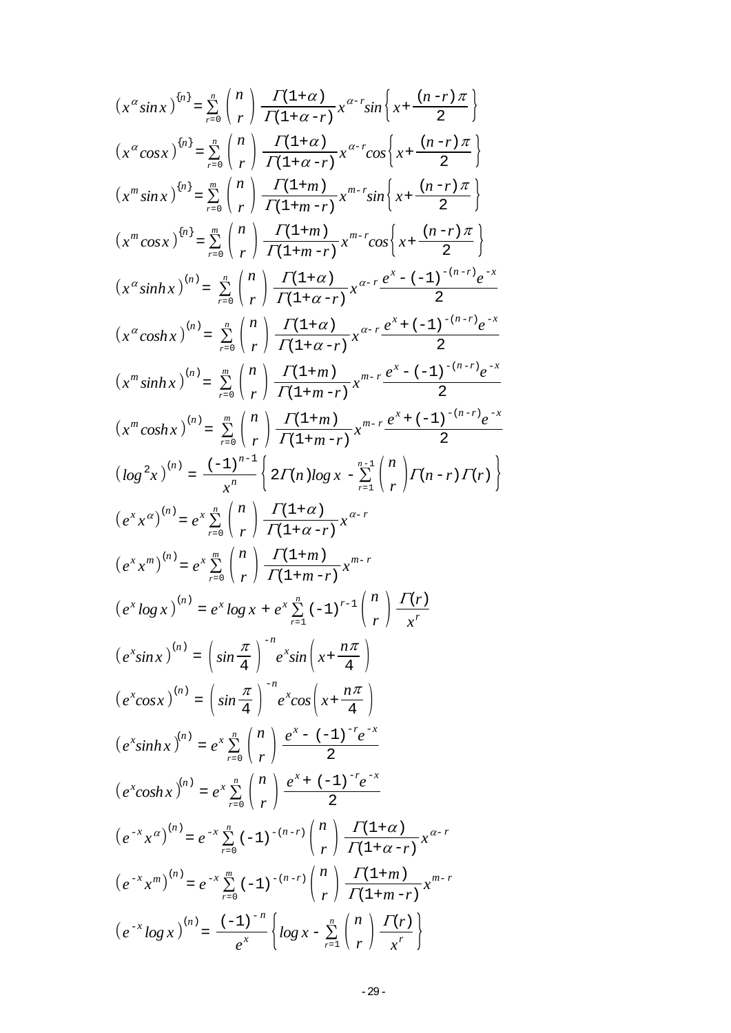$$
(x^{\alpha}sin x)^{(n)} = \sum_{r=0}^{\infty} {n \choose r} \frac{\Gamma(1+\alpha)}{\Gamma(1+\alpha-r)} x^{\alpha-r} sin \left\{ x + \frac{(n-r)\pi}{2} \right\}
$$
  
\n
$$
(x^{\alpha}cos x)^{(n)} = \sum_{r=0}^{\infty} {n \choose r} \frac{\Gamma(1+\alpha)}{\Gamma(1+\alpha-r)} x^{\alpha-r} cos \left\{ x + \frac{(n-r)\pi}{2} \right\}
$$
  
\n
$$
(x^m sin x)^{(n)} = \sum_{r=0}^{\infty} {n \choose r} \frac{\Gamma(1+m)}{\Gamma(1+m-r)} x^{m-r} sin \left\{ x + \frac{(n-r)\pi}{2} \right\}
$$
  
\n
$$
(x^{\alpha}cos x)^{(n)} = \sum_{r=0}^{\infty} {n \choose r} \frac{\Gamma(1+m)}{\Gamma(1+m-r)} x^{m-r} cos \left\{ x + \frac{(n-r)\pi}{2} \right\}
$$
  
\n
$$
(x^{\alpha}sinhx)^{(n)} = \sum_{r=0}^{\infty} {n \choose r} \frac{\Gamma(1+\alpha)}{\Gamma(1+\alpha-r)} x^{\alpha-r} \frac{e^x - (-1)^{-(n-r)}e^{-x}}{2}
$$
  
\n
$$
(x^{\alpha}coshx)^{(n)} = \sum_{r=0}^{\infty} {n \choose r} \frac{\Gamma(1+m)}{\Gamma(1+\alpha-r)} x^{\alpha-r} \frac{e^x + (-1)^{-(n-r)}e^{-x}}{2}
$$
  
\n
$$
(x^m coshx)^{(n)} = \sum_{r=0}^{\infty} {n \choose r} \frac{\Gamma(1+m)}{\Gamma(1+m-r)} x^{m-r} \frac{e^x + (-1)^{-(n-r)}e^{-x}}{2}
$$
  
\n
$$
(x^m coshx)^{(n)} = \sum_{r=0}^{\infty} {n \choose r} \frac{\Gamma(1+m)}{\Gamma(1+m-r)} x^{m-r} \frac{e^x + (-1)^{-(n-r)}e^{-x}}{2}
$$
  
\n
$$
(log^2 x)^{(n)} = \frac{(-1)^{n-1}}{x^n} \left\{ 2\Gamma(n)log x - \sum_{r=1}^{\infty} {n \choose r} \Gamma(n-r) \Gamma(r) \right\}
$$
  
\n
$$
(e^x x^{\alpha})^{(n)} = e^
$$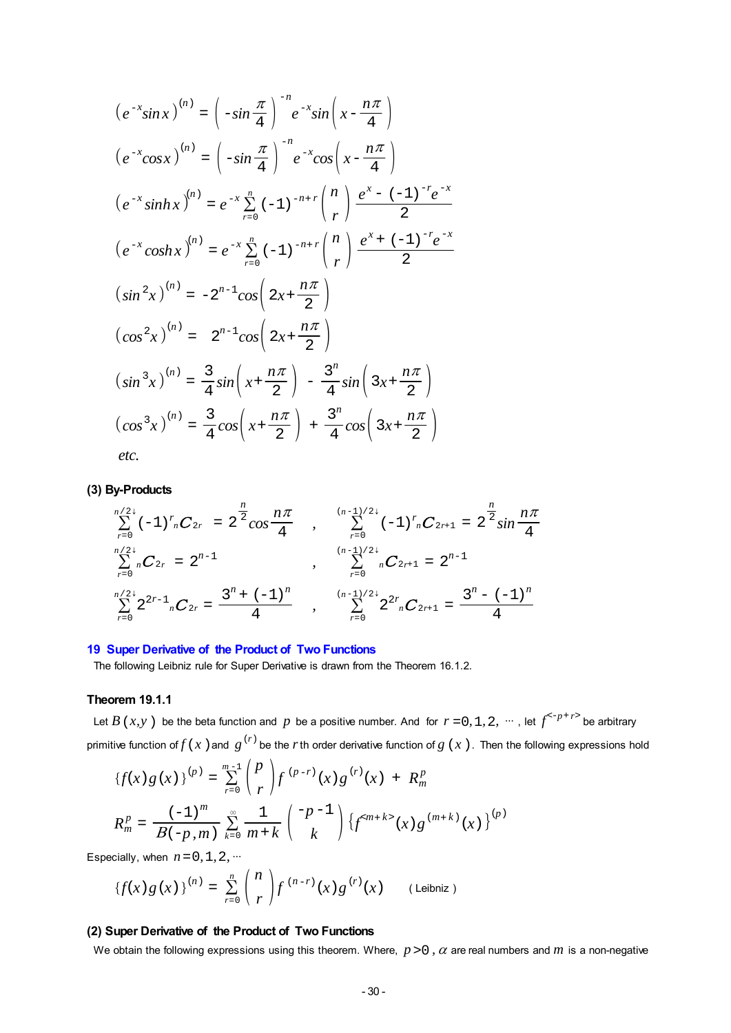$$
(e^{-x}\sin x)^{(n)} = \left(-\sin\frac{\pi}{4}\right)^{-n} e^{-x}\sin\left(x - \frac{n\pi}{4}\right)
$$
  
\n
$$
(e^{-x}\cos x)^{(n)} = \left(-\sin\frac{\pi}{4}\right)^{-n} e^{-x}\cos\left(x - \frac{n\pi}{4}\right)
$$
  
\n
$$
(e^{-x}\sinh x)^{(n)} = e^{-x}\sum_{r=0}^{n} (-1)^{-n+r} {n \choose r} \frac{e^{x} - (-1)^{-r}e^{-x}}{2}
$$
  
\n
$$
(e^{-x}\cosh x)^{(n)} = e^{-x}\sum_{r=0}^{n} (-1)^{-n+r} {n \choose r} \frac{e^{x} + (-1)^{-r}e^{-x}}{2}
$$
  
\n
$$
(\sin^{2}x)^{(n)} = -2^{n-1}\cos\left(2x + \frac{n\pi}{2}\right)
$$
  
\n
$$
(\cos^{2}x)^{(n)} = 2^{n-1}\cos\left(2x + \frac{n\pi}{2}\right)
$$
  
\n
$$
(\sin^{3}x)^{(n)} = \frac{3}{4}\sin\left(x + \frac{n\pi}{2}\right) - \frac{3^{n}}{4}\sin\left(3x + \frac{n\pi}{2}\right)
$$
  
\n
$$
(\cos^{3}x)^{(n)} = \frac{3}{4}\cos\left(x + \frac{n\pi}{2}\right) + \frac{3^{n}}{4}\cos\left(3x + \frac{n\pi}{2}\right)
$$
  
\netc.

#### **(3) By-Products**

$$
\sum_{r=0}^{n/2^+} (-1)^r {}_{n}C_{2r} = 2^{\frac{n}{2}} \cos \frac{n\pi}{4} , \qquad \sum_{r=0}^{(n-1)/2^+} (-1)^r {}_{n}C_{2r+1} = 2^{\frac{n}{2}} \sin \frac{n\pi}{4}
$$
  

$$
\sum_{r=0}^{n/2^+} {}_{n}C_{2r} = 2^{n-1} , \qquad \sum_{r=0}^{(n-1)/2^+} {}_{n}C_{2r+1} = 2^{n-1}
$$
  

$$
\sum_{r=0}^{n/2^+} 2^{2r-1} {}_{n}C_{2r} = \frac{3^n + (-1)^n}{4} , \qquad \sum_{r=0}^{(n-1)/2^+} 2^{2r} {}_{n}C_{2r+1} = \frac{3^n - (-1)^n}{4}
$$

#### **19 Super Derivative of the Product of Two Functions**

The following Leibniz rule for Super Derivative is drawn from the Theorem 16.1.2.

#### **Theorem 19.1.1**

Let *B* (*x,y*) be the beta function and *p* be a positive number. And for  $r = 0, 1, 2, \dots$ , let  $f^{(-p+r)}$  be arbitrary primitive function of  $f(x)$  and  $g^{(r)}$  be the  $r$ th order derivative function of  $g(x)$ . Then the following expressions hold

$$
\{f(x) g(x)\}^{(p)} = \sum_{r=0}^{m-1} {p \choose r} f^{(p-r)}(x) g^{(r)}(x) + R_m^p
$$
  

$$
R_m^p = \frac{(-1)^m}{B(-p, m)} \sum_{k=0}^{\infty} \frac{1}{m+k} {p-1 \choose k} \{f^{}(x) g^{(m+k)}(x)\}^{(p)}
$$

Especially, when  $n = 0, 1, 2, \cdots$ 

$$
\{f(x) g(x)\}^{(n)} = \sum_{r=0}^{n} {n \choose r} f^{(n-r)}(x) g^{(r)}(x) \qquad \text{(Leibniz)}
$$

### **(2) Super Derivative of the Product of Two Functions**

We obtain the following expressions using this theorem. Where,  $p > 0$ ,  $\alpha$  are real numbers and  $m$  is a non-negative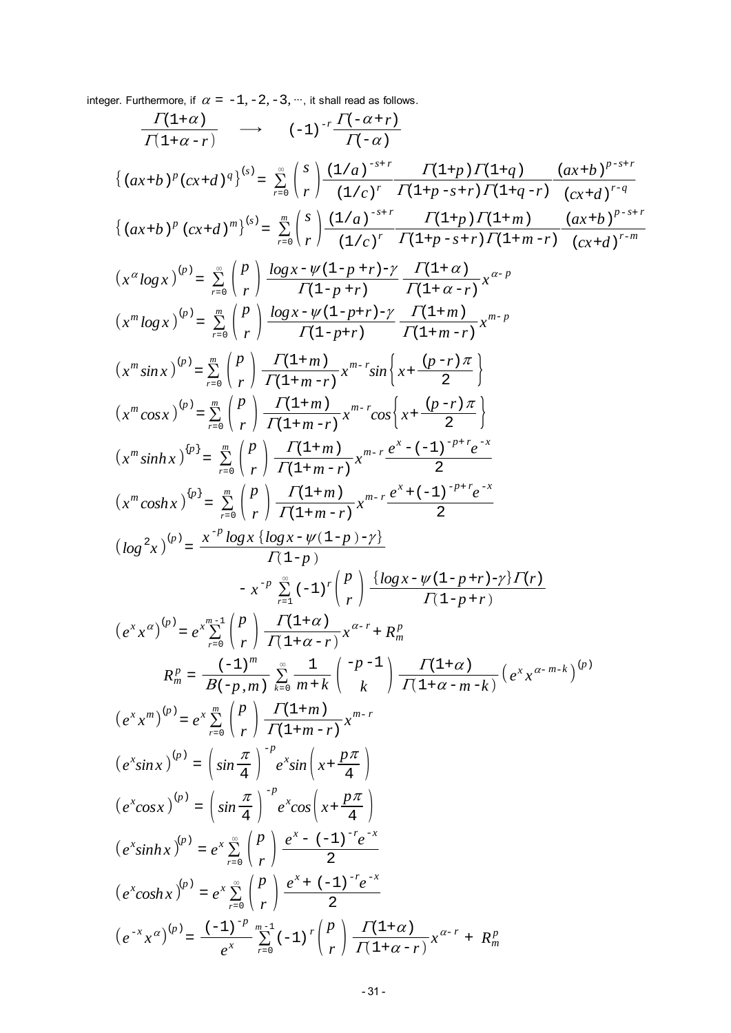integer. Furthermore, if  $\alpha = -1, -2, -3, \dots$ , it shall read as follows.

$$
\frac{\Gamma(1+\alpha)}{\Gamma(1+\alpha-r)} \longrightarrow (-1)^{-r} \frac{\Gamma(-\alpha+r)}{\Gamma(-\alpha)}
$$
\n
$$
\{(ax+b)^{p}(cx+d)^{q}\}^{(s)} = \sum_{r=0}^{\infty} {s \choose r} \frac{(1/a)^{-s+r}}{(1/c)^{r}} \frac{\Gamma(1+p)\Gamma(1+q)}{\Gamma(1+p-s+r)\Gamma(1+q-r)} \frac{(ax+b)^{p-s+r}}{(cx+d)^{r-q}}
$$
\n
$$
\{(ax+b)^{p} (cx+d)^{m}\}^{(s)} = \sum_{r=0}^{\infty} {s \choose r} \frac{(1/a)^{-s+r}}{(1/c)^{r}} \frac{\Gamma(1+p)\Gamma(1+m)}{\Gamma(1+p-s+r)\Gamma(1+m-r)} \frac{(ax+b)^{p-s+r}}{(cx+d)^{r-m}}
$$
\n
$$
(x^{m}log x)^{(p)} = \sum_{r=0}^{\infty} {p \choose r} \frac{\log x - \psi(1-p+r)-y}{\Gamma(1+p-r)} \frac{\Gamma(1+\alpha)}{\Gamma(1+m-r)} x^{m-p}
$$
\n
$$
(x^{m}log x)^{(p)} = \sum_{r=0}^{\infty} {p \choose r} \frac{\Gamma(1+m)}{\Gamma(1+m-r)} x^{m-r} \sin \left\{ x + \frac{(p-r)\pi}{2} \right\}
$$
\n
$$
(x^{m}cos x)^{(p)} = \sum_{r=0}^{\infty} {p \choose r} \frac{\Gamma(1+m)}{\Gamma(1+m-r)} x^{m-r} \cos \left\{ x + \frac{(p-r)\pi}{2} \right\}
$$
\n
$$
(x^{m}cos x)^{(p)} = \sum_{r=0}^{\infty} {p \choose r} \frac{\Gamma(1+m)}{\Gamma(1+m-r)} x^{m-r} \cos \left\{ x + \frac{(p-r)\pi}{2} \right\}
$$
\n
$$
(x^{m}cos x)^{(p)} = \sum_{r=0}^{\infty} {p \choose r} \frac{\Gamma(1+m)}{\Gamma(1+m-r)} x^{m-r} \frac{e^{x} - (-1)^{-p+r}e^{-x}}{2}
$$
\n
$$
(log^{2}x)^{(p)} = \sum_{r=0}^{\infty} {p \choose r} \frac{\Gamma(1+m)}{\Gamma(1+m-r)} x^{m-r} e^x \frac{e^{x} - (-1)^{-p+r}e^{-x}}{2}
$$
\n
$$
(log^{2}x)^{(
$$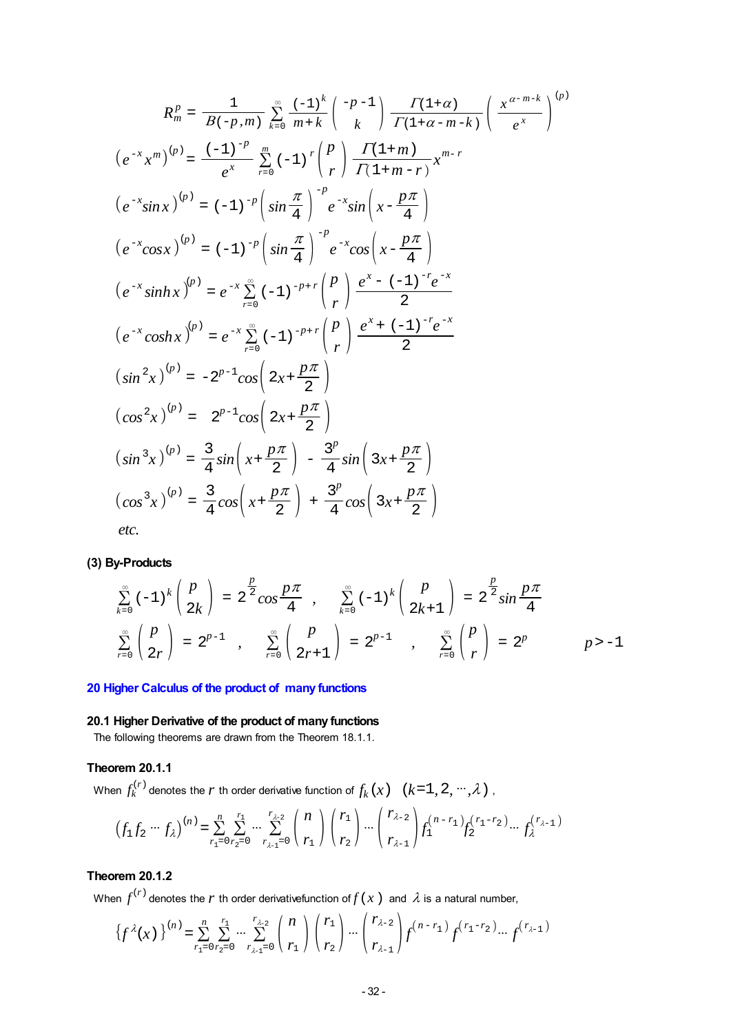$$
R_{m}^{P} = \frac{1}{B(-p,m)} \sum_{k=0}^{\infty} \frac{(-1)^{k}}{m+k} {p-1 \choose k} \frac{\Gamma(1+\alpha)}{\Gamma(1+\alpha-m-k)} \left( \frac{x^{\alpha-m-k}}{e^{x}} \right)^{(p)}
$$
  
\n
$$
(e^{-x}x^{m})^{(p)} = \frac{(-1)^{-p}}{e^{x}} \sum_{r=0}^{m} (-1)^{r} {p \choose r} \frac{\Gamma(1+m)}{\Gamma(1+m-r)} x^{m-r}
$$
  
\n
$$
(e^{-x}sinx)^{(p)} = (-1)^{-p} \left( sin \frac{\pi}{4} \right)^{-p} e^{-x} sin \left( x - \frac{p\pi}{4} \right)
$$
  
\n
$$
(e^{-x}cosx)^{(p)} = (-1)^{-p} \left( sin \frac{\pi}{4} \right)^{-p} e^{-x} cos \left( x - \frac{p\pi}{4} \right)
$$
  
\n
$$
(e^{-x}sinhx)^{(p)} = e^{-x} \sum_{r=0}^{\infty} (-1)^{-p+r} {p \choose r} \frac{e^{x} - (-1)^{-r} e^{-x}}{2}
$$
  
\n
$$
(e^{-x}coshx)^{(p)} = e^{-x} \sum_{r=0}^{\infty} (-1)^{-p+r} {p \choose r} \frac{e^{x} + (-1)^{-r} e^{-x}}{2}
$$
  
\n
$$
(sin^{2}x)^{(p)} = -2^{p-1}cos \left( 2x + \frac{p\pi}{2} \right)
$$
  
\n
$$
(cos^{2}x)^{(p)} = 2^{p-1}cos \left( 2x + \frac{p\pi}{2} \right)
$$
  
\n
$$
(sin^{3}x)^{(p)} = \frac{3}{4} sin \left( x + \frac{p\pi}{2} \right) - \frac{3^{p}}{4} sin \left( 3x + \frac{p\pi}{2} \right)
$$
  
\n
$$
(cos^{3}x)^{(p)} = \frac{3}{4} cos \left( x + \frac{p\pi}{2} \right) + \frac{3^{p}}{4} cos \left( 3x + \frac{p\pi}{2} \right)
$$
  
\netc.

**(3) By-Products**

$$
\sum_{k=0}^{\infty} (-1)^k {p \choose 2k} = 2^{\frac{p}{2}} \cos \frac{p\pi}{4} , \quad \sum_{k=0}^{\infty} (-1)^k {p \choose 2k+1} = 2^{\frac{p}{2}} \sin \frac{p\pi}{4}
$$
  

$$
\sum_{r=0}^{\infty} {p \choose 2r} = 2^{p-1} , \quad \sum_{r=0}^{\infty} {p \choose 2r+1} = 2^{p-1} , \quad \sum_{r=0}^{\infty} {p \choose r} = 2^p
$$
  $p > -1$ 

# **20 Higher Calculus of the product of many functions**

### **20.1 Higher Derivative of the product of many functions**

The following theorems are drawn from the Theorem 18.1.1.

# **Theorem 20.1.1**

When  $f_k^{(r)}$  denotes the  $r$  th order derivative function of  $f_k(x)$   $(k=1, 2, ..., \lambda)$ ,

$$
(f_1 f_2 \cdots f_\lambda)^{(n)} = \sum_{r_1=0}^n \sum_{r_2=0}^{r_1} \cdots \sum_{r_{\lambda-1}=0}^{r_{\lambda-2}} {n \choose r_1} {r_1 \choose r_2} \cdots {r_{\lambda-2} \choose r_{\lambda-1}} f_1^{(n-r_1)} f_2^{(r_1-r_2)} \cdots f_\lambda^{(r_{\lambda-1})}
$$

# **Theorem 20.1.2**

When  $f^{(r)}$  denotes the  $r$  th order derivativefunction of  $f(x)$  and  $\lambda$  is a natural number,

$$
\left\{f^{\lambda}(x)\right\}^{(n)} = \sum_{r_1=0}^{n} \sum_{r_2=0}^{r_1} \cdots \sum_{r_{\lambda-1}=0}^{r_{\lambda-2}} \binom{n}{r_1} \binom{r_1}{r_2} \cdots \binom{r_{\lambda-2}}{r_{\lambda-1}} f^{(n-r_1)} f^{(r_1-r_2)} \cdots f^{(r_{\lambda-1})}
$$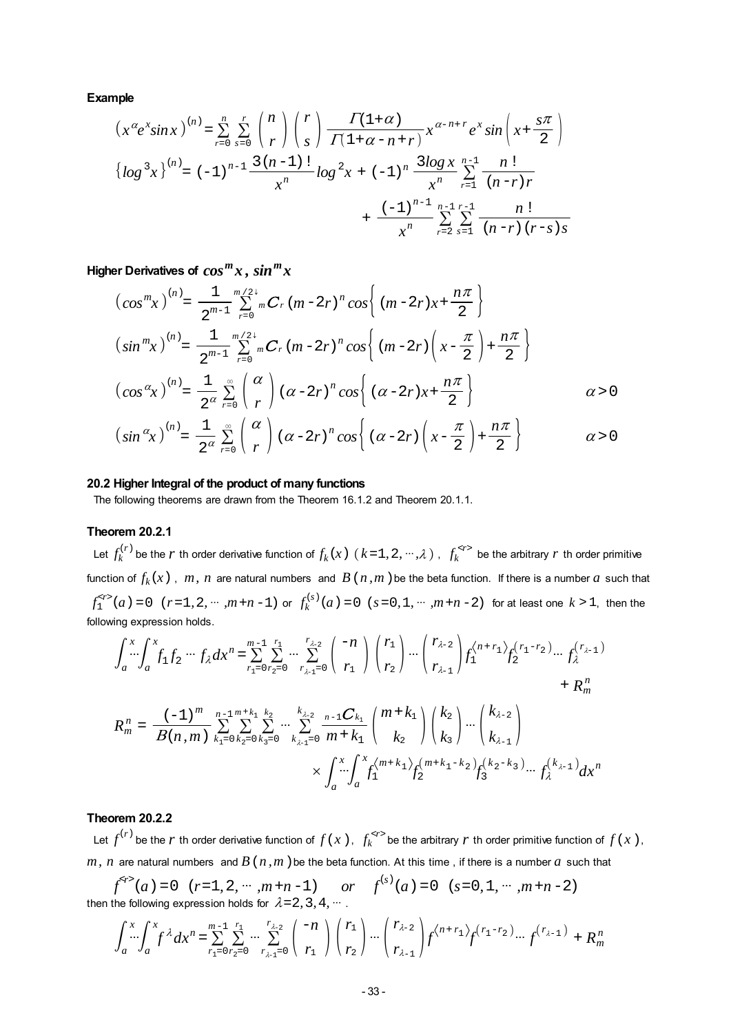**Example**

$$
\left(x^{\alpha}e^{x}\sin x\right)^{(n)} = \sum_{r=0}^{n} \sum_{s=0}^{r} {n \choose r} {r \choose s} \frac{\Gamma(1+\alpha)}{\Gamma(1+\alpha-n+r)} x^{\alpha-n+r} e^{x} \sin \left(x + \frac{s\pi}{2}\right)
$$
  

$$
\left\{ \log^{3}x \right\}^{(n)} = (-1)^{n-1} \frac{3(n-1)!}{x^{n}} \log^{2}x + (-1)^{n} \frac{3\log x}{x^{n}} \sum_{r=1}^{n-1} \frac{n!}{(n-r)r} + \frac{(-1)^{n-1} n^{-1} r^{-1}}{x^{n}} \sum_{r=2}^{n-1} \sum_{s=1}^{r-1} \frac{n!}{(n-r) (r-s) s}
$$

Higher Derivatives of  $cos^{m}x$ ,  $sin^{m}x$ 

$$
\left(\cos^{m}x\right)^{(n)} = \frac{1}{2^{m-1}} \sum_{r=0}^{m/2+} {}^{m}C_{r} (m-2r)^{n} \cos\left\{(m-2r)x + \frac{n\pi}{2}\right\}
$$
  

$$
\left(\sin^{m}x\right)^{(n)} = \frac{1}{2^{m-1}} \sum_{r=0}^{m/2+} {}^{m}C_{r} (m-2r)^{n} \cos\left\{(m-2r)\left(x - \frac{\pi}{2}\right) + \frac{n\pi}{2}\right\}
$$
  

$$
\left(\cos^{\alpha}x\right)^{(n)} = \frac{1}{2^{\alpha}} \sum_{r=0}^{\infty} \binom{\alpha}{r} (\alpha - 2r)^{n} \cos\left\{(a-2r)x + \frac{n\pi}{2}\right\}
$$
  

$$
\left(\sin^{\alpha}x\right)^{(n)} = \frac{1}{2^{\alpha}} \sum_{r=0}^{\infty} \binom{\alpha}{r} (\alpha - 2r)^{n} \cos\left\{(a-2r)\left(x - \frac{\pi}{2}\right) + \frac{n\pi}{2}\right\}
$$
  

$$
\alpha > 0
$$

#### **20.2 Higher Integral of the product of many functions**

The following theorems are drawn from the Theorem 16.1.2 and Theorem 20.1.1.

### **Theorem 20.2.1**

Let  $f_k^{(r)}$  be the  $r$  th order derivative function of  $f_k(x)$   $(k=1,2,\cdots,\lambda)$  ,  $f_k^{}$  be the arbitrary  $r$  th order primitive function of  $f_k(x)$ ,  $m$ ,  $n$  are natural numbers and  $B(n,m)$  be the beta function. If there is a number  $a$  such that  $f_1^{< r>} (a) = 0$   $(r=1, 2, \cdots, m+n-1)$  or  $f_k^{(s)} (a) = 0$   $(s=0, 1, \cdots, m+n-2)$  for at least one  $k > 1$ , then the following expression holds.

$$
\int_{a}^{x} \int_{a}^{x} f_{1} f_{2} \cdots f_{\lambda} dx^{n} = \sum_{r_{1}=0}^{m-1} \sum_{r_{2}=0}^{r_{1}} \cdots \sum_{r_{\lambda-1}=0}^{r_{\lambda-2}} \binom{-n}{r_{1}} \binom{r_{1}}{r_{2}} \cdots \binom{r_{\lambda-2}}{r_{\lambda-1}} f_{1}^{(n+r_{1})} f_{2}^{(r_{1}-r_{2})} \cdots f_{\lambda}^{(r_{\lambda-1})}
$$
\n
$$
+ R_{m}^{n}
$$
\n
$$
R_{m}^{n} = \frac{(-1)^{m}}{B(n,m)} \sum_{k_{1}=0}^{n-1} \sum_{k_{2}=0}^{m+k_{1}} \sum_{k_{3}=0}^{k_{2}} \cdots \sum_{k_{\lambda-1}=0}^{k_{\lambda-2}} \frac{(-1)^{m-k_{1}}}{m+k_{1}} \binom{m+k_{1}}{k_{2}} \binom{k_{2}}{k_{3}} \cdots \binom{k_{\lambda-2}}{k_{\lambda-1}}
$$
\n
$$
\times \int_{a}^{x} \int_{a}^{x} f_{1}^{(m+k_{1})} f_{2}^{(m+k_{1}-k_{2})} f_{3}^{(k_{2}-k_{3})} \cdots f_{\lambda}^{(k_{\lambda-1})} dx^{n}
$$

# **Theorem 20.2.2**

Let  $f^{(r)}$  be the  $r$  th order derivative function of  $f(x)$ ,  $f_k^{}$  be the arbitrary  $r$  th order primitive function of  $f(x)$ , *m, n* are natural numbers and  $B(n, m)$  be the beta function. At this time, if there is a number  $a$  such that

$$
f^{(r)}(a) = 0 \quad (r=1, 2, \cdots, m+n-1) \qquad or \qquad f^{(s)}(a) = 0 \quad (s=0, 1, \cdots, m+n-2)
$$
  
then the following expression holds for  $\lambda = 2, 3, 4, \cdots$ .

$$
\int_{a}^{x} \int_{a}^{x} f^{\lambda} dx^{n} = \sum_{r_{1}=0}^{m-1} \sum_{r_{2}=0}^{r_{1}} \cdots \sum_{r_{\lambda-1}=0}^{r_{\lambda-2}} \binom{-n}{r_{1}} {r_{2}} \cdots \binom{r_{\lambda-2}}{r_{\lambda-1}} f^{(n+r_{1})} f^{(r_{1}-r_{2})} \cdots f^{(r_{\lambda-1})} + R_{m}^{n}
$$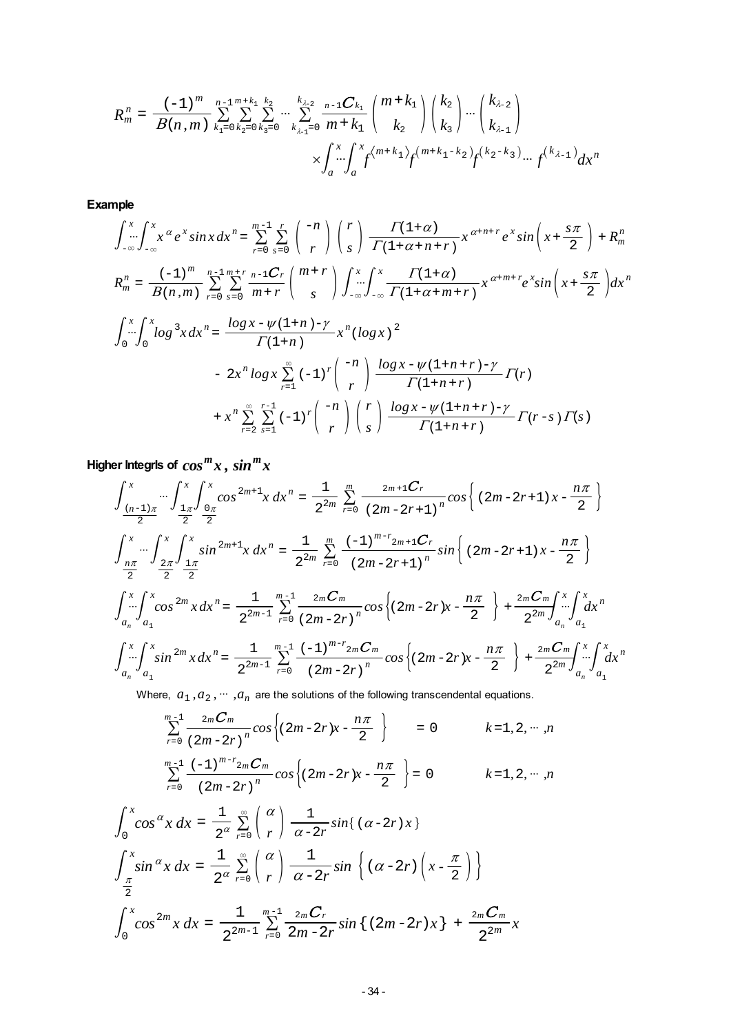$$
R_{m}^{n} = \frac{(-1)^{m}}{B(n,m)} \sum_{k_{1}=0}^{n-1} \sum_{k_{2}=0}^{m+k_{1}} \sum_{k_{3}=0}^{k_{2}} \cdots \sum_{k_{\lambda-1}=0}^{k_{\lambda-2}} \frac{(-1)^{m+k_{1}}}{m+k_{1}} {m+k_{1} \choose k_{2}} {k_{2} \choose k_{3}} \cdots {k_{\lambda-2} \choose k_{\lambda-1}} \times \int_{a}^{x} \int_{a}^{x} \int_{a}^{m+k_{1}} \int_{f}^{m+k_{1}} f^{(m+k_{1}-k_{2})} f^{(k_{2}-k_{3})} \cdots f^{(k_{\lambda-1})} dx^{n}
$$

**Example**

$$
\int_{-\infty}^{x} \int_{-\infty}^{x} x^{\alpha} e^{x} \sin x \, dx^{n} = \sum_{r=0}^{m-1} \sum_{s=0}^{r} \binom{-n}{r} \binom{r}{s} \frac{\Gamma(1+\alpha)}{\Gamma(1+\alpha+n+r)} x^{\alpha+n+r} e^{x} \sin \left(x + \frac{s\pi}{2}\right) + R_{m}^{n}
$$
\n
$$
R_{m}^{n} = \frac{(-1)^{m}}{B(n,m)} \sum_{r=0}^{n-1} \sum_{s=0}^{m+r} \frac{n-1C_{r}}{m+r} \binom{m+r}{s} \int_{-\infty}^{x} \int_{-\infty}^{x} \frac{\Gamma(1+\alpha)}{\Gamma(1+\alpha+m+r)} x^{\alpha+m+r} e^{x} \sin \left(x + \frac{s\pi}{2}\right) dx^{n}
$$
\n
$$
\int_{0}^{x} \int_{0}^{x} \log^{3} x \, dx^{n} = \frac{\log x - \psi(1+n) - \gamma}{\Gamma(1+n)} x^{n} (\log x)^{2}
$$

$$
\Gamma(1+n) = 2x^{n} \log x \sum_{r=1}^{\infty} (-1)^{r} {n \choose r} \frac{\log x - \psi(1+n+r) - \gamma}{\Gamma(1+n+r)} \Gamma(r) + x^{n} \sum_{r=2}^{\infty} \sum_{s=1}^{r-1} (-1)^{r} {n \choose r} {r \choose s} \frac{\log x - \psi(1+n+r) - \gamma}{\Gamma(1+n+r)} \Gamma(r-s) \Gamma(s)
$$

**Higher Integrls of**  $cos^{m}x$ ,  $sin^{m}x$ 

$$
\int_{\frac{(n-1)\pi}{2}}^{x} \cdots \int_{\frac{1\pi}{2}}^{x} \int_{\frac{0\pi}{2}}^{x} \cos^{2m+1}x \, dx^{n} = \frac{1}{2^{2m}} \sum_{r=0}^{m} \frac{2m+1C_{r}}{(2m-2r+1)^{n}} \cos \left\{ (2m-2r+1)x - \frac{n\pi}{2} \right\}
$$
  

$$
\int_{\frac{n\pi}{2}}^{x} \cdots \int_{\frac{2\pi}{2}}^{x} \int_{\frac{1\pi}{2}}^{x} \sin^{2m+1}x \, dx^{n} = \frac{1}{2^{2m}} \sum_{r=0}^{m} \frac{(-1)^{m-r}2m+1C_{r}}{(2m-2r+1)^{n}} \sin \left\{ (2m-2r+1)x - \frac{n\pi}{2} \right\}
$$
  

$$
\int_{a_{n}}^{x} \int_{a_{1}}^{x} \cos^{2m}x \, dx^{n} = \frac{1}{2^{2m-1}} \sum_{r=0}^{m-1} \frac{2mC_{m}}{(2m-2r)^{n}} \cos \left\{ (2m-2r)x - \frac{n\pi}{2} \right\} + \frac{2mC_{m}}{2^{2m}} \int_{a_{n}}^{x} \cdots \int_{a_{1}}^{x} dx^{n}
$$
  

$$
\int_{a_{n}}^{x} \int_{a_{1}}^{x} \sin^{2m}x \, dx^{n} = \frac{1}{2^{2m-1}} \sum_{r=0}^{m-1} \frac{(-1)^{m-r}2mC_{m}}{(2m-2r)^{n}} \cos \left\{ (2m-2r)x - \frac{n\pi}{2} \right\} + \frac{2mC_{m}}{2^{2m}} \int_{a_{n}}^{x} \cdots \int_{a_{1}}^{x} dx^{n}
$$

Where,  $a_1, a_2, \cdots, a_n$  are the solutions of the following transcendental equations.

$$
\sum_{r=0}^{m-1} \frac{2mC_m}{(2m-2r)^n} cos \left\{ (2m-2r)x - \frac{n\pi}{2} \right\} = 0 \qquad k = 1, 2, \dots, n
$$
  

$$
\sum_{r=0}^{m-1} \frac{(-1)^{m-r} 2mC_m}{(2m-2r)^n} cos \left\{ (2m-2r)x - \frac{n\pi}{2} \right\} = 0 \qquad k = 1, 2, \dots, n
$$

$$
\int_0^x \cos^\alpha x \, dx = \frac{1}{2^\alpha} \sum_{r=0}^\infty \binom{\alpha}{r} \frac{1}{\alpha - 2r} \sin\left((\alpha - 2r)x\right)
$$

$$
\int_{\frac{\pi}{2}}^x \sin^\alpha x \, dx = \frac{1}{2^\alpha} \sum_{r=0}^\infty \binom{\alpha}{r} \frac{1}{\alpha - 2r} \sin\left((\alpha - 2r)\left(x - \frac{\pi}{2}\right)\right)
$$

$$
\int_0^x \cos^{2m} x \, dx = \frac{1}{2^{2m-1}} \sum_{r=0}^{m-1} \frac{2m \, C_r}{2m - 2r} \sin\left((2m - 2r)x\right) + \frac{2m \, C_m}{2^{2m}} x
$$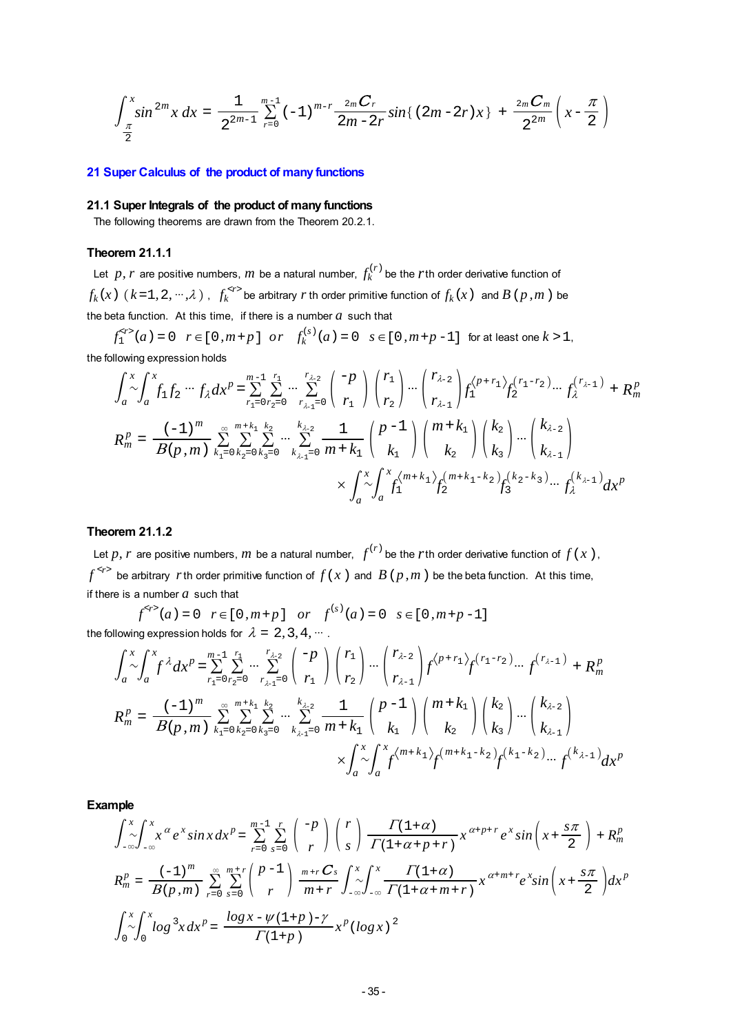$$
\int_{\frac{\pi}{2}}^{x} \sin^{2m} x \, dx = \frac{1}{2^{2m-1}} \sum_{r=0}^{m-1} (-1)^{m-r} \frac{2m \, C_r}{2m-2r} \sin\left(\left(2m-2r\right)x\right) + \frac{2m \, C_m}{2^{2m}} \left(x - \frac{\pi}{2}\right)
$$

#### **21 Super Calculus of the product of many functions**

#### **21.1 Super Integrals of the product of many functions**

The following theorems are drawn from the Theorem 20.2.1.

#### **Theorem 21.1.1**

Let *p*, *r* are positive numbers, *m* be a natural number,  $f_k^{(r)}$  be the *r*th order derivative function of  $f_k(x)$   $(k=1,2,\cdots,\lambda)$  ,  $f_k^{*r*}$  be arbitrary  $r$  th order primitive function of  $f_k(x)$  and  $B$  ( $p$ , $m$  ) be the beta function. At this time, if there is a number  $a$  such that

 $f_1^{*r*}$   $(a) = 0$   $r \in [0, m+p]$   $or$   $f_k^{(s)}(a) = 0$   $s \in [0, m+p-1]$  for at least one  $k > 1$ , the following expression holds

$$
\int_{a}^{x} \int_{a}^{x} f_{1} f_{2} \cdots f_{\lambda} dx^{p} = \sum_{r_{1}=0}^{m-1} \sum_{r_{2}=0}^{r_{1}} \cdots \sum_{r_{\lambda-1}=0}^{r_{\lambda-2}} \binom{-p}{r_{1}} \binom{r_{1}}{r_{2}} \cdots \binom{r_{\lambda-2}}{r_{\lambda-1}} f_{1}^{(p+r_{1})} f_{2}^{(r_{1}-r_{2})} \cdots f_{\lambda}^{(r_{\lambda-1})} + R_{m}^{p}
$$
\n
$$
R_{m}^{p} = \frac{(-1)^{m}}{B(p,m)} \sum_{k_{1}=0}^{\infty} \sum_{k_{2}=0}^{m+k_{1}} \sum_{k_{3}=0}^{k_{2}} \cdots \sum_{k_{\lambda-1}=0}^{k_{\lambda-2}} \frac{1}{m+k_{1}} \binom{p-1}{k_{1}} \binom{m+k_{1}}{k_{2}} \binom{k_{2}}{k_{3}} \cdots \binom{k_{\lambda-2}}{k_{\lambda-1}}
$$
\n
$$
\times \int_{a}^{x} \int_{a}^{x} f_{1}^{(m+k_{1})} f_{2}^{(m+k_{1}-k_{2})} f_{3}^{(k_{2}-k_{3})} \cdots f_{\lambda}^{(k_{\lambda-1})} dx^{p}
$$

### **Theorem 21.1.2**

Let p, r are positive numbers, m be a natural number,  $f^{(r)}$  be the rth order derivative function of  $f(x)$ ,  $f^{<sub>r></sub>}$  be arbitrary *r*th order primitive function of  $f(x)$  and  $B(p,m)$  be the beta function. At this time, if there is a number *a* such that

 $f^{*r*}$  (*a*) = 0 *r*  $\in$  [0,*m*+*p*] *or*  $f^{(s)}(a) = 0$  *s*  $\in$  [0,*m*+*p*-1] the following expression holds for  $\lambda = 2, 3, 4, ...$ .

$$
\int_{a}^{x} \int_{a}^{x} f^{\lambda} dx^{p} = \sum_{r_{1}=0}^{m-1} \sum_{r_{2}=0}^{r_{1}} \cdots \sum_{r_{\lambda-1}=0}^{r_{\lambda-2}} \binom{-p}{r_{1}} \binom{r_{1}}{r_{2}} \cdots \binom{r_{\lambda-2}}{r_{\lambda-1}} f^{(p+r_{1})} f^{(r_{1}-r_{2})} \cdots f^{(r_{\lambda-1})} + R_{m}^{p}
$$
\n
$$
R_{m}^{p} = \frac{(-1)^{m}}{B(p,m)} \sum_{k_{1}=0}^{\infty} \sum_{k_{2}=0}^{m+k_{1}} \sum_{k_{3}=0}^{k_{2}} \cdots \sum_{k_{\lambda-1}=0}^{k_{\lambda-2}} \frac{1}{m+k_{1}} {p-1 \choose k_{1}} {m+k_{1} \choose k_{2}} {k_{2} \choose k_{3}} \cdots {k_{\lambda-2} \choose k_{\lambda-1}}
$$
\n
$$
\times \int_{a}^{x} \int_{a}^{x} f^{(m+k_{1})} f^{(m+k_{1}-k_{2})} f^{(k_{1}-k_{2})} \cdots f^{(k_{\lambda-1})} dx^{p}
$$

$$
\int_{-\infty}^{x} \int_{-\infty}^{x} x^{\alpha} e^{x} \sin x \, dx^{p} = \sum_{r=0}^{m-1} \sum_{s=0}^{r} \binom{-p}{r} \binom{r}{s} \frac{\Gamma(1+\alpha)}{\Gamma(1+\alpha+p+r)} x^{\alpha+p+r} e^{x} \sin \left(x + \frac{s\pi}{2}\right) + R_{m}^{p}
$$
\n
$$
R_{m}^{p} = \frac{(-1)^{m}}{B(p,m)} \sum_{r=0}^{\infty} \sum_{s=0}^{m+r} \binom{p-1}{r} \frac{m+r}{m+r} \int_{-\infty}^{x} \int_{-\infty}^{x} \frac{\Gamma(1+\alpha)}{\Gamma(1+\alpha+m+r)} x^{\alpha+m+r} e^{x} \sin \left(x + \frac{s\pi}{2}\right) dx^{p}
$$
\n
$$
\int_{0}^{x} \int_{0}^{x} \log^{3} x \, dx^{p} = \frac{\log x - \psi(1+p) - \gamma}{\Gamma(1+p)} x^{p} (\log x)^{2}
$$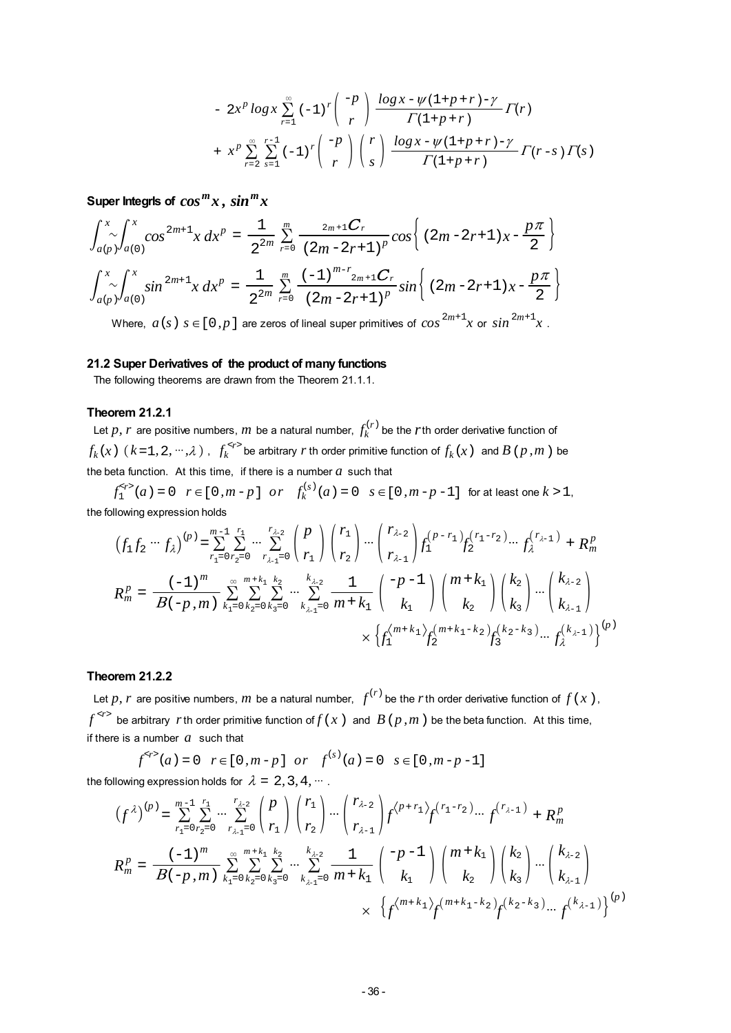$$
- 2x^{p} \log x \sum_{r=1}^{\infty} (-1)^{r} { -p \choose r} \frac{\log x - \psi(1+p+r) - \gamma}{\Gamma(1+p+r)} \Gamma(r)
$$
  
+  $x^{p} \sum_{r=2}^{\infty} \sum_{s=1}^{r-1} (-1)^{r} { -p \choose r} {r \choose s} \frac{\log x - \psi(1+p+r) - \gamma}{\Gamma(1+p+r)} \Gamma(r-s) \Gamma(s)$ 

Super Integris of  $cos^{m}x$ ,  $sin^{m}x$ 

$$
\int_{a(p)}^{x} \int_{a(0)}^{x} \cos^{2m+1} x \, dx^{p} = \frac{1}{2^{2m}} \sum_{r=0}^{m} \frac{2m+1C_{r}}{(2m-2r+1)^{p}} \cos \left\{ (2m-2r+1)x - \frac{p\pi}{2} \right\}
$$

$$
\int_{a(p)}^{x} \int_{a(0)}^{x} \sin^{2m+1} x \, dx^{p} = \frac{1}{2^{2m}} \sum_{r=0}^{m} \frac{(-1)^{m-r} 2m+1C_{r}}{(2m-2r+1)^{p}} \sin \left\{ (2m-2r+1)x - \frac{p\pi}{2} \right\}
$$

Where,  $a\left(s\right)$   $s\in$  [  $0$  *,*  $p$  ] are zeros of lineal super primitives of  $\cos^{2m+1}\!x$  or  $\sin^{2m+1}\!x$  .

#### **21.2 Super Derivatives of the product of many functions**

The following theorems are drawn from the Theorem 21.1.1.

### **Theorem 21.2.1**

Let  $p$ ,  $r$  are positive numbers,  $m$  be a natural number,  $f_k^{(r)}$  be the  $r$ th order derivative function of  $f_k(x)$   $(k=1,2,\cdots,\lambda)$  ,  $f_k^{*r*}$  be arbitrary  $r$  th order primitive function of  $f_k(x)$  and  $B$  ( $p$ , $m$  ) be the beta function. At this time, if there is a number  $a$  such that

 $f_1^{*r*}$   $(a) = 0$   $r \in [0, m-p]$   $or$   $f_k^{(s)}(a) = 0$   $s \in [0, m-p-1]$  for at least one  $k > 1$ , the following expression holds

$$
(f_1 f_2 \cdots f_{\lambda})^{(p)} = \sum_{r_1=0}^{m-1} \sum_{r_2=0}^{r_1} \cdots \sum_{r_{\lambda-1}=0}^{r_{\lambda-2}} \binom{p}{r_1} \binom{r_1}{r_2} \cdots \binom{r_{\lambda-2}}{r_{\lambda-1}} f_1^{(p-r_1)} f_2^{(r_1-r_2)} \cdots f_{\lambda}^{(r_{\lambda-1})} + R_m^p
$$
  
\n
$$
R_m^p = \frac{(-1)^m}{B(-p, m)} \sum_{k_1=0}^{\infty} \sum_{k_2=0}^{m+k_1} \sum_{k_3=0}^{k_2} \cdots \sum_{k_{\lambda-1}=0}^{k_{\lambda-2}} \frac{1}{m+k_1} \binom{-p-1}{k_1} \binom{m+k_1}{k_2} \binom{k_2}{k_3} \cdots \binom{k_{\lambda-2}}{k_{\lambda-1}}
$$
  
\n
$$
\times \left\{ f_1^{(m+k_1)} f_2^{(m+k_1-k_2)} f_3^{(k_2-k_3)} \cdots f_{\lambda}^{(k_{\lambda-1})} \right\}^{(p)}
$$

#### **Theorem 21.2.2**

Let p, r are positive numbers, m be a natural number,  $f^{(r)}$  be the r th order derivative function of  $f(x)$ ,  $f^{< r>1}$  be arbitrary *r*th order primitive function of  $f(x)$  and  $B(p,m)$  be the beta function. At this time, if there is a number *a* such that

 $f^{< r>(a) = 0 \quad r \in [0, m-p] \quad or \quad f^{(s)}(a) = 0 \quad s \in [0, m-p-1]$ the following expression holds for  $\lambda = 2, 3, 4, ...$ .

$$
(f^{\lambda})^{(p)} = \sum_{r_1=0}^{m-1} \sum_{r_2=0}^{r_1} \cdots \sum_{r_{\lambda-1}=0}^{r_{\lambda-2}} \binom{p}{r_1} \binom{r_1}{r_2} \cdots \binom{r_{\lambda-2}}{r_{\lambda-1}} f^{\lambda p+r_1} f^{(r_1-r_2)} \cdots f^{(r_{\lambda-1})} + R_m^p
$$
  
\n
$$
R_m^p = \frac{(-1)^m}{B(-p,m)} \sum_{k_1=0}^{\infty} \sum_{k_2=0}^{m+k_1} \sum_{k_3=0}^{k_2} \cdots \sum_{k_{\lambda-1}=0}^{k_{\lambda-2}} \frac{1}{m+k_1} \binom{-p-1}{k_1} \binom{m+k_1}{k_2} \binom{k_2}{k_3} \cdots \binom{k_{\lambda-2}}{k_{\lambda-1}}
$$
  
\n
$$
\times \{f^{\lambda m+k_1} f^{(m+k_1-k_2)} f^{(k_2-k_3)} \cdots f^{(k_{\lambda-1})}\}^{(p)}
$$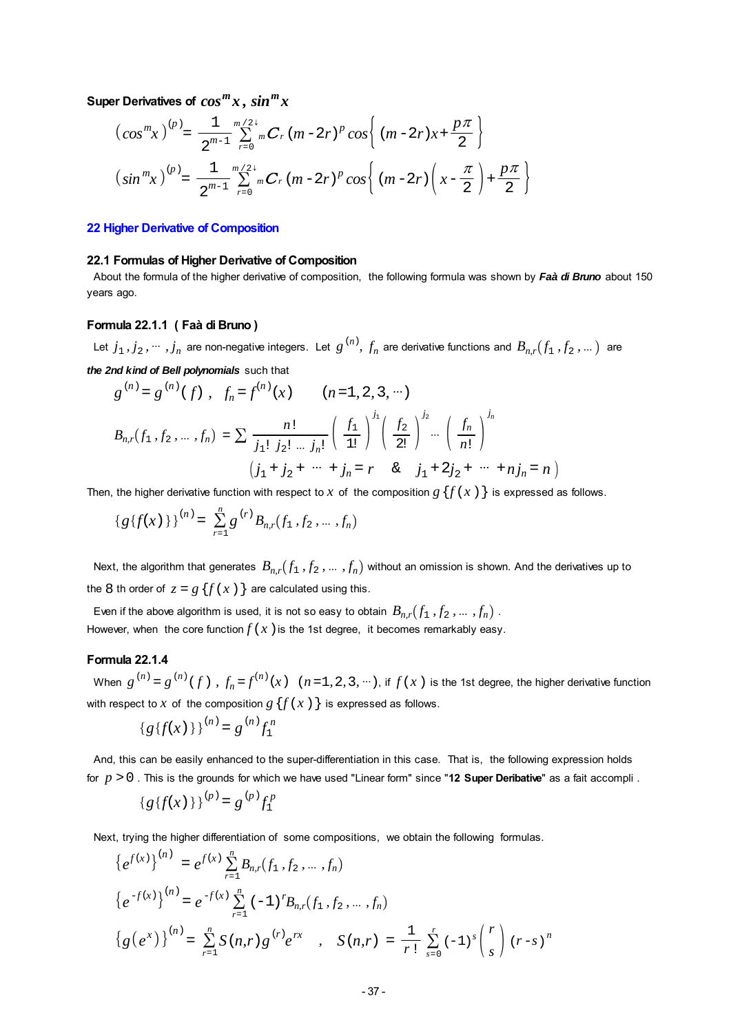Super Derivatives of  $cos^{m}x$ ,  $sin^{m}x$ 

$$
\left(\cos^{m}x\right)^{(p)} = \frac{1}{2^{m-1}} \sum_{r=0}^{m/2+} {}_{m}C_{r} (m-2r)^{p} \cos\left((m-2r)x+\frac{p\pi}{2}\right)
$$
  

$$
\left(\sin^{m}x\right)^{(p)} = \frac{1}{2^{m-1}} \sum_{r=0}^{m/2+} {}_{m}C_{r} (m-2r)^{p} \cos\left((m-2r)\left(x-\frac{\pi}{2}\right)+\frac{p\pi}{2}\right)
$$

#### **22 Higher Derivative of Composition**

#### **22.1 Formulas of Higher Derivative of Composition**

 About the formula of the higher derivative of composition, the following formula was shown by *Faà di Bruno* about 150 years ago.

#### **Formula 22.1.1 ( Faà di Bruno )**

Let  $j_1, j_2, \cdots, j_n$  are non-negative integers. Let  $g^{(n)}$ ,  $f_n$  are derivative functions and  $B_{n,r}(f_1, f_2, \dots)$  are

*the 2nd kind of Bell polynomials* such that

$$
g^{(n)} = g^{(n)}(f), \quad f_n = f^{(n)}(x) \qquad (n = 1, 2, 3, \cdots)
$$

$$
B_{n,r}(f_1, f_2, \dots, f_n) = \sum \frac{n!}{j_1! \ j_2! \ \dots \ j_n!} \left(\frac{f_1}{1!}\right)^{j_1} \left(\frac{f_2}{2!}\right)^{j_2} \dots \left(\frac{f_n}{n!}\right)^{j_n}
$$

$$
(j_1 + j_2 + \cdots + j_n = r \quad \& \quad j_1 + 2j_2 + \cdots + nj_n = n)
$$

Then, the higher derivative function with respect to *x* of the composition  $g\{f(x)\}\$ is expressed as follows.

$$
\{g\{f(x)\}\}^{(n)} = \sum_{r=1}^{n} g^{(r)} B_{n,r}(f_1, f_2, \dots, f_n)
$$

Next, the algorithm that generates  $B_{n,r}(f_1, f_2, ..., f_n)$  without an omission is shown. And the derivatives up to the 8 th order of  $z = g\{f(x)\}\)$  are calculated using this.

Even if the above algorithm is used, it is not so easy to obtain  $B_{n,r}(f_1, f_2, ..., f_n)$ . However, when the core function  $f(x)$  is the 1st degree, it becomes remarkably easy.

### **Formula 22.1.4**

When  $g^{(n)} = g^{(n)}(f)$ ,  $f_n = f^{(n)}(x)$   $(n = 1, 2, 3, ...)$ , if  $f(x)$  is the 1st degree, the higher derivative function with respect to *x* of the composition  $g\{f(x)\}\$ is expressed as follows.

$$
{g\{f(x)\}\}^{(n)} = g^{(n)}f_1^n
$$

 And, this can be easily enhanced to the super-differentiation in this case. That is, the following expression holds for *p* >0 . This is the grounds for which we have used "Linear form" since "**12 Super Deribative**" as a fait accompli .

$$
\{g\{f(x)\}\}^{(p)}=g^{(p)}f_1^p
$$

Next, trying the higher differentiation of some compositions, we obtain the following formulas.

$$
\{e^{f(x)}\}^{(n)} = e^{f(x)} \sum_{r=1}^{n} B_{n,r}(f_1, f_2, ..., f_n)
$$
  
\n
$$
\{e^{-f(x)}\}^{(n)} = e^{-f(x)} \sum_{r=1}^{n} (-1)^{r} B_{n,r}(f_1, f_2, ..., f_n)
$$
  
\n
$$
\{g(e^{x})\}^{(n)} = \sum_{r=1}^{n} S(n,r) g^{(r)} e^{rx} , S(n,r) = \frac{1}{r!} \sum_{s=0}^{r} (-1)^{s} {r \choose s} (r-s)^{n}
$$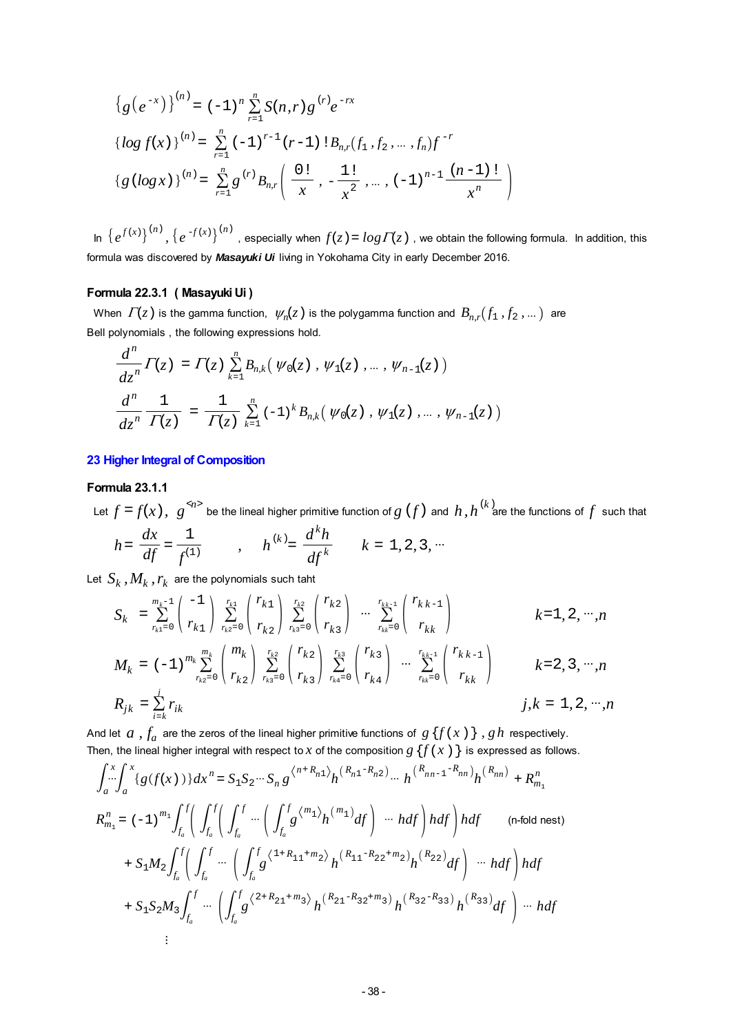$$
\{g(e^{-x})\}^{(n)} = (-1)^n \sum_{r=1}^n S(n,r) g^{(r)} e^{-rx}
$$
  

$$
\{log f(x)\}^{(n)} = \sum_{r=1}^n (-1)^{r-1} (r-1) \, 1B_{n,r}(f_1, f_2, \dots, f_n) f^{-r}
$$
  

$$
\{g(log x)\}^{(n)} = \sum_{r=1}^n g^{(r)} B_{n,r} \left( \frac{0!}{x}, -\frac{1!}{x^2}, \dots, (-1)^{n-1} \frac{(n-1)!}{x^n} \right)
$$

In  $\{e^{f(x)}\}^{(n)}$ ,  $\{e^{-f(x)}\}^{(n)}$ , especially when  $f(z) = log \Gamma(z)$ , we obtain the following formula. In addition, this formula was discovered by *Masayuki Ui* living in Yokohama City in early December 2016.

#### **Formula 22.3.1 ( Masayuki Ui )**

When  $\Gamma(z)$  is the gamma function,  $\psi_n(z)$  is the polygamma function and  $B_{n,r}(f_1, f_2, ...)$  are Bell polynomials , the following expressions hold.

$$
\frac{d^n}{dz^n} \Gamma(z) = \Gamma(z) \sum_{k=1}^n B_{n,k}(\psi_0(z), \psi_1(z), \dots, \psi_{n-1}(z))
$$
  

$$
\frac{d^n}{dz^n} \frac{1}{\Gamma(z)} = \frac{1}{\Gamma(z)} \sum_{k=1}^n (-1)^k B_{n,k}(\psi_0(z), \psi_1(z), \dots, \psi_{n-1}(z))
$$

**23 Higher Integral of Composition**

#### **Formula 23.1.1**

Let  $f = f(x)$ ,  $g^{\langle \gamma \rangle}$  be the lineal higher primitive function of  $g(f)$  and  $h,h^{(k)}$  are the functions of  $f$  such that

$$
h = \frac{dx}{df} = \frac{1}{f^{(1)}}
$$
,  $h^{(k)} = \frac{d^k h}{df^k}$ ,  $k = 1, 2, 3, \cdots$ 

Let  $S_k$  ,  $M_k$  ,  $r_k$  are the polynomials such taht

$$
S_{k} = \sum_{r_{k1}=0}^{m_{k}-1} \binom{-1}{r_{k1}} \sum_{r_{k2}=0}^{r_{k1}} \binom{r_{k1}}{r_{k2}} \sum_{r_{k3}=0}^{r_{k2}} \binom{r_{k2}}{r_{k3}} \cdots \sum_{r_{kk}=0}^{r_{kk-1}} \binom{r_{kk-1}}{r_{kk}} \qquad k=1, 2, \cdots, n
$$
  
\n
$$
M_{k} = (-1)^{m_{k}} \sum_{r_{k2}=0}^{m_{k}} \binom{m_{k}}{r_{k2}} \sum_{r_{k3}=0}^{r_{k2}} \binom{r_{k2}}{r_{k3}} \sum_{r_{k4}=0}^{r_{k3}} \binom{r_{k3}}{r_{k4}} \cdots \sum_{r_{kk}=0}^{r_{kk-1}} \binom{r_{kk-1}}{r_{kk}} \qquad k=2, 3, \cdots, n
$$
  
\n
$$
R_{jk} = \sum_{i=k}^{j} r_{ik} \qquad j, k = 1, 2, \cdots, n
$$

And let  $a$  ,  $f_a$  are the zeros of the lineal higher primitive functions of  $g\{f(x)\}\,$ ,  $gh$  respectively. Then, the lineal higher integral with respect to *x* of the composition  $g\{f(x)\}$  is expressed as follows.

$$
\int_{a}^{x} \int_{a}^{x} \{g(f(x))\} dx^{n} = S_{1}S_{2} \cdots S_{n} g^{\langle n+R_{n1}\rangle} h^{(R_{n1}-R_{n2})} \cdots h^{(R_{nn-1}-R_{nn})} h^{(R_{nn})} + R_{m_{1}}^{n}
$$
\n
$$
R_{m_{1}}^{n} = (-1)^{m_{1}} \int_{f_{a}}^{f} \left( \int_{f_{a}}^{f} \left( \int_{f_{a}}^{f} \cdots \left( \int_{f_{a}}^{f} g^{\langle m_{1}\rangle} h^{(m_{1})} df \right) \cdots h df \right) h df \right) h df \quad \text{(n-fold nest)}
$$
\n
$$
+ S_{1}M_{2} \int_{f_{a}}^{f} \left( \int_{f_{a}}^{f} \cdots \left( \int_{f_{a}}^{f} g^{\langle 1+R_{11}+m_{2}\rangle} h^{(R_{11}-R_{22}+m_{2})} h^{(R_{22})} df \right) \cdots h df \right) h df
$$
\n
$$
+ S_{1}S_{2}M_{3} \int_{f_{a}}^{f} \cdots \left( \int_{f_{a}}^{f} g^{\langle 2+R_{21}+m_{3}\rangle} h^{(R_{21}-R_{32}+m_{3})} h^{(R_{32}-R_{33})} h^{(R_{33})} df \right) \cdots h df
$$
\n
$$
\vdots
$$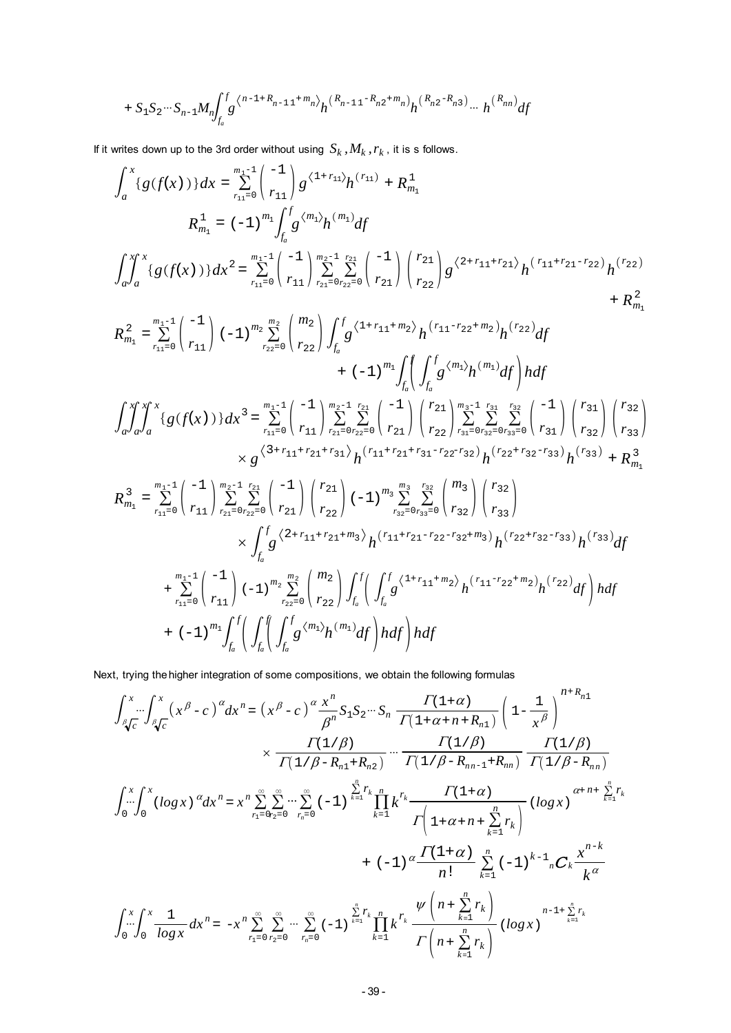$$
+ S_1 S_2 \cdots S_{n-1} M_n \int_{f_a}^{f} g^{(n-1+R_{n-1,1}+m_n)} h^{(R_{n-1,1}-R_{n,2}+m_n)} h^{(R_{n,2}-R_{n,3})} \cdots h^{(R_{nn})} df
$$

If it writes down up to the 3rd order without using  $S_k$  ,  $M_k$  ,  $r_k$  , it is s follows.

$$
\int_{a}^{x} \{g(f(x))\} dx = \sum_{r_{11}=0}^{m_{1}-1} {1 \choose r_{11}} g^{(1+r_{12})} h^{(r_{11})} + R_{m_1}^1
$$
\n
$$
R_{m_1}^1 = (-1)^{m_1} \int_{f_a}^{f} g^{(m_1)} h^{(m_1)} df
$$
\n
$$
\int_{a}^{f} \int_{a}^{x} \{g(f(x))\} dx^2 = \sum_{r_{11}=0}^{m_{1}-1} {1 \choose r_{11}} \sum_{r_{21}=0}^{m_{2}-1} \sum_{r_{22}=0}^{r_{21}} {1 \choose r_{21}} {r_{22} \choose r_{22}} g^{(2+r_{11}+r_{21})} h^{(r_{11}+r_{21}-r_{22})} h^{(r_{22})} + R_{m_1}^2
$$
\n
$$
R_{m_1}^2 = \sum_{r_{11}=0}^{m_1-1} {1 \choose r_{11}} (-1)^{m_2} \sum_{r_{22}=0}^{m_2} {m_2 \choose r_{22}} \int_{f_a}^{f} g^{(1+r_{11}+m_2)} h^{(r_{11}-r_{22}+m_2)} h^{(r_{22})} df + (-1)^{m_1} \int_{f_a}^{f} \int_{f_a}^{f} g^{(m_1)} h^{(m_1)} df
$$
\n
$$
\int_{a}^{f} \int_{a}^{f} g^{(m_1)} h^{(m_1)} df
$$
\n
$$
\int_{a}^{f} \int_{a}^{f} g^{(f(x))} dx^3 = \sum_{r_{11}=0}^{m_{11}-1} {1 \choose r_{11}} \sum_{r_{21}=0}^{m_{21}-r_{22}} {1 \choose r_{21}} {r_{22} \choose r_{21}} {r_{22} \choose r_{22}} \sum_{r_{31}=0}^{m_{3}-1} \sum_{r_{32}=0}^{r_{32}} {1 \choose r_{31}} {r_{32} \choose r_{33}} {r_{33} \choose r_{34}} + (-1)^{m_2} \int_{f_a}^{f} \int_{f_{a}}^{f} g^{(m_1)} h^{(m_1)} df
$$
\n
$$
R_{m_1}^3 = \sum_{r
$$

Next, trying the higher integration of some compositions, we obtain the following formulas

$$
\int_{\beta\sqrt{c}}^{x} \int_{\beta\sqrt{c}}^{x} (x^{\beta} - c)^{\alpha} dx^{n} = (x^{\beta} - c)^{\alpha} \frac{x^{n}}{\beta^{n}} S_{1} S_{2} \cdots S_{n} \frac{\Gamma(1+\alpha)}{\Gamma(1+\alpha+n+R_{n1})} \left(1 - \frac{1}{x^{\beta}}\right)^{n+R_{n1}} \times \frac{\Gamma(1/\beta)}{\Gamma(1/\beta-R_{n1}+R_{n2})} \cdots \frac{\Gamma(1/\beta)}{\Gamma(1/\beta-R_{n1}+R_{n1})} \frac{\Gamma(1/\beta)}{\Gamma(1/\beta-R_{n1})}
$$
\n
$$
\int_{0}^{x} \int_{0}^{x} (log x)^{\alpha} dx^{n} = x^{n} \sum_{r_{1}=0}^{\infty} \sum_{r_{2}=0}^{\infty} \cdots \sum_{r_{n}=0}^{\infty} (-1)^{\sum_{k=1}^{n} r_{k}} \prod_{k=1}^{n} k^{r_{k}} \frac{\Gamma(1+\alpha)}{\Gamma(1+\alpha+n+\sum_{k=1}^{n} r_{k})} (log x)^{\alpha+n+\sum_{k=1}^{n} r_{k}}
$$
\n
$$
+ (-1)^{\alpha} \frac{\Gamma(1+\alpha)}{n!} \sum_{k=1}^{n} (-1)^{k-1} {}_{n} C_{k} \frac{x^{n-k}}{k^{\alpha}}
$$
\n
$$
\int_{0}^{x} \int_{0}^{x} \frac{1}{log x} dx^{n} = -x^{n} \sum_{r_{1}=0}^{\infty} \sum_{r_{2}=0}^{\infty} \cdots \sum_{r_{n}=0}^{\infty} (-1)^{\sum_{k=1}^{n} r_{k}} \prod_{k=1}^{n} k^{r_{k}} \frac{\psi\left(n+\sum_{k=1}^{n} r_{k}\right)}{\Gamma(n+\sum_{k=1}^{n} r_{k})} (log x)^{n-1+\sum_{k=1}^{n} r_{k}}
$$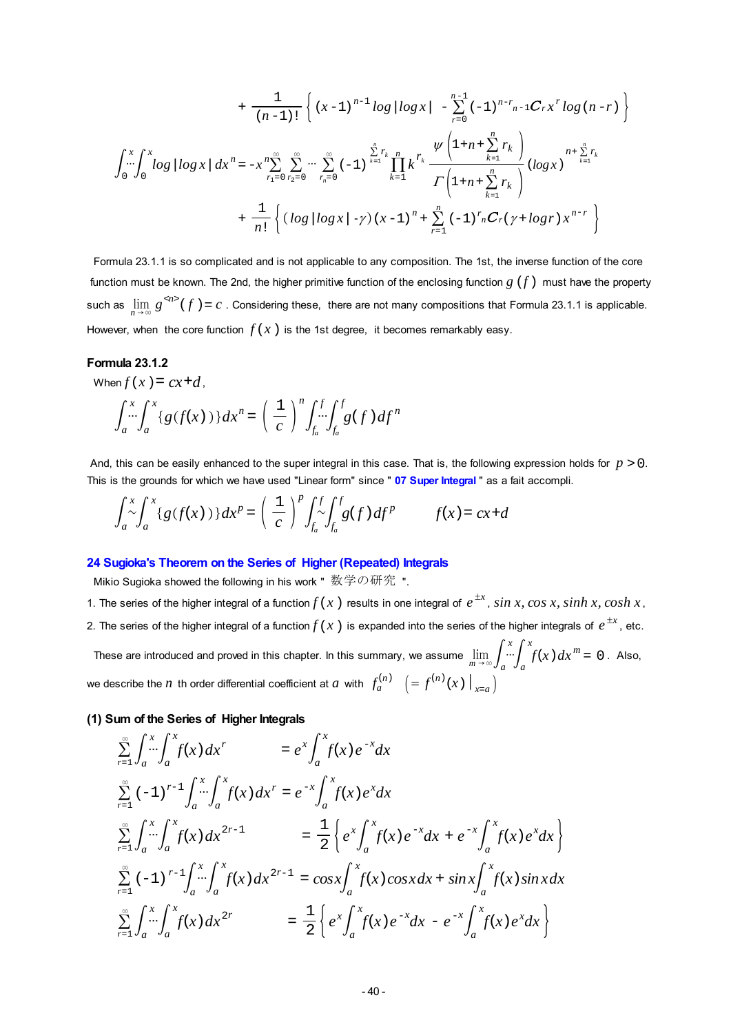$$
+\frac{1}{(n-1)!}\left\{(x-1)^{n-1}\log|\log x| - \sum_{r=0}^{n-1}(-1)^{n-r}n-1C_r x^r \log (n-r)\right\}
$$
  

$$
\int_{0}^{x}\int_{0}^{x}\log|\log x| dx^{n} = -x^{n}\sum_{r=0}^{\infty}\sum_{r=0}^{\infty}\cdots\sum_{r_{n}=0}^{\infty}(-1)^{\sum_{k=1}^{n}r_{k}}\prod_{k=1}^{n}k^{r_{k}}\frac{\psi\left(1+n+\sum_{k=1}^{n}r_{k}\right)}{\Gamma\left(1+n+\sum_{k=1}^{n}r_{k}\right)}(\log x)^{n+\sum_{k=1}^{n}r_{k}}
$$
  

$$
+\frac{1}{n!}\left\{(\log|\log x|-\gamma)(x-1)^{n}+\sum_{r=1}^{n}(-1)^{r}_{n}C_r(\gamma+\log r)x^{n-r}\right\}
$$

 Formula 23.1.1 is so complicated and is not applicable to any composition. The 1st, the inverse function of the core function must be known. The 2nd, the higher primitive function of the enclosing function *g*(*f*) must have the property such as  $\lim_{n\to\infty} g^{(n)}(f) = c$ . Considering these, there are not many compositions that Formula 23.1.1 is applicable. However, when the core function  $f(x)$  is the 1st degree, it becomes remarkably easy.

#### **Formula 23.1.2**

When  $f(x) = cx + d$ .

$$
\int_a^x \int_a^x \{g(f(x))\} dx^n = \left(\frac{1}{c}\right)^n \int_{f_a}^f \int_{f_a}^f g(f) df^n
$$

And, this can be easily enhanced to the super integral in this case. That is, the following expression holds for  $p > 0$ . This is the grounds for which we have used "Linear form" since " **07 Super Integral** " as a fait accompli.

$$
\int_{a}^{x} \int_{a}^{x} \{g(f(x))\} dx^{p} = \left(\frac{1}{c}\right)^{p} \int_{f_{a}}^{f} \int_{f_{a}}^{f} g(f) df^{p} \qquad f(x) = cx + d
$$

#### **24 Sugioka's Theorem on the Series of Higher (Repeated) Integrals**

Mikio Sugioka showed the following in his work " 数学の研究 ".

- 1. The series of the higher integral of a function  $f(x)$  results in one integral of  $e^{\pm x}$  ,  $sin\ x, cos\ x, sinh\ x, cosh\ x,$
- 2. The series of the higher integral of a function $f$  (  $x$  ) is expanded into the series of the higher integrals of  $e^{\pm x}$  , etc.

These are introduced and proved in this chapter. In this summary, we assume  $\lim_{m\to\infty}\int_a^x \int_a^x f(x)\,dx^m=0$ . Also, we describe the  $n$  th order differential coefficient at  $a$  with  $f_a^{(n)}$   $\left(= f^{(n)}(x) \big|_{x=a} \right)$ 

### **(1) Sum of the Series of Higher Integrals**

$$
\sum_{r=1}^{\infty} \int_{a}^{x} \int_{a}^{x} f(x) dx^{r} = e^{x} \int_{a}^{x} f(x) e^{-x} dx
$$
\n
$$
\sum_{r=1}^{\infty} (-1)^{r-1} \int_{a}^{x} \int_{a}^{x} f(x) dx^{r} = e^{-x} \int_{a}^{x} f(x) e^{x} dx
$$
\n
$$
\sum_{r=1}^{\infty} \int_{a}^{x} \int_{a}^{x} f(x) dx^{2r-1} = \frac{1}{2} \left\{ e^{x} \int_{a}^{x} f(x) e^{-x} dx + e^{-x} \int_{a}^{x} f(x) e^{x} dx \right\}
$$
\n
$$
\sum_{r=1}^{\infty} (-1)^{r-1} \int_{a}^{x} \int_{a}^{x} f(x) dx^{2r-1} = \cos x \int_{a}^{x} f(x) \cos x dx + \sin x \int_{a}^{x} f(x) \sin x dx
$$
\n
$$
\sum_{r=1}^{\infty} \int_{a}^{x} \int_{a}^{x} f(x) dx^{2r} = \frac{1}{2} \left\{ e^{x} \int_{a}^{x} f(x) e^{-x} dx - e^{-x} \int_{a}^{x} f(x) e^{x} dx \right\}
$$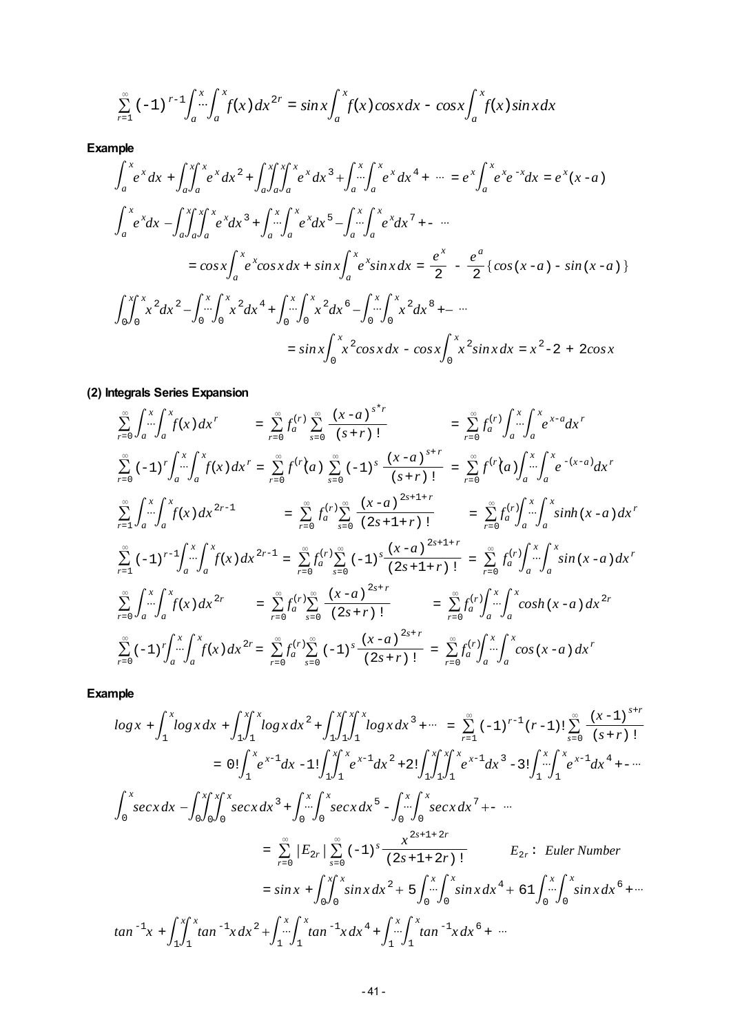$$
\sum_{r=1}^{\infty} (-1)^{r-1} \int_{a}^{x} \int_{a}^{x} f(x) dx^{2r} = \sin x \int_{a}^{x} f(x) \cos x dx - \cos x \int_{a}^{x} f(x) \sin x dx
$$

**Example**

$$
\int_{a}^{x} e^{x} dx + \int_{a}^{x} \int_{a}^{x} e^{x} dx^{2} + \int_{a}^{x} \int_{a}^{x} \int_{a}^{x} e^{x} dx^{3} + \int_{a}^{x} \int_{a}^{x} e^{x} dx^{4} + \cdots = e^{x} \int_{a}^{x} e^{x} e^{-x} dx = e^{x} (x - a)
$$
\n
$$
\int_{a}^{x} e^{x} dx - \int_{a}^{x} \int_{a}^{x} \int_{a}^{x} e^{x} dx^{3} + \int_{a}^{x} \int_{a}^{x} e^{x} dx^{5} - \int_{a}^{x} \int_{a}^{x} e^{x} dx^{7} + \cdots
$$
\n
$$
= \cos x \int_{a}^{x} e^{x} \cos x dx + \sin x \int_{a}^{x} e^{x} \sin x dx = \frac{e^{x}}{2} - \frac{e^{a}}{2} \{ \cos (x - a) - \sin (x - a) \}
$$
\n
$$
\int_{0}^{x} \int_{0}^{x} x^{2} dx^{2} - \int_{0}^{x} \int_{0}^{x} x^{2} dx^{4} + \int_{0}^{x} \int_{0}^{x} x^{2} dx^{6} - \int_{0}^{x} \int_{0}^{x} x^{2} dx^{8} + \cdots
$$
\n
$$
= \sin x \int_{0}^{x} x^{2} \cos x dx - \cos x \int_{0}^{x} x^{2} \sin x dx = x^{2} - 2 + 2\cos x
$$

# **(2) Integrals Series Expansion**

$$
\sum_{r=0}^{\infty} \int_{a}^{x} \int_{a}^{x} f(x) dx^{r} = \sum_{r=0}^{\infty} \int_{a}^{(r)} \sum_{s=0}^{\infty} \frac{(x-a)^{s+r}}{(s+r)!} = \sum_{r=0}^{\infty} \int_{a}^{(r)} \int_{a}^{x} \int_{a}^{x} e^{x-a} dx^{r}
$$
\n
$$
\sum_{r=0}^{\infty} (-1)^{r} \int_{a}^{x} \int_{a}^{x} f(x) dx^{r} = \sum_{r=0}^{\infty} f^{(r)}(a) \sum_{s=0}^{\infty} (-1)^{s} \frac{(x-a)^{s+r}}{(s+r)!} = \sum_{r=0}^{\infty} f^{(r)}(a) \int_{a}^{x} \int_{a}^{x} e^{-(x-a)} dx^{r}
$$
\n
$$
\sum_{r=1}^{\infty} \int_{a}^{x} \int_{a}^{x} f(x) dx^{2r-1} = \sum_{r=0}^{\infty} \int_{a}^{(r)} \sum_{s=0}^{\infty} \frac{(x-a)^{2s+1+r}}{(2s+1+r)!} = \sum_{r=0}^{\infty} \int_{a}^{(r)} \int_{a}^{x} \int_{a}^{x} \sinh(x-a) dx^{r}
$$
\n
$$
\sum_{r=1}^{\infty} (-1)^{r-1} \int_{a}^{x} \int_{a}^{x} f(x) dx^{2r-1} = \sum_{r=0}^{\infty} \int_{a}^{(r)} \sum_{s=0}^{\infty} (-1)^{s} \frac{(x-a)^{2s+1+r}}{(2s+1+r)!} = \sum_{r=0}^{\infty} \int_{a}^{r} \int_{a}^{x} \int_{a}^{x} \sin(x-a) dx^{r}
$$
\n
$$
\sum_{r=0}^{\infty} \int_{a}^{x} \int_{a}^{x} f(x) dx^{2r} = \sum_{r=0}^{\infty} \int_{a}^{r} \sum_{s=0}^{\infty} \frac{(x-a)^{2s+r}}{(2s+r)!} = \sum_{r=0}^{\infty} \int_{a}^{r} \int_{a}^{x} \int_{a}^{x} \cosh(x-a) dx^{2r}
$$
\n
$$
\sum_{r=0}^{\infty} (-1)^{r} \
$$

$$
\log x + \int_{1}^{x} \log x \, dx + \int_{1}^{x} \int_{1}^{x} \log x \, dx^{2} + \int_{1}^{x} \int_{1}^{x} \int_{1}^{x} \log x \, dx^{3} + \cdots = \sum_{r=1}^{\infty} (-1)^{r-1} (r-1)! \sum_{s=0}^{\infty} \frac{(x-1)^{s+r}}{(s+r)!}
$$
\n
$$
= 0! \int_{1}^{x} e^{x-1} \, dx - 1! \int_{1}^{x} \int_{1}^{x} e^{x-1} \, dx^{2} + 2! \int_{1}^{x} \int_{1}^{x} \int_{1}^{x} e^{x-1} \, dx^{3} - 3! \int_{1}^{x} \int_{1}^{x} e^{x-1} \, dx^{4} + \cdots
$$
\n
$$
\int_{0}^{x} \sec x \, dx - \int_{0}^{x} \int_{0}^{x} \int_{0}^{x} \sec x \, dx^{3} + \int_{0}^{x} \int_{0}^{x} \int_{0}^{x} \sec x \, dx^{5} - \int_{0}^{x} \int_{0}^{x} \sec x \, dx^{7} + \cdots
$$
\n
$$
= \sum_{r=0}^{\infty} |E_{2r}| \sum_{s=0}^{\infty} (-1)^{s} \frac{x^{2s+1+2r}}{(2s+1+2r)!} \qquad E_{2r} : \text{ Euler Number}
$$
\n
$$
= \sin x + \int_{0}^{x} \int_{0}^{x} \sin x \, dx^{2} + 5 \int_{0}^{x} \int_{0}^{x} \sin x \, dx^{4} + 61 \int_{0}^{x} \int_{0}^{x} \sin x \, dx^{6} + \cdots
$$
\n
$$
\tan^{-1} x + \int_{1}^{x} \int_{1}^{x} \tan^{-1} x \, dx^{2} + \int_{1}^{x} \int_{1}^{x} \tan^{-1} x \, dx^{4} + \int_{1}^{x} \int_{1}^{x} \tan^{-1} x \, dx^{6} + \cdots
$$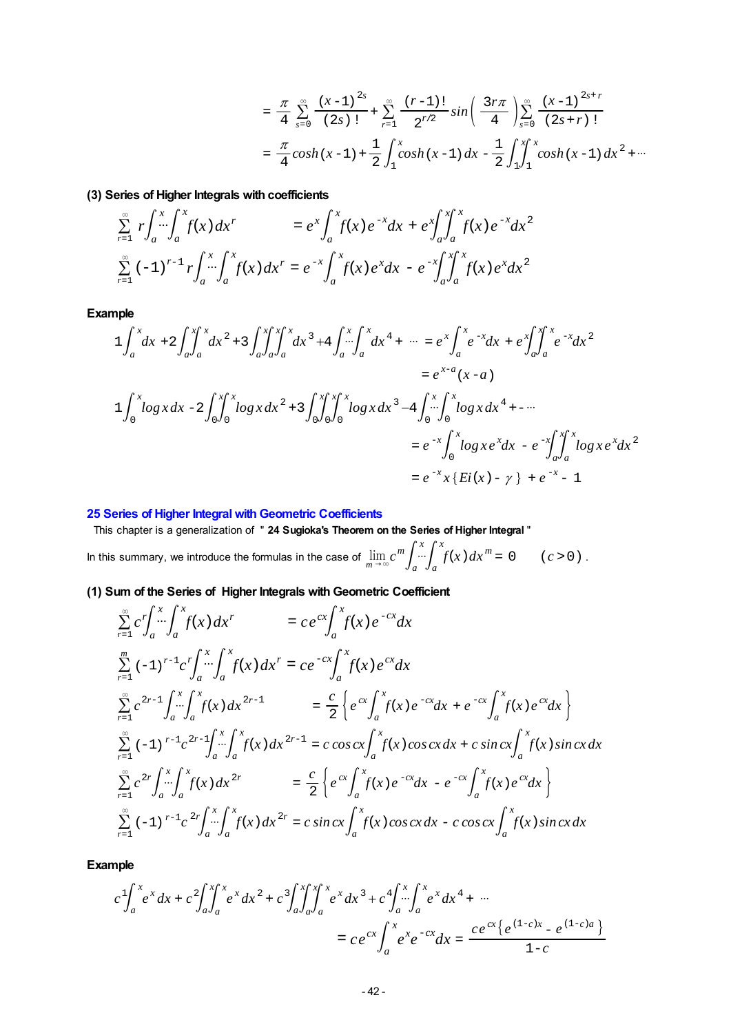$$
= \frac{\pi}{4} \sum_{s=0}^{\infty} \frac{(x-1)^{2s}}{(2s)!} + \sum_{r=1}^{\infty} \frac{(r-1)!}{2^{r/2}} sin\left(\frac{3r\pi}{4}\right) \sum_{s=0}^{\infty} \frac{(x-1)^{2s+r}}{(2s+r)!}
$$
  

$$
= \frac{\pi}{4} cosh(x-1) + \frac{1}{2} \int_{1}^{x} cosh(x-1) dx - \frac{1}{2} \int_{1}^{x} \int_{1}^{x} cosh(x-1) dx^{2} + \cdots
$$

**(3) Series of Higher Integrals with coefficients**

$$
\sum_{r=1}^{\infty} r \int_{a}^{x} \int_{a}^{x} f(x) dx^{r} = e^{x} \int_{a}^{x} f(x) e^{-x} dx + e^{x} \int_{a}^{x} \int_{a}^{x} f(x) e^{-x} dx^{2}
$$
  

$$
\sum_{r=1}^{\infty} (-1)^{r-1} r \int_{a}^{x} \int_{a}^{x} f(x) dx^{r} = e^{-x} \int_{a}^{x} f(x) e^{x} dx - e^{-x} \int_{a}^{x} \int_{a}^{x} f(x) e^{x} dx^{2}
$$

**Example**

$$
1\int_{a}^{x} dx + 2\int_{a}^{x} \int_{a}^{x} dx^{2} + 3\int_{a}^{x} \int_{a}^{x} dx^{3} + 4\int_{a}^{x} \int_{a}^{x} dx^{4} + \cdots = e^{x} \int_{a}^{x} e^{-x} dx + e^{x} \int_{a}^{x} \int_{a}^{x} e^{-x} dx^{2}
$$
  
\n
$$
= e^{x-a} (x-a)
$$
  
\n
$$
1\int_{0}^{x} \log x dx - 2\int_{0}^{x} \int_{0}^{x} \log x dx^{2} + 3\int_{0}^{x} \int_{0}^{x} \int_{0}^{x} \log x dx^{3} - 4\int_{0}^{x} \int_{0}^{x} \log x dx^{4} + \cdots
$$
  
\n
$$
= e^{-x} \int_{0}^{x} \log x e^{x} dx - e^{-x} \int_{a}^{x} \int_{a}^{x} \log x e^{x} dx^{2}
$$
  
\n
$$
= e^{-x} \int_{0}^{x} \log x e^{x} dx - e^{-x} \int_{a}^{x} \int_{a}^{x} \log x e^{x} dx^{2}
$$
  
\n
$$
= e^{-x} x \{Ei(x) - y\} + e^{-x} - 1
$$

### **25 Series of Higher Integral with Geometric Coefficients**

 This chapter is a generalization of " **24 Sugioka's Theorem on the Series of Higher Integral** " In this summary, we introduce the formulas in the case of  $\lim_{m\to\infty} c^m \int_a^x \int_a^x f(x) dx^m = 0$  (*c* > 0).

**(1) Sum of the Series of Higher Integrals with Geometric Coefficient**

$$
\sum_{r=1}^{\infty} c^{r} \int_{a}^{x} \int_{a}^{x} f(x) dx^{r} = c e^{cx} \int_{a}^{x} f(x) e^{-cx} dx
$$
\n
$$
\sum_{r=1}^{m} (-1)^{r-1} c^{r} \int_{a}^{x} \int_{a}^{x} f(x) dx^{r} = c e^{-cx} \int_{a}^{x} f(x) e^{cx} dx
$$
\n
$$
\sum_{r=1}^{\infty} c^{2r-1} \int_{a}^{x} \int_{a}^{x} f(x) dx^{2r-1} = \frac{c}{2} \left\{ e^{cx} \int_{a}^{x} f(x) e^{-cx} dx + e^{-cx} \int_{a}^{x} f(x) e^{cx} dx \right\}
$$
\n
$$
\sum_{r=1}^{\infty} (-1)^{r-1} c^{2r-1} \int_{a}^{x} \int_{a}^{x} f(x) dx^{2r-1} = c \cos c x \int_{a}^{x} f(x) \cos c x dx + c \sin c x \int_{a}^{x} f(x) \sin c x dx
$$
\n
$$
\sum_{r=1}^{\infty} c^{2r} \int_{a}^{x} \int_{a}^{x} f(x) dx^{2r} = \frac{c}{2} \left\{ e^{cx} \int_{a}^{x} f(x) e^{-cx} dx - e^{-cx} \int_{a}^{x} f(x) e^{cx} dx \right\}
$$
\n
$$
\sum_{r=1}^{\infty} (-1)^{r-1} c^{2r} \int_{a}^{x} \int_{a}^{x} f(x) dx^{2r} = c \sin c x \int_{a}^{x} f(x) \cos c x dx - c \cos c x \int_{a}^{x} f(x) \sin c x dx
$$

$$
c \int_{a}^{x} e^{x} dx + c^{2} \int_{a}^{x} \int_{a}^{x} e^{x} dx^{2} + c^{3} \int_{a}^{x} \int_{a}^{x} e^{x} dx^{3} + c^{4} \int_{a}^{x} \int_{a}^{x} e^{x} dx^{4} + \cdots
$$
  
= 
$$
c e^{cx} \int_{a}^{x} e^{x} e^{-cx} dx = \frac{c e^{cx} \{ e^{(1-c)x} - e^{(1-c)a} \}}{1-c}
$$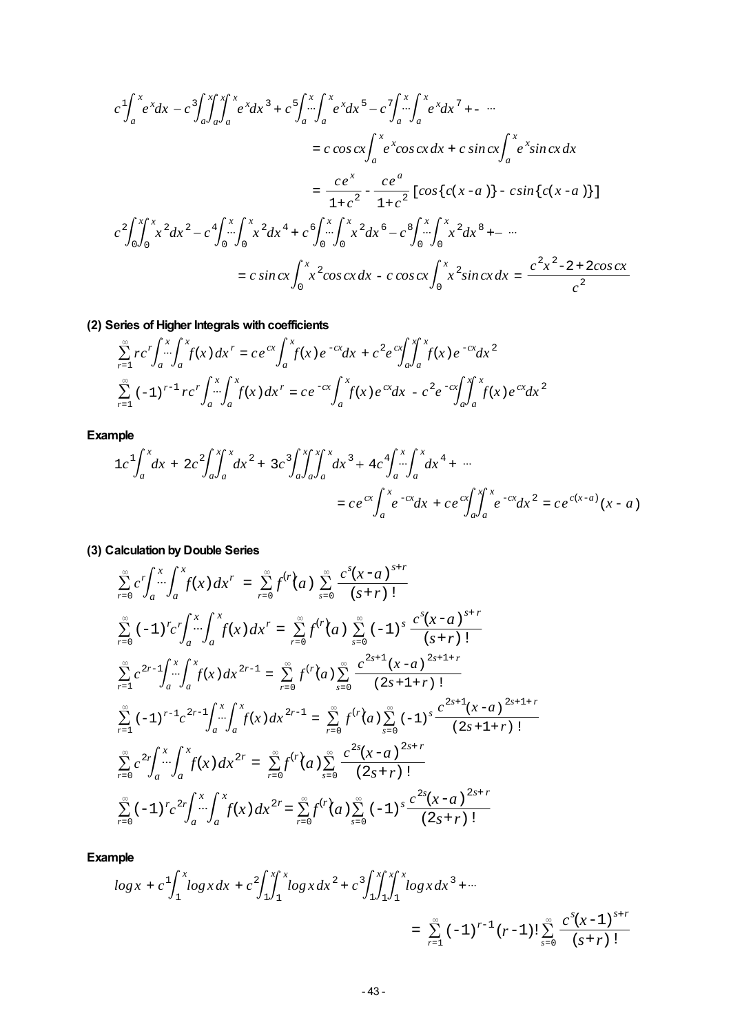$$
c \int_{a}^{x} e^{x} dx - c \int_{a}^{x} \int_{a}^{x} \int_{a}^{x} e^{x} dx + c \int_{a}^{x} \int_{a}^{x} e^{x} dx - c \int_{a}^{x} \int_{a}^{x} e^{x} dx - c \int_{a}^{x} \int_{a}^{x} e^{x} dx - c \int_{a}^{x} \int_{a}^{x} e^{x} dx - c \int_{a}^{x} \int_{a}^{x} e^{x} dx - c \int_{a}^{x} \int_{a}^{x} e^{x} \cos c x dx + c \sin c x \int_{a}^{x} e^{x} \sin c x dx
$$
  
\n
$$
= \frac{c e^{x}}{1 + c^{2}} - \frac{c e^{a}}{1 + c^{2}} [\cos \{c(x - a)\} - c \sin \{c(x - a)\}]
$$
  
\n
$$
c^{2} \int_{0}^{x} \int_{0}^{x} x^{2} dx^{2} - c^{4} \int_{0}^{x} \int_{0}^{x} x^{2} dx^{4} + c \int_{0}^{x} \int_{0}^{x} \int_{0}^{x} x^{2} dx^{6} - c^{8} \int_{0}^{x} \int_{0}^{x} x^{2} dx^{8} + \cdots
$$
  
\n
$$
= c \sin c x \int_{0}^{x} x^{2} \cos c x dx - c \cos c x \int_{0}^{x} x^{2} \sin c x dx = \frac{c^{2} x^{2} - 2 + 2 \cos c x}{c^{2}}
$$

**(2) Series of Higher Integrals with coefficients**

$$
\sum_{r=1}^{\infty} rc'\int_{a}^{x} \int_{a}^{x} f(x) dx^{r} = ce^{cx} \int_{a}^{x} f(x) e^{-cx} dx + c^{2} e^{cx} \int_{a}^{x} \int_{a}^{x} f(x) e^{-cx} dx^{2}
$$
  

$$
\sum_{r=1}^{\infty} (-1)^{r-1} rc'\int_{a}^{x} \int_{a}^{x} f(x) dx^{r} = ce^{-cx} \int_{a}^{x} f(x) e^{cx} dx - c^{2} e^{-cx} \int_{a}^{x} \int_{a}^{x} f(x) e^{cx} dx^{2}
$$

**Example**

$$
1c^{1}\int_{a}^{x} dx + 2c^{2}\int_{a}^{x} \int_{a}^{x} dx^{2} + 3c^{3}\int_{a}^{x} \int_{a}^{x} dx^{3} + 4c^{4}\int_{a}^{x} \int_{a}^{x} dx^{4} + \cdots
$$
  
= 
$$
ce^{cx}\int_{a}^{x} e^{-cx} dx + ce^{cx}\int_{a}^{x} \int_{a}^{x} e^{-cx} dx^{2} = ce^{c(x-a)}(x-a)
$$

**(3) Calculation by Double Series**

$$
\sum_{r=0}^{\infty} c^{r} \int_{a}^{x} \int_{a}^{x} f(x) dx^{r} = \sum_{r=0}^{\infty} f^{(r)}(a) \sum_{s=0}^{\infty} \frac{c^{s} (x-a)^{s+r}}{(s+r)!}
$$
\n
$$
\sum_{r=0}^{\infty} (-1)^{r} c^{r} \int_{a}^{x} \int_{a}^{x} f(x) dx^{r} = \sum_{r=0}^{\infty} f^{(r)}(a) \sum_{s=0}^{\infty} (-1)^{s} \frac{c^{s} (x-a)^{s+r}}{(s+r)!}
$$
\n
$$
\sum_{r=1}^{\infty} c^{2r-1} \int_{a}^{x} \int_{a}^{x} f(x) dx^{2r-1} = \sum_{r=0}^{\infty} f^{(r)}(a) \sum_{s=0}^{\infty} \frac{c^{2s+1} (x-a)^{2s+1+r}}{(2s+1+r)!}
$$
\n
$$
\sum_{r=1}^{\infty} (-1)^{r-1} c^{2r-1} \int_{a}^{x} \int_{a}^{x} f(x) dx^{2r-1} = \sum_{r=0}^{\infty} f^{(r)}(a) \sum_{s=0}^{\infty} (-1)^{s} \frac{c^{2s+1} (x-a)^{2s+1+r}}{(2s+1+r)!}
$$
\n
$$
\sum_{r=0}^{\infty} c^{2r} \int_{a}^{x} \int_{a}^{x} f(x) dx^{2r} = \sum_{r=0}^{\infty} f^{(r)}(a) \sum_{s=0}^{\infty} \frac{c^{2s} (x-a)^{2s+r}}{(2s+r)!}
$$
\n
$$
\sum_{r=0}^{\infty} (-1)^{r} c^{2r} \int_{a}^{x} \int_{a}^{x} f(x) dx^{2r} = \sum_{r=0}^{\infty} f^{(r)}(a) \sum_{s=0}^{\infty} (-1)^{s} \frac{c^{2s} (x-a)^{2s+r}}{(2s+r)!}
$$

$$
\log x + c \int_{1}^{x} \log x \, dx + c^2 \int_{1}^{x} \int_{1}^{x} \log x \, dx^2 + c^3 \int_{1}^{x} \int_{1}^{x} \log x \, dx^3 + \cdots
$$
\n
$$
= \sum_{r=1}^{\infty} (-1)^{r-1} (r-1)! \sum_{s=0}^{\infty} \frac{c^s (x-1)^{s+r}}{(s+r)!}
$$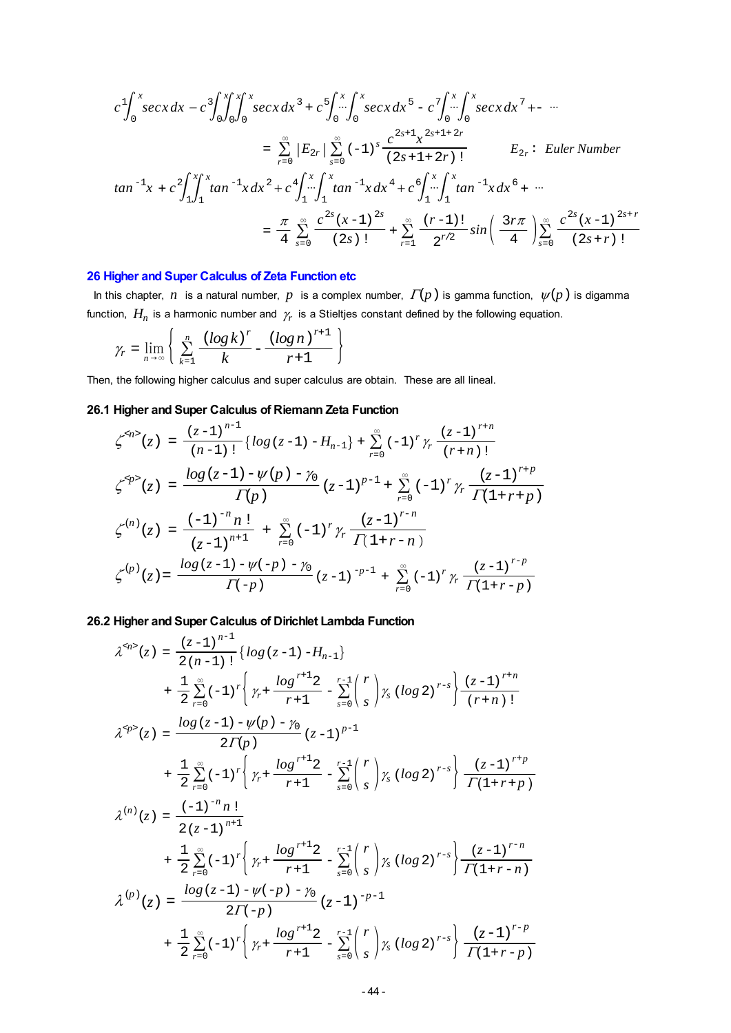*c* 1 0 *x secxdx c* 3 0 *x* 0 *x* 0 *x secxdx* <sup>3</sup> + *c* 5 0 *x* 0 *x secxdx* <sup>5</sup> - *c* 7 0 *x* 0 *x secxdx* <sup>7</sup> - <sup>=</sup>Σ*<sup>r</sup>*=0 *<sup>E</sup>*2*<sup>r</sup>*Σ*<sup>s</sup>*=0 ( ) -1 *<sup>s</sup>* ( ) 2*s*+1+2*r* ! *c* 2*s*+1 *x* 2*s*+1+ 2*r E*2*<sup>r</sup>*: *Euler Number tan* -1 *x* + *c* 2 1 *x* 1 *x tan* -1*x dx* <sup>2</sup>  *c* 4 1 *x* 1 *x tan* -1*xdx* <sup>4</sup>  *c* 6 1 *x* 1 *x tan* -1*xdx* <sup>6</sup> + <sup>=</sup> <sup>4</sup> <sup>Σ</sup>*<sup>s</sup>*=0 ( ) 2*s* ! *c* 2*s* ( ) *x*-1 <sup>2</sup>*<sup>s</sup>* <sup>+</sup>Σ*<sup>r</sup>*=1 2*r*/2 ( ) *r*-1 ! *sin* <sup>4</sup> <sup>3</sup>*r* <sup>Σ</sup>*<sup>s</sup>*=0 ( ) 2*s*+*r* ! *c* 2*s* ( ) *x*-1 <sup>2</sup>*s*<sup>+</sup> *<sup>r</sup>*

### **26 Higher and Super Calculus of Zeta Function etc**

In this chapter,  $n$  is a natural number,  $p$  is a complex number,  $\Gamma(p)$  is gamma function,  $\psi(p)$  is digamma function,  $H_n$  is a harmonic number and  $\gamma_r$  is a Stieltjes constant defined by the following equation.

$$
\gamma_r = \lim_{n \to \infty} \left\{ \sum_{k=1}^n \frac{\left(\log k\right)^r}{k} - \frac{\left(\log n\right)^{r+1}}{r+1} \right\}
$$

Then, the following higher calculus and super calculus are obtain. These are all lineal.

# **26.1 Higher and Super Calculus of Riemann Zeta Function**

$$
\zeta^{4n>} (z) = \frac{(z-1)^{n-1}}{(n-1)!} \{ \log (z-1) - H_{n-1} \} + \sum_{r=0}^{\infty} (-1)^r \gamma_r \frac{(z-1)^{r+n}}{(r+n)!}
$$
  

$$
\zeta^{4p>} (z) = \frac{\log (z-1) - \psi(p) - \gamma_0}{\Gamma(p)} (z-1)^{p-1} + \sum_{r=0}^{\infty} (-1)^r \gamma_r \frac{(z-1)^{r+p}}{\Gamma(1+r+p)}
$$
  

$$
\zeta^{(n)} (z) = \frac{(-1)^{-n} n!}{(z-1)^{n+1}} + \sum_{r=0}^{\infty} (-1)^r \gamma_r \frac{(z-1)^{r-n}}{\Gamma(1+r-n)}
$$
  

$$
\zeta^{(p)} (z) = \frac{\log (z-1) - \psi(-p) - \gamma_0}{\Gamma(-p)} (z-1)^{-p-1} + \sum_{r=0}^{\infty} (-1)^r \gamma_r \frac{(z-1)^{r-p}}{\Gamma(1+r-p)}
$$

**26.2 Higher and Super Calculus of Dirichlet Lambda Function**

$$
\lambda^{sp}(z) = \frac{(z-1)^{n-1}}{2(n-1)!} \left\{ \log(z-1) - H_{n-1} \right\}
$$
  
+ 
$$
\frac{1}{2} \sum_{r=0}^{\infty} (-1)^r \left\{ \gamma_r + \frac{\log^{r+1} 2}{r+1} - \sum_{s=0}^{r-1} {r \choose s} \gamma_s \left( \log 2 \right)^{r-s} \right\} \frac{(z-1)^{r+n}}{(r+n)!}
$$
  

$$
\lambda^{sp}(z) = \frac{\log(z-1) - \psi(p) - \gamma_0}{2\Gamma(p)} (z-1)^{p-1}
$$
  
+ 
$$
\frac{1}{2} \sum_{r=0}^{\infty} (-1)^r \left\{ \gamma_r + \frac{\log^{r+1} 2}{r+1} - \sum_{s=0}^{r-1} {r \choose s} \gamma_s \left( \log 2 \right)^{r-s} \right\} \frac{(z-1)^{r+p}}{\Gamma(1+r+p)}
$$
  

$$
\lambda^{(n)}(z) = \frac{(-1)^{-n} n!}{2(z-1)^{n+1}}
$$
  
+ 
$$
\frac{1}{2} \sum_{r=0}^{\infty} (-1)^r \left\{ \gamma_r + \frac{\log^{r+1} 2}{r+1} - \sum_{s=0}^{r-1} {r \choose s} \gamma_s \left( \log 2 \right)^{r-s} \right\} \frac{(z-1)^{r-n}}{\Gamma(1+r-n)}
$$
  

$$
\lambda^{(p)}(z) = \frac{\log(z-1) - \psi(-p) - \gamma_0}{2\Gamma(-p)} (z-1)^{-p-1}
$$
  
+ 
$$
\frac{1}{2} \sum_{r=0}^{\infty} (-1)^r \left\{ \gamma_r + \frac{\log^{r+1} 2}{r+1} - \sum_{s=0}^{r-1} {r \choose s} \gamma_s \left( \log 2 \right)^{r-s} \right\} \frac{(z-1)^{r-p}}{\Gamma(1+r-p)}
$$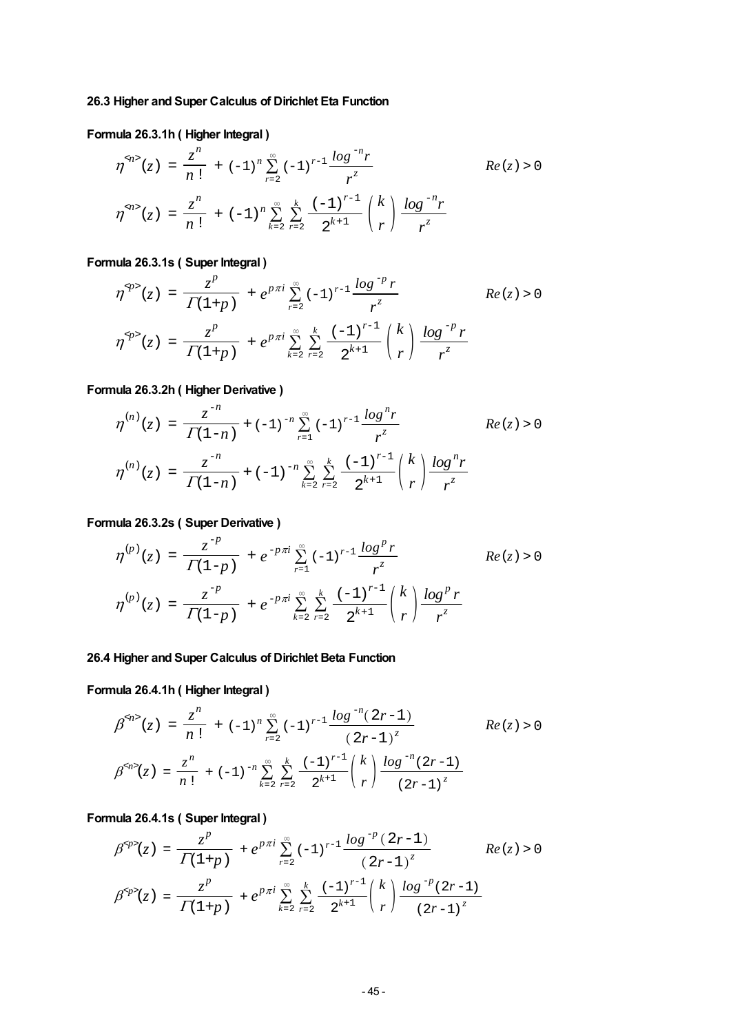# **26.3 Higher and Super Calculus of Dirichlet Eta Function**

# **Formula 26.3.1h ( Higher Integral )**

$$
\eta^{\varphi_1 >}(z) = \frac{z^n}{n!} + (-1)^n \sum_{r=2}^{\infty} (-1)^{r-1} \frac{\log^{-n} r}{r^z}
$$
\n
$$
\eta^{\varphi_1 >}(z) = \frac{z^n}{n!} + (-1)^n \sum_{k=2}^{\infty} \sum_{r=2}^{k} \frac{(-1)^{r-1}}{2^{k+1}} {k \choose r} \frac{\log^{-n} r}{r^z}
$$
\n
$$
(z) = \frac{z^n}{n!} + (-1)^n \sum_{k=2}^{\infty} \sum_{r=2}^{k} \frac{(-1)^{r-1}}{2^{k+1}} {k \choose r} \frac{\log^{-n} r}{r^z}
$$

# **Formula 26.3.1s ( Super Integral )**

$$
\eta^{\varphi} (z) = \frac{z^p}{\Gamma(1+p)} + e^{p\pi i} \sum_{r=2}^{\infty} (-1)^{r-1} \frac{\log^{-p} r}{r^z}
$$
\n
$$
\eta^{\varphi} (z) = \frac{z^p}{\Gamma(1+p)} + e^{p\pi i} \sum_{k=2}^{\infty} \sum_{r=2}^{k} \frac{(-1)^{r-1}}{2^{k+1}} {k \choose r} \frac{\log^{-p} r}{r^z}
$$

# **Formula 26.3.2h ( Higher Derivative )**

$$
\eta^{(n)}(z) = \frac{z^{-n}}{\Gamma(1-n)} + (-1)^{-n} \sum_{r=1}^{\infty} (-1)^{r-1} \frac{\log^{n} r}{r^{z}}
$$
 Re(z) > 0  

$$
\eta^{(n)}(z) = \frac{z^{-n}}{\Gamma(1-n)} + (-1)^{-n} \sum_{k=2}^{\infty} \sum_{r=2}^{k} \frac{(-1)^{r-1}}{2^{k+1}} {k \choose r} \frac{\log^{n} r}{r^{z}}
$$

# **Formula 26.3.2s ( Super Derivative )**

$$
\eta^{(p)}(z) = \frac{z^{-p}}{\Gamma(1-p)} + e^{-p\pi i} \sum_{r=1}^{\infty} (-1)^{r-1} \frac{\log^p r}{r^z}
$$
 Re(z) > 0  

$$
\eta^{(p)}(z) = \frac{z^{-p}}{\Gamma(1-p)} + e^{-p\pi i} \sum_{k=2}^{\infty} \sum_{r=2}^{k} \frac{(-1)^{r-1}}{2^{k+1}} {k \choose r} \frac{\log^p r}{r^z}
$$

# **26.4 Higher and Super Calculus of Dirichlet Beta Function**

# **Formula 26.4.1h ( Higher Integral )**

$$
\beta^{\alpha/2}(z) = \frac{z^n}{n!} + (-1)^n \sum_{r=2}^{\infty} (-1)^{r-1} \frac{\log^{-n}(2r-1)}{(2r-1)^z}
$$
\n
$$
\beta^{\alpha/2}(z) = \frac{z^n}{n!} + (-1)^{-n} \sum_{k=2}^{\infty} \sum_{r=2}^{k} \frac{(-1)^{r-1}}{2^{k+1}} {k \choose r} \frac{\log^{-n}(2r-1)}{(2r-1)^z}
$$
\n
$$
\text{Re}(z) > 0
$$

# **Formula 26.4.1s ( Super Integral )**

$$
\beta^{} (z) = \frac{z^p}{\Gamma(1+p)} + e^{p\pi i} \sum_{r=2}^{\infty} (-1)^{r-1} \frac{\log^{-p} (2r-1)}{(2r-1)^z}
$$
 Re  $(z) > 0$   

$$
\beta^{} (z) = \frac{z^p}{\Gamma(1+p)} + e^{p\pi i} \sum_{k=2}^{\infty} \sum_{r=2}^{k} \frac{(-1)^{r-1}}{2^{k+1}} {k \choose r} \frac{\log^{-p} (2r-1)}{(2r-1)^z}
$$